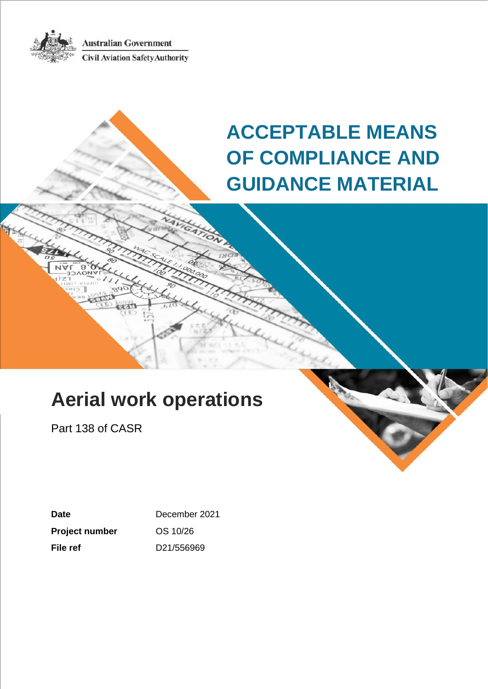**Australian Government Civil Aviation Safety Authority** 



# **Aerial work operations**

Part 138 of CASR

**Date** December 2021 **Project number** OS 10/26 **File ref** D21/556969

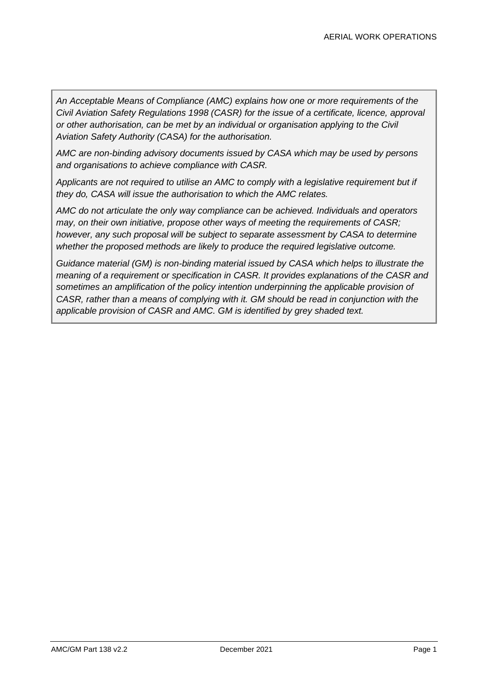*An Acceptable Means of Compliance (AMC) explains how one or more requirements of the Civil Aviation Safety Regulations 1998 (CASR) for the issue of a certificate, licence, approval or other authorisation, can be met by an individual or organisation applying to the Civil Aviation Safety Authority (CASA) for the authorisation.*

*AMC are non-binding advisory documents issued by CASA which may be used by persons and organisations to achieve compliance with CASR.* 

*Applicants are not required to utilise an AMC to comply with a legislative requirement but if they do, CASA will issue the authorisation to which the AMC relates.*

*AMC do not articulate the only way compliance can be achieved. Individuals and operators may, on their own initiative, propose other ways of meeting the requirements of CASR; however, any such proposal will be subject to separate assessment by CASA to determine whether the proposed methods are likely to produce the required legislative outcome.*

*Guidance material (GM) is non-binding material issued by CASA which helps to illustrate the meaning of a requirement or specification in CASR. It provides explanations of the CASR and sometimes an amplification of the policy intention underpinning the applicable provision of CASR, rather than a means of complying with it. GM should be read in conjunction with the applicable provision of CASR and AMC. GM is identified by grey shaded text.*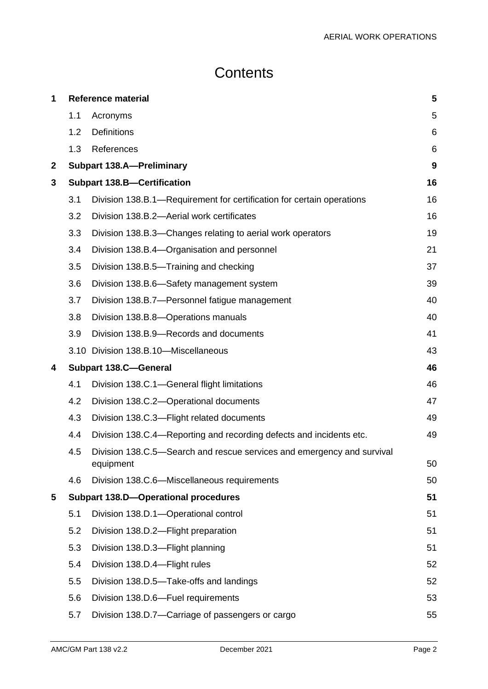## **Contents**

| 1            | <b>Reference material</b> |                                                                                     | 5  |
|--------------|---------------------------|-------------------------------------------------------------------------------------|----|
|              | 1.1                       | Acronyms                                                                            | 5  |
|              | 1.2                       | <b>Definitions</b>                                                                  | 6  |
|              | 1.3                       | References                                                                          | 6  |
| $\mathbf{2}$ |                           | <b>Subpart 138.A-Preliminary</b>                                                    | 9  |
| 3            |                           | <b>Subpart 138.B-Certification</b>                                                  | 16 |
|              | 3.1                       | Division 138.B.1—Requirement for certification for certain operations               | 16 |
|              | 3.2                       | Division 138.B.2-Aerial work certificates                                           | 16 |
|              | 3.3                       | Division 138.B.3—Changes relating to aerial work operators                          | 19 |
|              | 3.4                       | Division 138.B.4—Organisation and personnel                                         | 21 |
|              | 3.5                       | Division 138.B.5—Training and checking                                              | 37 |
|              | 3.6                       | Division 138.B.6-Safety management system                                           | 39 |
|              | 3.7                       | Division 138.B.7-Personnel fatigue management                                       | 40 |
|              | 3.8                       | Division 138.B.8-Operations manuals                                                 | 40 |
|              | 3.9                       | Division 138.B.9-Records and documents                                              | 41 |
|              |                           | 3.10 Division 138.B.10-Miscellaneous                                                | 43 |
| 4            |                           | <b>Subpart 138.C-General</b>                                                        | 46 |
|              | 4.1                       | Division 138.C.1-General flight limitations                                         | 46 |
|              | 4.2                       | Division 138.C.2-Operational documents                                              | 47 |
|              | 4.3                       | Division 138.C.3-Flight related documents                                           | 49 |
|              | 4.4                       | Division 138.C.4—Reporting and recording defects and incidents etc.                 | 49 |
|              | 4.5                       | Division 138.C.5—Search and rescue services and emergency and survival<br>equipment | 50 |
|              | 4.6                       | Division 138.C.6-Miscellaneous requirements                                         | 50 |
| 5            |                           | <b>Subpart 138.D-Operational procedures</b>                                         | 51 |
|              | 5.1                       | Division 138.D.1-Operational control                                                | 51 |
|              | 5.2                       | Division 138.D.2-Flight preparation                                                 | 51 |
|              | 5.3                       | Division 138.D.3-Flight planning                                                    | 51 |
|              | 5.4                       | Division 138.D.4-Flight rules                                                       | 52 |
|              | 5.5                       | Division 138.D.5-Take-offs and landings                                             | 52 |
|              | 5.6                       | Division 138.D.6-Fuel requirements                                                  | 53 |
|              | 5.7                       | Division 138.D.7—Carriage of passengers or cargo                                    | 55 |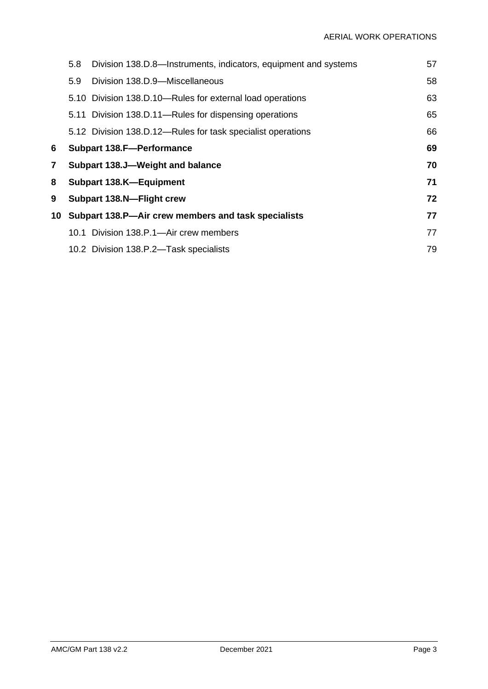|                | 5.8                                                       | Division 138.D.8—Instruments, indicators, equipment and systems | 57 |
|----------------|-----------------------------------------------------------|-----------------------------------------------------------------|----|
|                | 5.9                                                       | Division 138.D.9-Miscellaneous                                  | 58 |
|                |                                                           | 5.10 Division 138.D.10—Rules for external load operations       | 63 |
|                |                                                           | 5.11 Division 138.D.11—Rules for dispensing operations          | 65 |
|                |                                                           | 5.12 Division 138.D.12—Rules for task specialist operations     | 66 |
| 6              | 69<br><b>Subpart 138.F-Performance</b>                    |                                                                 |    |
| $\overline{7}$ | 70<br>Subpart 138.J-Weight and balance                    |                                                                 |    |
| 8              | 71<br>Subpart 138.K-Equipment                             |                                                                 |    |
| 9              | Subpart 138.N-Flight crew                                 |                                                                 | 72 |
| 10             | 77<br>Subpart 138.P-Air crew members and task specialists |                                                                 |    |
|                |                                                           | 10.1 Division 138.P.1—Air crew members                          | 77 |
|                |                                                           | 10.2 Division 138.P.2-Task specialists                          | 79 |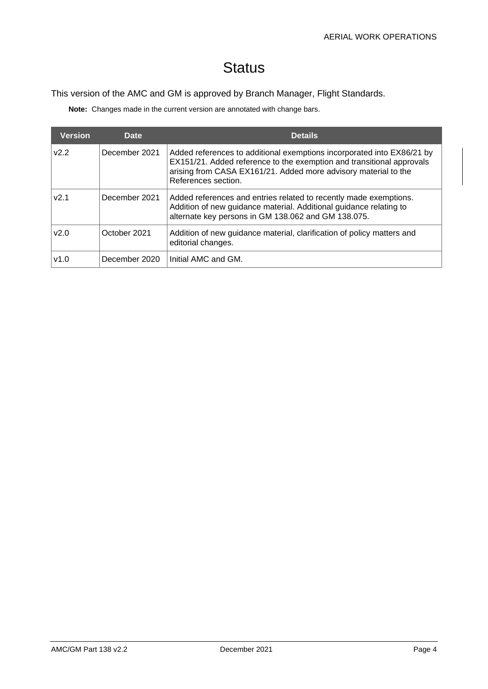## **Status**

#### This version of the AMC and GM is approved by Branch Manager, Flight Standards.

**Note:** Changes made in the current version are annotated with change bars.

| <b>Version</b> | Date          | <b>Details</b>                                                                                                                                                                                                                            |
|----------------|---------------|-------------------------------------------------------------------------------------------------------------------------------------------------------------------------------------------------------------------------------------------|
| V2.2           | December 2021 | Added references to additional exemptions incorporated into EX86/21 by<br>EX151/21. Added reference to the exemption and transitional approvals<br>arising from CASA EX161/21. Added more advisory material to the<br>References section. |
| v2.1           | December 2021 | Added references and entries related to recently made exemptions.<br>Addition of new guidance material. Additional guidance relating to<br>alternate key persons in GM 138.062 and GM 138.075.                                            |
| v2.0           | October 2021  | Addition of new guidance material, clarification of policy matters and<br>editorial changes.                                                                                                                                              |
| v1.0           | December 2020 | Initial AMC and GM.                                                                                                                                                                                                                       |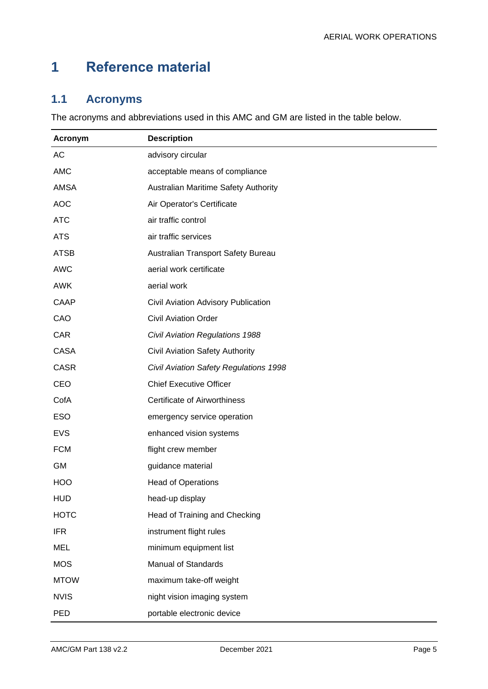## <span id="page-5-0"></span>**1 Reference material**

## <span id="page-5-1"></span>**1.1 Acronyms**

The acronyms and abbreviations used in this AMC and GM are listed in the table below.

| Acronym     | <b>Description</b>                     |
|-------------|----------------------------------------|
| AC          | advisory circular                      |
| <b>AMC</b>  | acceptable means of compliance         |
| <b>AMSA</b> | Australian Maritime Safety Authority   |
| <b>AOC</b>  | Air Operator's Certificate             |
| <b>ATC</b>  | air traffic control                    |
| <b>ATS</b>  | air traffic services                   |
| <b>ATSB</b> | Australian Transport Safety Bureau     |
| <b>AWC</b>  | aerial work certificate                |
| <b>AWK</b>  | aerial work                            |
| <b>CAAP</b> | Civil Aviation Advisory Publication    |
| CAO         | <b>Civil Aviation Order</b>            |
| CAR         | Civil Aviation Regulations 1988        |
| <b>CASA</b> | <b>Civil Aviation Safety Authority</b> |
| <b>CASR</b> | Civil Aviation Safety Regulations 1998 |
| CEO         | <b>Chief Executive Officer</b>         |
| CofA        | <b>Certificate of Airworthiness</b>    |
| <b>ESO</b>  | emergency service operation            |
| <b>EVS</b>  | enhanced vision systems                |
| <b>FCM</b>  | flight crew member                     |
| GM          | guidance material                      |
| <b>HOO</b>  | <b>Head of Operations</b>              |
| <b>HUD</b>  | head-up display                        |
| <b>HOTC</b> | Head of Training and Checking          |
| <b>IFR</b>  | instrument flight rules                |
| <b>MEL</b>  | minimum equipment list                 |
| <b>MOS</b>  | <b>Manual of Standards</b>             |
| <b>MTOW</b> | maximum take-off weight                |
| <b>NVIS</b> | night vision imaging system            |
| PED         | portable electronic device             |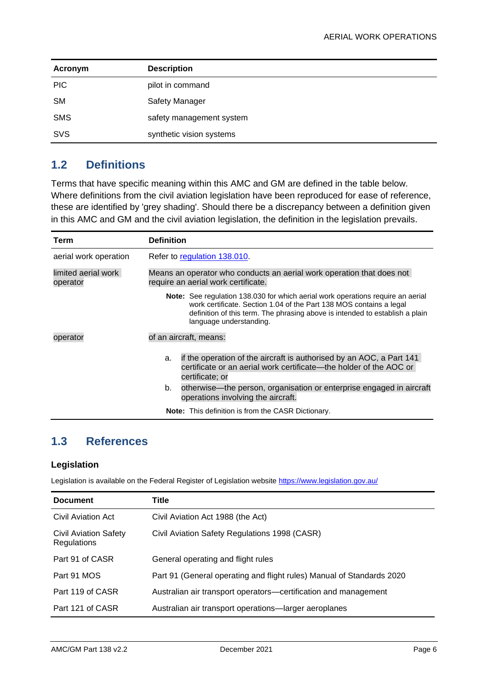| Acronym    | <b>Description</b>       |
|------------|--------------------------|
| <b>PIC</b> | pilot in command         |
| <b>SM</b>  | Safety Manager           |
| <b>SMS</b> | safety management system |
| <b>SVS</b> | synthetic vision systems |

### <span id="page-6-0"></span>**1.2 Definitions**

Terms that have specific meaning within this AMC and GM are defined in the table below. Where definitions from the civil aviation legislation have been reproduced for ease of reference, these are identified by 'grey shading'. Should there be a discrepancy between a definition given in this AMC and GM and the civil aviation legislation, the definition in the legislation prevails.

| Term                            | <b>Definition</b> |                                                                                                                                                                                                                                                                   |
|---------------------------------|-------------------|-------------------------------------------------------------------------------------------------------------------------------------------------------------------------------------------------------------------------------------------------------------------|
| aerial work operation           |                   | Refer to regulation 138.010.                                                                                                                                                                                                                                      |
| limited aerial work<br>operator |                   | Means an operator who conducts an aerial work operation that does not<br>require an aerial work certificate.                                                                                                                                                      |
|                                 |                   | Note: See regulation 138.030 for which aerial work operations require an aerial<br>work certificate. Section 1.04 of the Part 138 MOS contains a legal<br>definition of this term. The phrasing above is intended to establish a plain<br>language understanding. |
| operator                        |                   | of an aircraft, means:                                                                                                                                                                                                                                            |
|                                 | a.                | if the operation of the aircraft is authorised by an AOC, a Part 141<br>certificate or an aerial work certificate—the holder of the AOC or<br>certificate; or                                                                                                     |
|                                 | b.                | otherwise—the person, organisation or enterprise engaged in aircraft<br>operations involving the aircraft.                                                                                                                                                        |
|                                 |                   | <b>Note:</b> This definition is from the CASR Dictionary.                                                                                                                                                                                                         |

### <span id="page-6-1"></span>**1.3 References**

#### **Legislation**

Legislation is available on the Federal Register of Legislation website<https://www.legislation.gov.au/>

| <b>Document</b>                                    | Title                                                                 |
|----------------------------------------------------|-----------------------------------------------------------------------|
| Civil Aviation Act                                 | Civil Aviation Act 1988 (the Act)                                     |
| <b>Civil Aviation Safety</b><br><b>Regulations</b> | Civil Aviation Safety Regulations 1998 (CASR)                         |
| Part 91 of CASR                                    | General operating and flight rules                                    |
| Part 91 MOS                                        | Part 91 (General operating and flight rules) Manual of Standards 2020 |
| Part 119 of CASR                                   | Australian air transport operators—certification and management       |
| Part 121 of CASR                                   | Australian air transport operations—larger aeroplanes                 |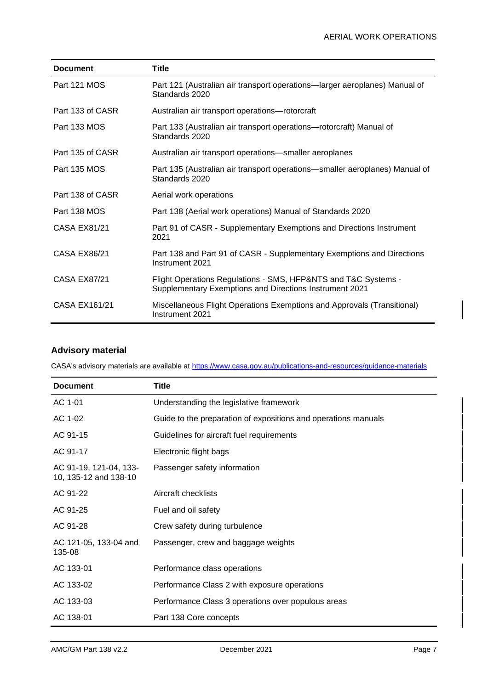| <b>Document</b>     | <b>Title</b>                                                                                                              |
|---------------------|---------------------------------------------------------------------------------------------------------------------------|
| Part 121 MOS        | Part 121 (Australian air transport operations—larger aeroplanes) Manual of<br>Standards 2020                              |
| Part 133 of CASR    | Australian air transport operations-rotorcraft                                                                            |
| Part 133 MOS        | Part 133 (Australian air transport operations—rotorcraft) Manual of<br>Standards 2020                                     |
| Part 135 of CASR    | Australian air transport operations—smaller aeroplanes                                                                    |
| Part 135 MOS        | Part 135 (Australian air transport operations—smaller aeroplanes) Manual of<br>Standards 2020                             |
| Part 138 of CASR    | Aerial work operations                                                                                                    |
| Part 138 MOS        | Part 138 (Aerial work operations) Manual of Standards 2020                                                                |
| <b>CASA EX81/21</b> | Part 91 of CASR - Supplementary Exemptions and Directions Instrument<br>2021                                              |
| <b>CASA EX86/21</b> | Part 138 and Part 91 of CASR - Supplementary Exemptions and Directions<br>Instrument 2021                                 |
| <b>CASA EX87/21</b> | Flight Operations Regulations - SMS, HFP&NTS and T&C Systems -<br>Supplementary Exemptions and Directions Instrument 2021 |
| CASA EX161/21       | Miscellaneous Flight Operations Exemptions and Approvals (Transitional)<br>Instrument 2021                                |

#### **Advisory material**

CASA's advisory materials are available at<https://www.casa.gov.au/publications-and-resources/guidance-materials>

| <b>Document</b>                                 | <b>Title</b>                                                   |
|-------------------------------------------------|----------------------------------------------------------------|
| AC 1-01                                         | Understanding the legislative framework                        |
| AC 1-02                                         | Guide to the preparation of expositions and operations manuals |
| AC 91-15                                        | Guidelines for aircraft fuel requirements                      |
| AC 91-17                                        | Electronic flight bags                                         |
| AC 91-19, 121-04, 133-<br>10, 135-12 and 138-10 | Passenger safety information                                   |
| AC 91-22                                        | Aircraft checklists                                            |
| AC 91-25                                        | Fuel and oil safety                                            |
| AC 91-28                                        | Crew safety during turbulence                                  |
| AC 121-05, 133-04 and<br>135-08                 | Passenger, crew and baggage weights                            |
| AC 133-01                                       | Performance class operations                                   |
| AC 133-02                                       | Performance Class 2 with exposure operations                   |
| AC 133-03                                       | Performance Class 3 operations over populous areas             |
| AC 138-01                                       | Part 138 Core concepts                                         |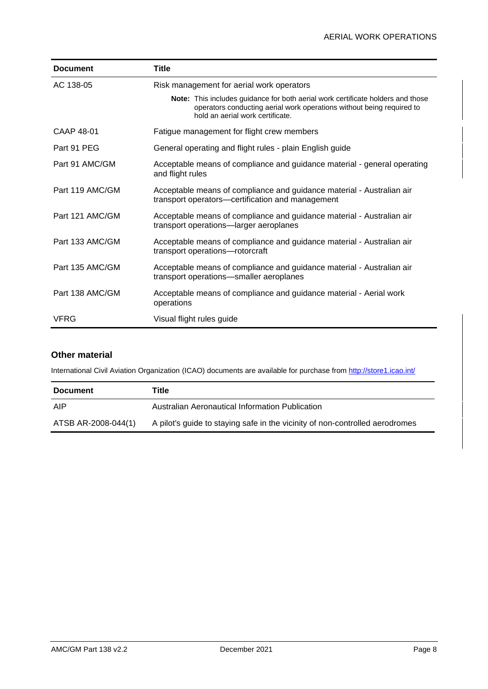| <b>Document</b> | <b>Title</b>                                                                                                                                                                                        |
|-----------------|-----------------------------------------------------------------------------------------------------------------------------------------------------------------------------------------------------|
| AC 138-05       | Risk management for aerial work operators                                                                                                                                                           |
|                 | <b>Note:</b> This includes guidance for both aerial work certificate holders and those<br>operators conducting aerial work operations without being required to<br>hold an aerial work certificate. |
| CAAP 48-01      | Fatigue management for flight crew members                                                                                                                                                          |
| Part 91 PEG     | General operating and flight rules - plain English guide                                                                                                                                            |
| Part 91 AMC/GM  | Acceptable means of compliance and guidance material - general operating<br>and flight rules                                                                                                        |
| Part 119 AMC/GM | Acceptable means of compliance and guidance material - Australian air<br>transport operators—certification and management                                                                           |
| Part 121 AMC/GM | Acceptable means of compliance and guidance material - Australian air<br>transport operations-larger aeroplanes                                                                                     |
| Part 133 AMC/GM | Acceptable means of compliance and guidance material - Australian air<br>transport operations-rotorcraft                                                                                            |
| Part 135 AMC/GM | Acceptable means of compliance and guidance material - Australian air<br>transport operations-smaller aeroplanes                                                                                    |
| Part 138 AMC/GM | Acceptable means of compliance and guidance material - Aerial work<br>operations                                                                                                                    |
| <b>VFRG</b>     | Visual flight rules guide                                                                                                                                                                           |

#### **Other material**

International Civil Aviation Organization (ICAO) documents are available for purchase fro[m http://store1.icao.int/](http://store1.icao.int/)

| <b>Document</b>     | Title                                                                        |
|---------------------|------------------------------------------------------------------------------|
| AIP                 | Australian Aeronautical Information Publication                              |
| ATSB AR-2008-044(1) | A pilot's guide to staying safe in the vicinity of non-controlled aerodromes |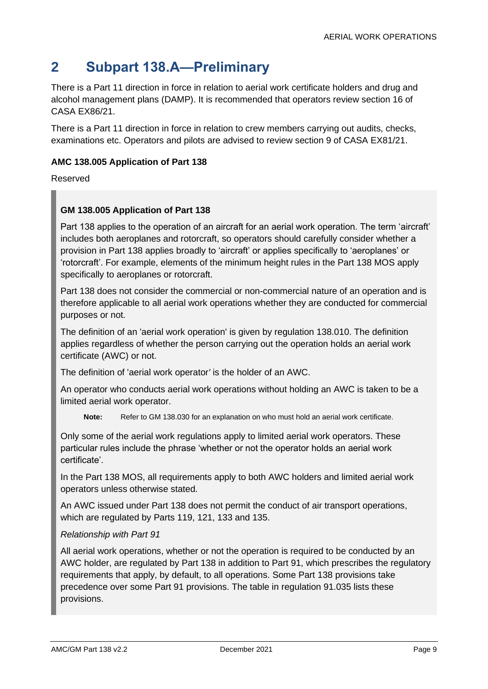## <span id="page-9-0"></span>**2 Subpart 138.A—Preliminary**

There is a Part 11 direction in force in relation to aerial work certificate holders and drug and alcohol management plans (DAMP). It is recommended that operators review section 16 of CASA EX86/21.

There is a Part 11 direction in force in relation to crew members carrying out audits, checks, examinations etc. Operators and pilots are advised to review section 9 of CASA EX81/21.

#### **AMC 138.005 Application of Part 138**

Reserved

#### **GM 138.005 Application of Part 138**

Part 138 applies to the operation of an aircraft for an aerial work operation. The term 'aircraft' includes both aeroplanes and rotorcraft, so operators should carefully consider whether a provision in Part 138 applies broadly to 'aircraft' or applies specifically to 'aeroplanes' or 'rotorcraft'. For example, elements of the minimum height rules in the Part 138 MOS apply specifically to aeroplanes or rotorcraft.

Part 138 does not consider the commercial or non-commercial nature of an operation and is therefore applicable to all aerial work operations whether they are conducted for commercial purposes or not.

The definition of an 'aerial work operation' is given by regulation 138.010. The definition applies regardless of whether the person carrying out the operation holds an aerial work certificate (AWC) or not.

The definition of 'aerial work operator*'* is the holder of an AWC.

An operator who conducts aerial work operations without holding an AWC is taken to be a limited aerial work operator.

**Note:** Refer to GM 138.030 for an explanation on who must hold an aerial work certificate.

Only some of the aerial work regulations apply to limited aerial work operators. These particular rules include the phrase 'whether or not the operator holds an aerial work certificate'.

In the Part 138 MOS, all requirements apply to both AWC holders and limited aerial work operators unless otherwise stated.

An AWC issued under Part 138 does not permit the conduct of air transport operations, which are regulated by Parts 119, 121, 133 and 135.

#### *Relationship with Part 91*

All aerial work operations, whether or not the operation is required to be conducted by an AWC holder, are regulated by Part 138 in addition to Part 91, which prescribes the regulatory requirements that apply, by default, to all operations. Some Part 138 provisions take precedence over some Part 91 provisions. The table in regulation 91.035 lists these provisions.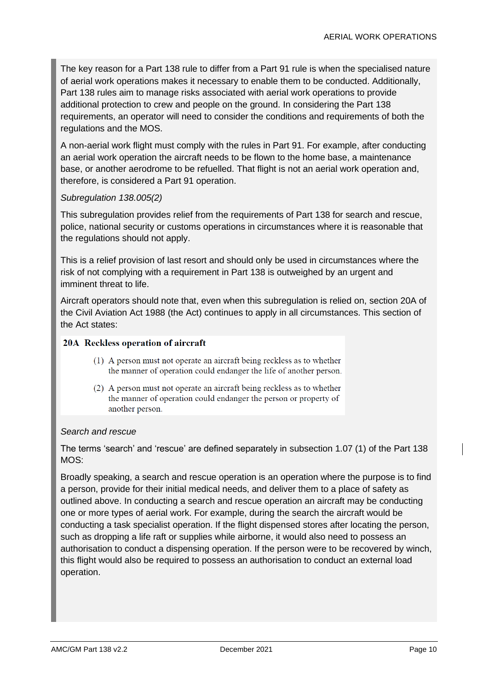The key reason for a Part 138 rule to differ from a Part 91 rule is when the specialised nature of aerial work operations makes it necessary to enable them to be conducted. Additionally, Part 138 rules aim to manage risks associated with aerial work operations to provide additional protection to crew and people on the ground. In considering the Part 138 requirements, an operator will need to consider the conditions and requirements of both the regulations and the MOS.

A non-aerial work flight must comply with the rules in Part 91. For example, after conducting an aerial work operation the aircraft needs to be flown to the home base, a maintenance base, or another aerodrome to be refuelled. That flight is not an aerial work operation and, therefore, is considered a Part 91 operation.

#### *Subregulation 138.005(2)*

This subregulation provides relief from the requirements of Part 138 for search and rescue, police, national security or customs operations in circumstances where it is reasonable that the regulations should not apply.

This is a relief provision of last resort and should only be used in circumstances where the risk of not complying with a requirement in Part 138 is outweighed by an urgent and imminent threat to life.

Aircraft operators should note that, even when this subregulation is relied on, section 20A of the Civil Aviation Act 1988 (the Act) continues to apply in all circumstances. This section of the Act states:

#### 20A Reckless operation of aircraft

- (1) A person must not operate an aircraft being reckless as to whether the manner of operation could endanger the life of another person.
- (2) A person must not operate an aircraft being reckless as to whether the manner of operation could endanger the person or property of another person.

#### *Search and rescue*

The terms 'search' and 'rescue' are defined separately in subsection 1.07 (1) of the Part 138  $MOS^T$ 

Broadly speaking, a search and rescue operation is an operation where the purpose is to find a person, provide for their initial medical needs, and deliver them to a place of safety as outlined above. In conducting a search and rescue operation an aircraft may be conducting one or more types of aerial work. For example, during the search the aircraft would be conducting a task specialist operation. If the flight dispensed stores after locating the person, such as dropping a life raft or supplies while airborne, it would also need to possess an authorisation to conduct a dispensing operation. If the person were to be recovered by winch, this flight would also be required to possess an authorisation to conduct an external load operation.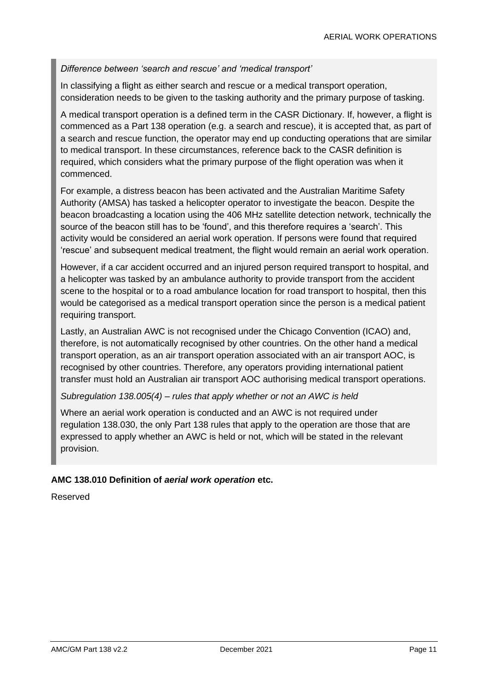#### *Difference between 'search and rescue' and 'medical transport'*

In classifying a flight as either search and rescue or a medical transport operation, consideration needs to be given to the tasking authority and the primary purpose of tasking.

A medical transport operation is a defined term in the CASR Dictionary. If, however, a flight is commenced as a Part 138 operation (e.g. a search and rescue), it is accepted that, as part of a search and rescue function, the operator may end up conducting operations that are similar to medical transport. In these circumstances, reference back to the CASR definition is required, which considers what the primary purpose of the flight operation was when it commenced.

For example, a distress beacon has been activated and the Australian Maritime Safety Authority (AMSA) has tasked a helicopter operator to investigate the beacon. Despite the beacon broadcasting a location using the 406 MHz satellite detection network, technically the source of the beacon still has to be 'found', and this therefore requires a 'search'. This activity would be considered an aerial work operation. If persons were found that required 'rescue' and subsequent medical treatment, the flight would remain an aerial work operation.

However, if a car accident occurred and an injured person required transport to hospital, and a helicopter was tasked by an ambulance authority to provide transport from the accident scene to the hospital or to a road ambulance location for road transport to hospital, then this would be categorised as a medical transport operation since the person is a medical patient requiring transport.

Lastly, an Australian AWC is not recognised under the Chicago Convention (ICAO) and, therefore, is not automatically recognised by other countries. On the other hand a medical transport operation, as an air transport operation associated with an air transport AOC, is recognised by other countries. Therefore, any operators providing international patient transfer must hold an Australian air transport AOC authorising medical transport operations.

#### *Subregulation 138.005(4) – rules that apply whether or not an AWC is held*

Where an aerial work operation is conducted and an AWC is not required under regulation 138.030, the only Part 138 rules that apply to the operation are those that are expressed to apply whether an AWC is held or not, which will be stated in the relevant provision.

#### **AMC 138.010 Definition of** *aerial work operation* **etc.**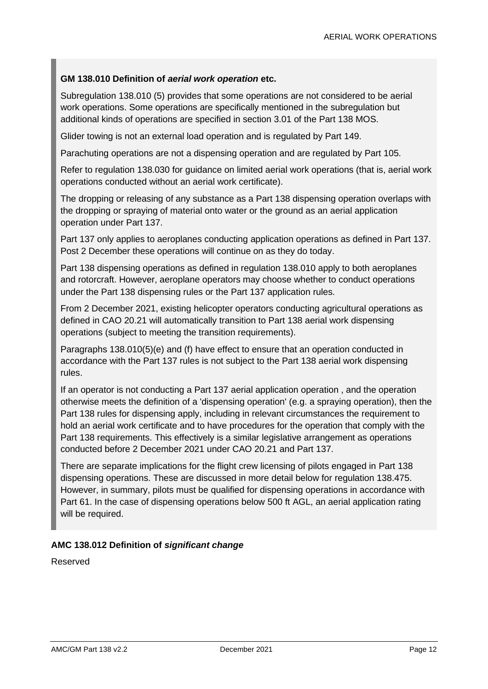#### **GM 138.010 Definition of** *aerial work operation* **etc.**

Subregulation 138.010 (5) provides that some operations are not considered to be aerial work operations. Some operations are specifically mentioned in the subregulation but additional kinds of operations are specified in section 3.01 of the Part 138 MOS.

Glider towing is not an external load operation and is regulated by Part 149.

Parachuting operations are not a dispensing operation and are regulated by Part 105.

Refer to regulation 138.030 for guidance on limited aerial work operations (that is, aerial work operations conducted without an aerial work certificate).

The dropping or releasing of any substance as a Part 138 dispensing operation overlaps with the dropping or spraying of material onto water or the ground as an aerial application operation under Part 137.

Part 137 only applies to aeroplanes conducting application operations as defined in Part 137. Post 2 December these operations will continue on as they do today.

Part 138 dispensing operations as defined in regulation 138.010 apply to both aeroplanes and rotorcraft. However, aeroplane operators may choose whether to conduct operations under the Part 138 dispensing rules or the Part 137 application rules.

From 2 December 2021, existing helicopter operators conducting agricultural operations as defined in CAO 20.21 will automatically transition to Part 138 aerial work dispensing operations (subject to meeting the transition requirements).

Paragraphs 138.010(5)(e) and (f) have effect to ensure that an operation conducted in accordance with the Part 137 rules is not subject to the Part 138 aerial work dispensing rules.

If an operator is not conducting a Part 137 aerial application operation , and the operation otherwise meets the definition of a 'dispensing operation' (e.g. a spraying operation), then the Part 138 rules for dispensing apply, including in relevant circumstances the requirement to hold an aerial work certificate and to have procedures for the operation that comply with the Part 138 requirements. This effectively is a similar legislative arrangement as operations conducted before 2 December 2021 under CAO 20.21 and Part 137.

There are separate implications for the flight crew licensing of pilots engaged in Part 138 dispensing operations. These are discussed in more detail below for regulation 138.475. However, in summary, pilots must be qualified for dispensing operations in accordance with Part 61. In the case of dispensing operations below 500 ft AGL, an aerial application rating will be required.

#### **AMC 138.012 Definition of** *significant change*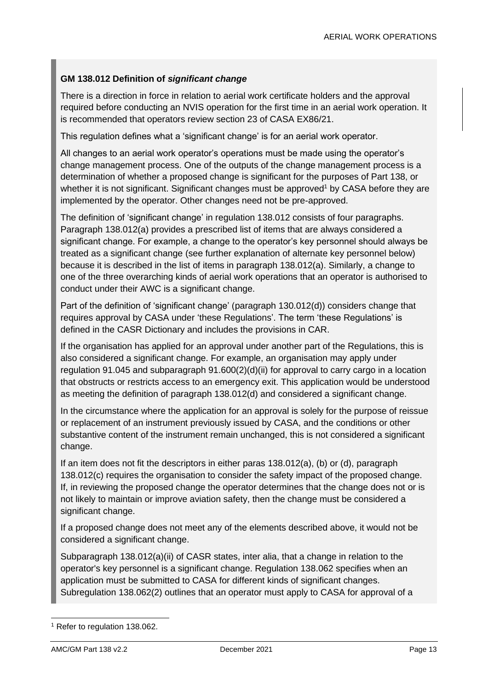#### **GM 138.012 Definition of** *significant change*

There is a direction in force in relation to aerial work certificate holders and the approval required before conducting an NVIS operation for the first time in an aerial work operation. It is recommended that operators review section 23 of CASA EX86/21.

This regulation defines what a 'significant change' is for an aerial work operator.

All changes to an aerial work operator's operations must be made using the operator's change management process. One of the outputs of the change management process is a determination of whether a proposed change is significant for the purposes of Part 138, or whether it is not significant. Significant changes must be approved<sup>1</sup> by CASA before they are implemented by the operator. Other changes need not be pre-approved.

The definition of 'significant change' in regulation 138.012 consists of four paragraphs. Paragraph 138.012(a) provides a prescribed list of items that are always considered a significant change. For example, a change to the operator's key personnel should always be treated as a significant change (see further explanation of alternate key personnel below) because it is described in the list of items in paragraph 138.012(a). Similarly, a change to one of the three overarching kinds of aerial work operations that an operator is authorised to conduct under their AWC is a significant change.

Part of the definition of 'significant change' (paragraph 130.012(d)) considers change that requires approval by CASA under 'these Regulations'. The term 'these Regulations' is defined in the CASR Dictionary and includes the provisions in CAR.

If the organisation has applied for an approval under another part of the Regulations, this is also considered a significant change. For example, an organisation may apply under regulation 91.045 and subparagraph 91.600(2)(d)(ii) for approval to carry cargo in a location that obstructs or restricts access to an emergency exit. This application would be understood as meeting the definition of paragraph 138.012(d) and considered a significant change.

In the circumstance where the application for an approval is solely for the purpose of reissue or replacement of an instrument previously issued by CASA, and the conditions or other substantive content of the instrument remain unchanged, this is not considered a significant change.

If an item does not fit the descriptors in either paras 138.012(a), (b) or (d), paragraph 138.012(c) requires the organisation to consider the safety impact of the proposed change. If, in reviewing the proposed change the operator determines that the change does not or is not likely to maintain or improve aviation safety, then the change must be considered a significant change.

If a proposed change does not meet any of the elements described above, it would not be considered a significant change.

Subparagraph 138.012(a)(ii) of CASR states, inter alia, that a change in relation to the operator's key personnel is a significant change. Regulation 138.062 specifies when an application must be submitted to CASA for different kinds of significant changes. Subregulation 138.062(2) outlines that an operator must apply to CASA for approval of a

<sup>1</sup> Refer to regulation 138.062.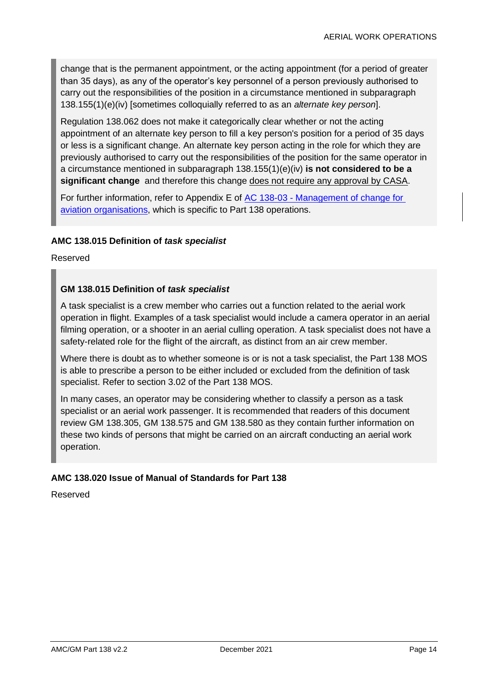change that is the permanent appointment, or the acting appointment (for a period of greater than 35 days), as any of the operator's key personnel of a person previously authorised to carry out the responsibilities of the position in a circumstance mentioned in subparagraph 138.155(1)(e)(iv) [sometimes colloquially referred to as an *alternate key person*].

Regulation 138.062 does not make it categorically clear whether or not the acting appointment of an alternate key person to fill a key person's position for a period of 35 days or less is a significant change. An alternate key person acting in the role for which they are previously authorised to carry out the responsibilities of the position for the same operator in a circumstance mentioned in subparagraph 138.155(1)(e)(iv) **is not considered to be a significant change** and therefore this change does not require any approval by CASA.

For further information, refer to Appendix E of AC 138-03 - [Management of change for](https://www.casa.gov.au/search-centre/advisory-circulars)  [aviation organisations,](https://www.casa.gov.au/search-centre/advisory-circulars) which is specific to Part 138 operations.

#### **AMC 138.015 Definition of** *task specialist*

Reserved

#### **GM 138.015 Definition of** *task specialist*

A task specialist is a crew member who carries out a function related to the aerial work operation in flight. Examples of a task specialist would include a camera operator in an aerial filming operation, or a shooter in an aerial culling operation. A task specialist does not have a safety-related role for the flight of the aircraft, as distinct from an air crew member.

Where there is doubt as to whether someone is or is not a task specialist, the Part 138 MOS is able to prescribe a person to be either included or excluded from the definition of task specialist. Refer to section 3.02 of the Part 138 MOS.

In many cases, an operator may be considering whether to classify a person as a task specialist or an aerial work passenger. It is recommended that readers of this document review GM 138.305, GM 138.575 and GM 138.580 as they contain further information on these two kinds of persons that might be carried on an aircraft conducting an aerial work operation.

#### **AMC 138.020 Issue of Manual of Standards for Part 138**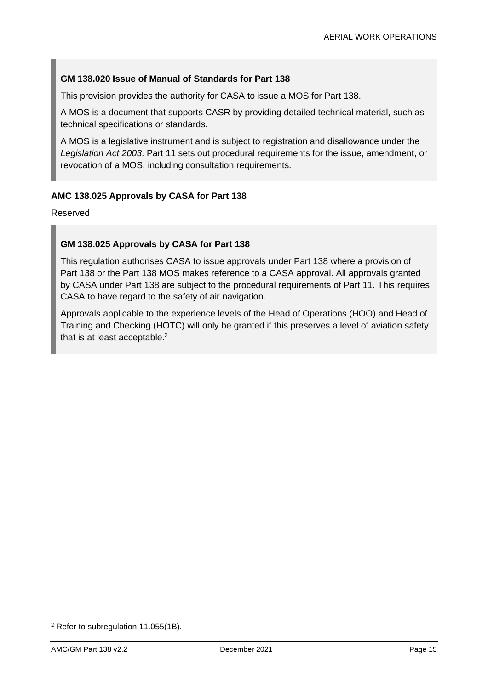#### **GM 138.020 Issue of Manual of Standards for Part 138**

This provision provides the authority for CASA to issue a MOS for Part 138.

A MOS is a document that supports CASR by providing detailed technical material, such as technical specifications or standards.

A MOS is a legislative instrument and is subject to registration and disallowance under the *Legislation Act 2003*. Part 11 sets out procedural requirements for the issue, amendment, or revocation of a MOS, including consultation requirements.

#### **AMC 138.025 Approvals by CASA for Part 138**

Reserved

#### **GM 138.025 Approvals by CASA for Part 138**

This regulation authorises CASA to issue approvals under Part 138 where a provision of Part 138 or the Part 138 MOS makes reference to a CASA approval. All approvals granted by CASA under Part 138 are subject to the procedural requirements of Part 11. This requires CASA to have regard to the safety of air navigation.

Approvals applicable to the experience levels of the Head of Operations (HOO) and Head of Training and Checking (HOTC) will only be granted if this preserves a level of aviation safety that is at least acceptable. $2$ 

<sup>2</sup> Refer to subregulation 11.055(1B).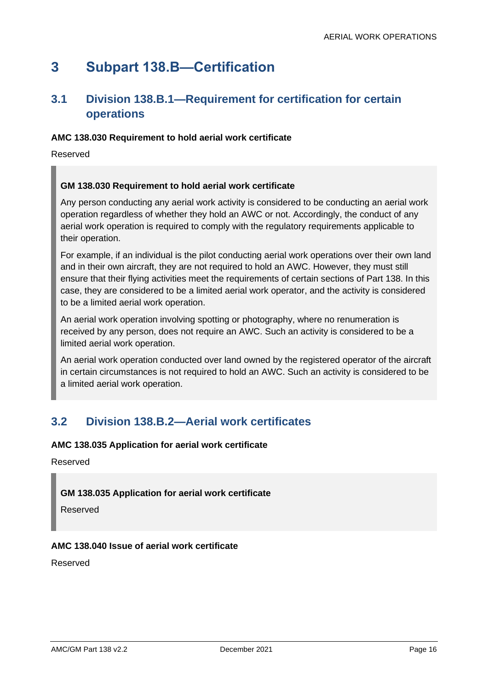## <span id="page-16-0"></span>**3 Subpart 138.B—Certification**

### <span id="page-16-1"></span>**3.1 Division 138.B.1—Requirement for certification for certain operations**

#### **AMC 138.030 Requirement to hold aerial work certificate**

Reserved

#### **GM 138.030 Requirement to hold aerial work certificate**

Any person conducting any aerial work activity is considered to be conducting an aerial work operation regardless of whether they hold an AWC or not. Accordingly, the conduct of any aerial work operation is required to comply with the regulatory requirements applicable to their operation.

For example, if an individual is the pilot conducting aerial work operations over their own land and in their own aircraft, they are not required to hold an AWC. However, they must still ensure that their flying activities meet the requirements of certain sections of Part 138. In this case, they are considered to be a limited aerial work operator, and the activity is considered to be a limited aerial work operation.

An aerial work operation involving spotting or photography, where no renumeration is received by any person, does not require an AWC. Such an activity is considered to be a limited aerial work operation.

An aerial work operation conducted over land owned by the registered operator of the aircraft in certain circumstances is not required to hold an AWC. Such an activity is considered to be a limited aerial work operation.

### <span id="page-16-2"></span>**3.2 Division 138.B.2—Aerial work certificates**

#### **AMC 138.035 Application for aerial work certificate**

Reserved

#### **GM 138.035 Application for aerial work certificate**

Reserved

#### **AMC 138.040 Issue of aerial work certificate**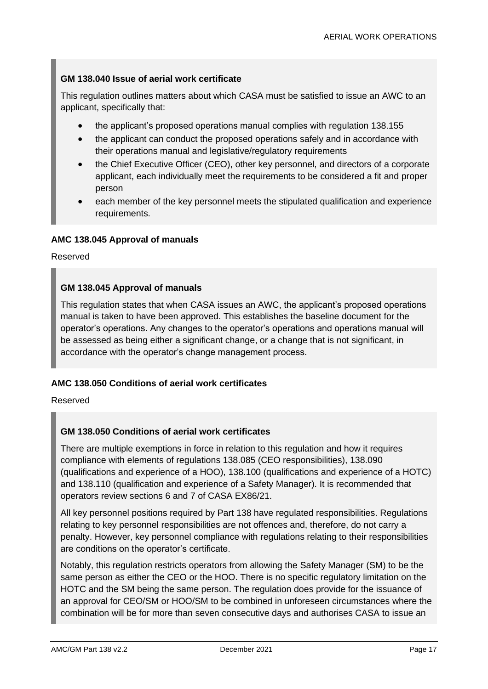#### **GM 138.040 Issue of aerial work certificate**

This regulation outlines matters about which CASA must be satisfied to issue an AWC to an applicant, specifically that:

- the applicant's proposed operations manual complies with regulation 138.155
- the applicant can conduct the proposed operations safely and in accordance with their operations manual and legislative/regulatory requirements
- the Chief Executive Officer (CEO), other key personnel, and directors of a corporate applicant, each individually meet the requirements to be considered a fit and proper person
- each member of the key personnel meets the stipulated qualification and experience requirements.

#### **AMC 138.045 Approval of manuals**

Reserved

#### **GM 138.045 Approval of manuals**

This regulation states that when CASA issues an AWC, the applicant's proposed operations manual is taken to have been approved. This establishes the baseline document for the operator's operations. Any changes to the operator's operations and operations manual will be assessed as being either a significant change, or a change that is not significant, in accordance with the operator's change management process.

#### **AMC 138.050 Conditions of aerial work certificates**

Reserved

#### **GM 138.050 Conditions of aerial work certificates**

There are multiple exemptions in force in relation to this regulation and how it requires compliance with elements of regulations 138.085 (CEO responsibilities), 138.090 (qualifications and experience of a HOO), 138.100 (qualifications and experience of a HOTC) and 138.110 (qualification and experience of a Safety Manager). It is recommended that operators review sections 6 and 7 of CASA EX86/21.

All key personnel positions required by Part 138 have regulated responsibilities. Regulations relating to key personnel responsibilities are not offences and, therefore, do not carry a penalty. However, key personnel compliance with regulations relating to their responsibilities are conditions on the operator's certificate.

Notably, this regulation restricts operators from allowing the Safety Manager (SM) to be the same person as either the CEO or the HOO. There is no specific regulatory limitation on the HOTC and the SM being the same person. The regulation does provide for the issuance of an approval for CEO/SM or HOO/SM to be combined in unforeseen circumstances where the combination will be for more than seven consecutive days and authorises CASA to issue an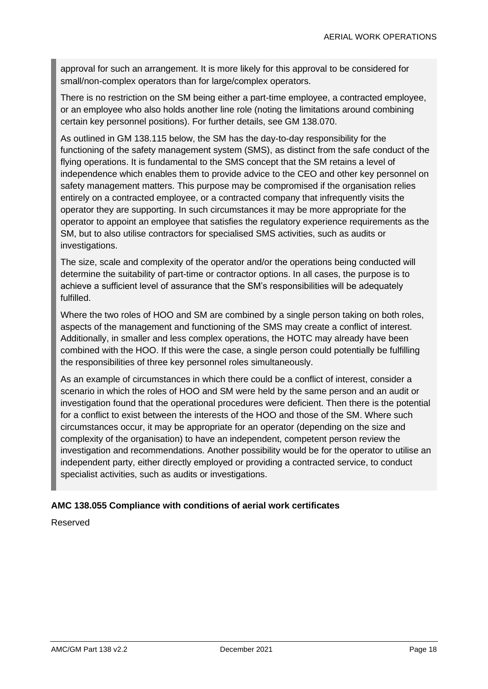approval for such an arrangement. It is more likely for this approval to be considered for small/non-complex operators than for large/complex operators.

There is no restriction on the SM being either a part-time employee, a contracted employee, or an employee who also holds another line role (noting the limitations around combining certain key personnel positions). For further details, see GM 138.070.

As outlined in GM 138.115 below, the SM has the day-to-day responsibility for the functioning of the safety management system (SMS), as distinct from the safe conduct of the flying operations. It is fundamental to the SMS concept that the SM retains a level of independence which enables them to provide advice to the CEO and other key personnel on safety management matters. This purpose may be compromised if the organisation relies entirely on a contracted employee, or a contracted company that infrequently visits the operator they are supporting. In such circumstances it may be more appropriate for the operator to appoint an employee that satisfies the regulatory experience requirements as the SM, but to also utilise contractors for specialised SMS activities, such as audits or investigations.

The size, scale and complexity of the operator and/or the operations being conducted will determine the suitability of part-time or contractor options. In all cases, the purpose is to achieve a sufficient level of assurance that the SM's responsibilities will be adequately fulfilled.

Where the two roles of HOO and SM are combined by a single person taking on both roles, aspects of the management and functioning of the SMS may create a conflict of interest. Additionally, in smaller and less complex operations, the HOTC may already have been combined with the HOO. If this were the case, a single person could potentially be fulfilling the responsibilities of three key personnel roles simultaneously.

As an example of circumstances in which there could be a conflict of interest, consider a scenario in which the roles of HOO and SM were held by the same person and an audit or investigation found that the operational procedures were deficient. Then there is the potential for a conflict to exist between the interests of the HOO and those of the SM. Where such circumstances occur, it may be appropriate for an operator (depending on the size and complexity of the organisation) to have an independent, competent person review the investigation and recommendations. Another possibility would be for the operator to utilise an independent party, either directly employed or providing a contracted service, to conduct specialist activities, such as audits or investigations.

#### **AMC 138.055 Compliance with conditions of aerial work certificates**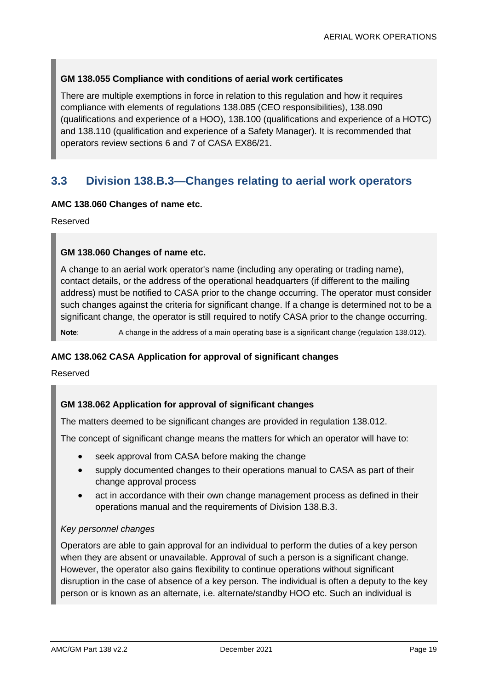#### **GM 138.055 Compliance with conditions of aerial work certificates**

There are multiple exemptions in force in relation to this regulation and how it requires compliance with elements of regulations 138.085 (CEO responsibilities), 138.090 (qualifications and experience of a HOO), 138.100 (qualifications and experience of a HOTC) and 138.110 (qualification and experience of a Safety Manager). It is recommended that operators review sections 6 and 7 of CASA EX86/21.

### <span id="page-19-0"></span>**3.3 Division 138.B.3—Changes relating to aerial work operators**

#### **AMC 138.060 Changes of name etc.**

Reserved

#### **GM 138.060 Changes of name etc.**

A change to an aerial work operator's name (including any operating or trading name), contact details, or the address of the operational headquarters (if different to the mailing address) must be notified to CASA prior to the change occurring. The operator must consider such changes against the criteria for significant change. If a change is determined not to be a significant change, the operator is still required to notify CASA prior to the change occurring.

**Note:** A change in the address of a main operating base is a significant change (regulation 138.012).

#### **AMC 138.062 CASA Application for approval of significant changes**

Reserved

#### **GM 138.062 Application for approval of significant changes**

The matters deemed to be significant changes are provided in regulation 138.012.

The concept of significant change means the matters for which an operator will have to:

- seek approval from CASA before making the change
- supply documented changes to their operations manual to CASA as part of their change approval process
- act in accordance with their own change management process as defined in their operations manual and the requirements of Division 138.B.3.

#### *Key personnel changes*

Operators are able to gain approval for an individual to perform the duties of a key person when they are absent or unavailable. Approval of such a person is a significant change. However, the operator also gains flexibility to continue operations without significant disruption in the case of absence of a key person. The individual is often a deputy to the key person or is known as an alternate, i.e. alternate/standby HOO etc. Such an individual is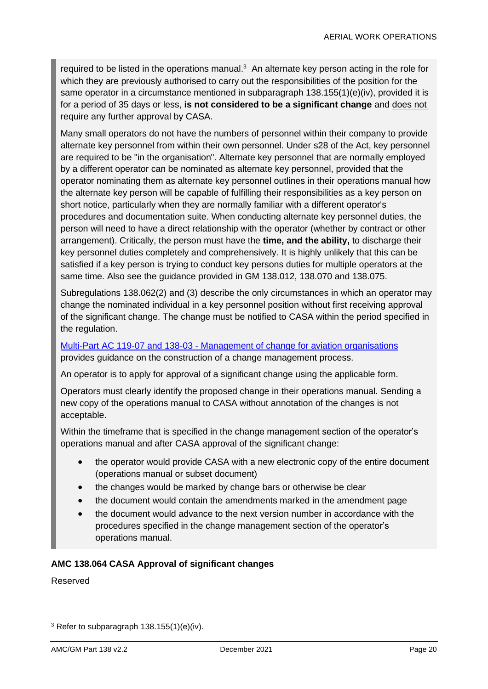required to be listed in the operations manual.<sup>3</sup> An alternate key person acting in the role for which they are previously authorised to carry out the responsibilities of the position for the same operator in a circumstance mentioned in subparagraph 138.155(1)(e)(iv), provided it is for a period of 35 days or less, **is not considered to be a significant change** and does not require any further approval by CASA.

Many small operators do not have the numbers of personnel within their company to provide alternate key personnel from within their own personnel. Under s28 of the Act, key personnel are required to be "in the organisation". Alternate key personnel that are normally employed by a different operator can be nominated as alternate key personnel, provided that the operator nominating them as alternate key personnel outlines in their operations manual how the alternate key person will be capable of fulfilling their responsibilities as a key person on short notice, particularly when they are normally familiar with a different operator's procedures and documentation suite. When conducting alternate key personnel duties, the person will need to have a direct relationship with the operator (whether by contract or other arrangement). Critically, the person must have the **time, and the ability,** to discharge their key personnel duties completely and comprehensively. It is highly unlikely that this can be satisfied if a key person is trying to conduct key persons duties for multiple operators at the same time. Also see the guidance provided in GM 138.012, 138.070 and 138.075.

Subregulations 138.062(2) and (3) describe the only circumstances in which an operator may change the nominated individual in a key personnel position without first receiving approval of the significant change. The change must be notified to CASA within the period specified in the regulation.

Multi-Part AC 119-07 and 138-03 - [Management of change for aviation organisations](https://www.casa.gov.au/search-centre/advisory-circulars) provides guidance on the construction of a change management process.

An operator is to apply for approval of a significant change using the applicable form.

Operators must clearly identify the proposed change in their operations manual. Sending a new copy of the operations manual to CASA without annotation of the changes is not acceptable.

Within the timeframe that is specified in the change management section of the operator's operations manual and after CASA approval of the significant change:

- the operator would provide CASA with a new electronic copy of the entire document (operations manual or subset document)
- the changes would be marked by change bars or otherwise be clear
- the document would contain the amendments marked in the amendment page
- the document would advance to the next version number in accordance with the procedures specified in the change management section of the operator's operations manual.

#### **AMC 138.064 CASA Approval of significant changes**

<sup>3</sup> Refer to subparagraph 138.155(1)(e)(iv).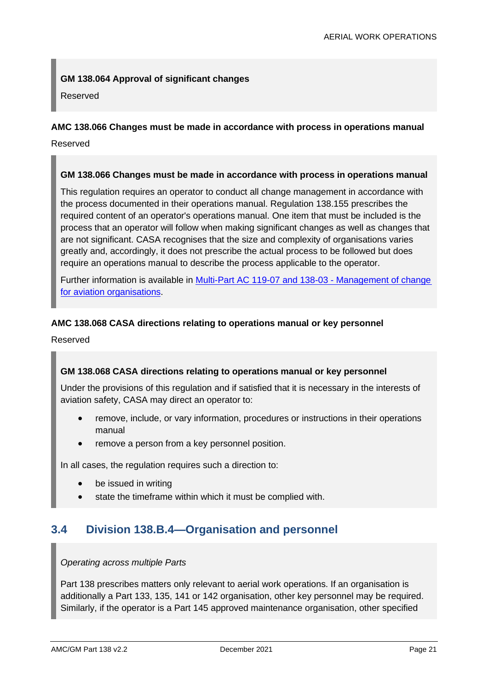#### **GM 138.064 Approval of significant changes**

Reserved

#### **AMC 138.066 Changes must be made in accordance with process in operations manual**

Reserved

#### **GM 138.066 Changes must be made in accordance with process in operations manual**

This regulation requires an operator to conduct all change management in accordance with the process documented in their operations manual. Regulation 138.155 prescribes the required content of an operator's operations manual. One item that must be included is the process that an operator will follow when making significant changes as well as changes that are not significant. CASA recognises that the size and complexity of organisations varies greatly and, accordingly, it does not prescribe the actual process to be followed but does require an operations manual to describe the process applicable to the operator.

Further information is available in [Multi-Part AC 119-07 and 138-03 -](https://www.casa.gov.au/search-centre/advisory-circulars) Management of change [for aviation organisations.](https://www.casa.gov.au/search-centre/advisory-circulars)

#### **AMC 138.068 CASA directions relating to operations manual or key personnel**

Reserved

#### **GM 138.068 CASA directions relating to operations manual or key personnel**

Under the provisions of this regulation and if satisfied that it is necessary in the interests of aviation safety, CASA may direct an operator to:

- remove, include, or vary information, procedures or instructions in their operations manual
- remove a person from a key personnel position.

In all cases, the regulation requires such a direction to:

- be issued in writing
- state the timeframe within which it must be complied with.

### <span id="page-21-0"></span>**3.4 Division 138.B.4—Organisation and personnel**

#### *Operating across multiple Parts*

Part 138 prescribes matters only relevant to aerial work operations. If an organisation is additionally a Part 133, 135, 141 or 142 organisation, other key personnel may be required. Similarly, if the operator is a Part 145 approved maintenance organisation, other specified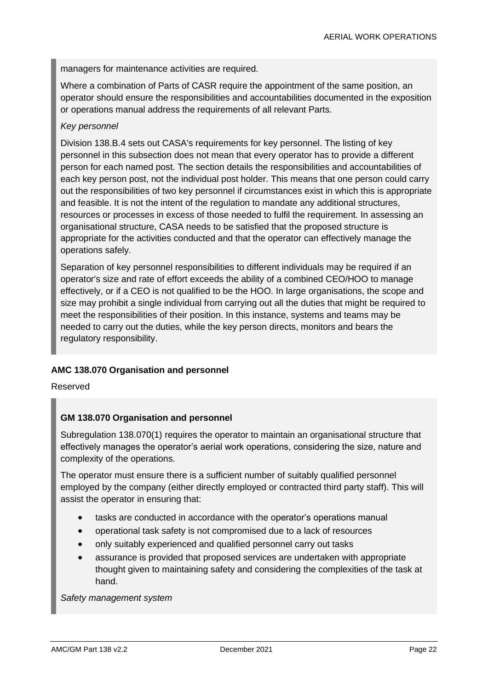managers for maintenance activities are required.

Where a combination of Parts of CASR require the appointment of the same position, an operator should ensure the responsibilities and accountabilities documented in the exposition or operations manual address the requirements of all relevant Parts.

#### *Key personnel*

Division 138.B.4 sets out CASA's requirements for key personnel. The listing of key personnel in this subsection does not mean that every operator has to provide a different person for each named post. The section details the responsibilities and accountabilities of each key person post, not the individual post holder. This means that one person could carry out the responsibilities of two key personnel if circumstances exist in which this is appropriate and feasible. It is not the intent of the regulation to mandate any additional structures, resources or processes in excess of those needed to fulfil the requirement. In assessing an organisational structure, CASA needs to be satisfied that the proposed structure is appropriate for the activities conducted and that the operator can effectively manage the operations safely.

Separation of key personnel responsibilities to different individuals may be required if an operator's size and rate of effort exceeds the ability of a combined CEO/HOO to manage effectively, or if a CEO is not qualified to be the HOO. In large organisations, the scope and size may prohibit a single individual from carrying out all the duties that might be required to meet the responsibilities of their position. In this instance, systems and teams may be needed to carry out the duties, while the key person directs, monitors and bears the regulatory responsibility.

#### **AMC 138.070 Organisation and personnel**

Reserved

#### **GM 138.070 Organisation and personnel**

Subregulation 138.070(1) requires the operator to maintain an organisational structure that effectively manages the operator's aerial work operations, considering the size, nature and complexity of the operations.

The operator must ensure there is a sufficient number of suitably qualified personnel employed by the company (either directly employed or contracted third party staff). This will assist the operator in ensuring that:

- tasks are conducted in accordance with the operator's operations manual
- operational task safety is not compromised due to a lack of resources
- only suitably experienced and qualified personnel carry out tasks
- assurance is provided that proposed services are undertaken with appropriate thought given to maintaining safety and considering the complexities of the task at hand.

*Safety management system*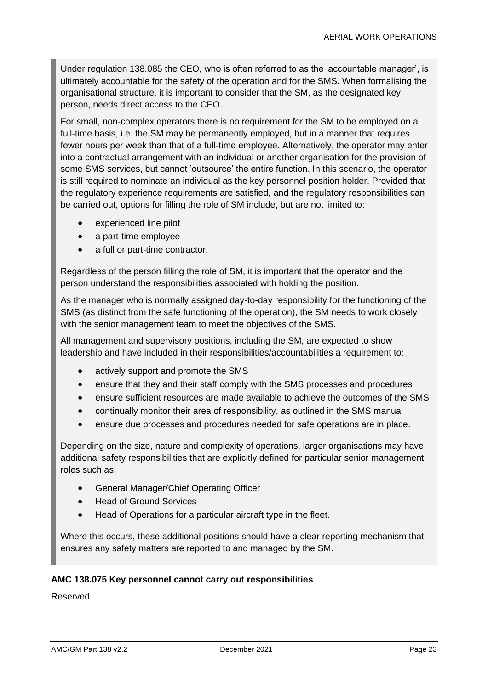Under regulation 138.085 the CEO, who is often referred to as the 'accountable manager', is ultimately accountable for the safety of the operation and for the SMS. When formalising the organisational structure, it is important to consider that the SM, as the designated key person, needs direct access to the CEO.

For small, non-complex operators there is no requirement for the SM to be employed on a full-time basis, i.e. the SM may be permanently employed, but in a manner that requires fewer hours per week than that of a full-time employee. Alternatively, the operator may enter into a contractual arrangement with an individual or another organisation for the provision of some SMS services, but cannot 'outsource' the entire function. In this scenario, the operator is still required to nominate an individual as the key personnel position holder. Provided that the regulatory experience requirements are satisfied, and the regulatory responsibilities can be carried out, options for filling the role of SM include, but are not limited to:

- experienced line pilot
- a part-time employee
- a full or part-time contractor.

Regardless of the person filling the role of SM, it is important that the operator and the person understand the responsibilities associated with holding the position.

As the manager who is normally assigned day-to-day responsibility for the functioning of the SMS (as distinct from the safe functioning of the operation), the SM needs to work closely with the senior management team to meet the objectives of the SMS.

All management and supervisory positions, including the SM, are expected to show leadership and have included in their responsibilities/accountabilities a requirement to:

- actively support and promote the SMS
- ensure that they and their staff comply with the SMS processes and procedures
- ensure sufficient resources are made available to achieve the outcomes of the SMS
- continually monitor their area of responsibility, as outlined in the SMS manual
- ensure due processes and procedures needed for safe operations are in place.

Depending on the size, nature and complexity of operations, larger organisations may have additional safety responsibilities that are explicitly defined for particular senior management roles such as:

- General Manager/Chief Operating Officer
- Head of Ground Services
- Head of Operations for a particular aircraft type in the fleet.

Where this occurs, these additional positions should have a clear reporting mechanism that ensures any safety matters are reported to and managed by the SM.

#### **AMC 138.075 Key personnel cannot carry out responsibilities**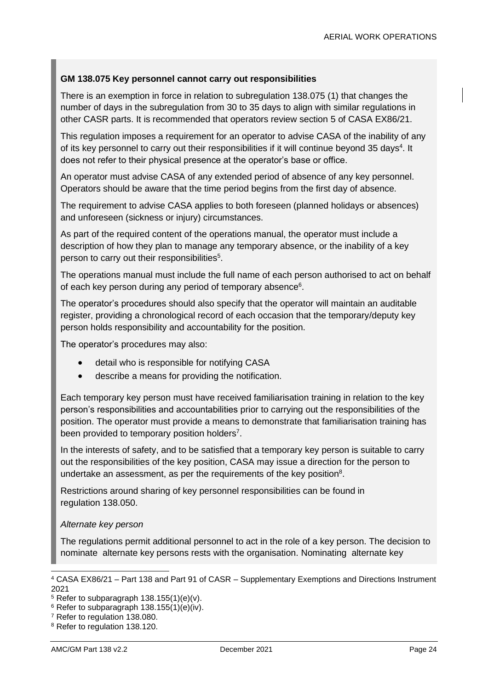#### **GM 138.075 Key personnel cannot carry out responsibilities**

There is an exemption in force in relation to subregulation 138.075 (1) that changes the number of days in the subregulation from 30 to 35 days to align with similar regulations in other CASR parts. It is recommended that operators review section 5 of CASA EX86/21.

This regulation imposes a requirement for an operator to advise CASA of the inability of any of its key personnel to carry out their responsibilities if it will continue beyond 35 days<sup>4</sup>. It does not refer to their physical presence at the operator's base or office.

An operator must advise CASA of any extended period of absence of any key personnel. Operators should be aware that the time period begins from the first day of absence.

The requirement to advise CASA applies to both foreseen (planned holidays or absences) and unforeseen (sickness or injury) circumstances.

As part of the required content of the operations manual, the operator must include a description of how they plan to manage any temporary absence, or the inability of a key person to carry out their responsibilities<sup>5</sup>.

The operations manual must include the full name of each person authorised to act on behalf of each key person during any period of temporary absence<sup>6</sup>.

The operator's procedures should also specify that the operator will maintain an auditable register, providing a chronological record of each occasion that the temporary/deputy key person holds responsibility and accountability for the position.

The operator's procedures may also:

- detail who is responsible for notifying CASA
- describe a means for providing the notification.

Each temporary key person must have received familiarisation training in relation to the key person's responsibilities and accountabilities prior to carrying out the responsibilities of the position. The operator must provide a means to demonstrate that familiarisation training has been provided to temporary position holders<sup>7</sup>.

In the interests of safety, and to be satisfied that a temporary key person is suitable to carry out the responsibilities of the key position, CASA may issue a direction for the person to undertake an assessment, as per the requirements of the key position $8$ .

Restrictions around sharing of key personnel responsibilities can be found in regulation 138.050.

#### *Alternate key person*

The regulations permit additional personnel to act in the role of a key person. The decision to nominate alternate key persons rests with the organisation. Nominating alternate key

<sup>4</sup> CASA EX86/21 – Part 138 and Part 91 of CASR – Supplementary Exemptions and Directions Instrument 2021

 $5$  Refer to subparagraph 138.155(1)(e)(v).

<sup>6</sup> Refer to subparagraph 138.155(1)(e)(iv).

<sup>7</sup> Refer to regulation 138.080.

<sup>8</sup> Refer to regulation 138.120.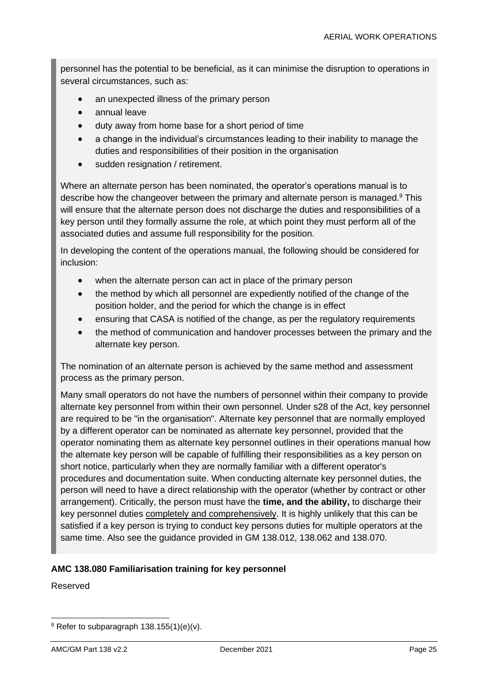personnel has the potential to be beneficial, as it can minimise the disruption to operations in several circumstances, such as:

- an unexpected illness of the primary person
- annual leave
- duty away from home base for a short period of time
- a change in the individual's circumstances leading to their inability to manage the duties and responsibilities of their position in the organisation
- sudden resignation / retirement.

Where an alternate person has been nominated, the operator's operations manual is to describe how the changeover between the primary and alternate person is managed.<sup>9</sup> This will ensure that the alternate person does not discharge the duties and responsibilities of a key person until they formally assume the role, at which point they must perform all of the associated duties and assume full responsibility for the position.

In developing the content of the operations manual, the following should be considered for inclusion:

- when the alternate person can act in place of the primary person
- the method by which all personnel are expediently notified of the change of the position holder, and the period for which the change is in effect
- ensuring that CASA is notified of the change, as per the regulatory requirements
- the method of communication and handover processes between the primary and the alternate key person.

The nomination of an alternate person is achieved by the same method and assessment process as the primary person.

Many small operators do not have the numbers of personnel within their company to provide alternate key personnel from within their own personnel. Under s28 of the Act, key personnel are required to be "in the organisation". Alternate key personnel that are normally employed by a different operator can be nominated as alternate key personnel, provided that the operator nominating them as alternate key personnel outlines in their operations manual how the alternate key person will be capable of fulfilling their responsibilities as a key person on short notice, particularly when they are normally familiar with a different operator's procedures and documentation suite. When conducting alternate key personnel duties, the person will need to have a direct relationship with the operator (whether by contract or other arrangement). Critically, the person must have the **time, and the ability,** to discharge their key personnel duties completely and comprehensively. It is highly unlikely that this can be satisfied if a key person is trying to conduct key persons duties for multiple operators at the same time. Also see the guidance provided in GM 138.012, 138.062 and 138.070.

#### **AMC 138.080 Familiarisation training for key personnel**

 $9$  Refer to subparagraph 138.155(1)(e)(v).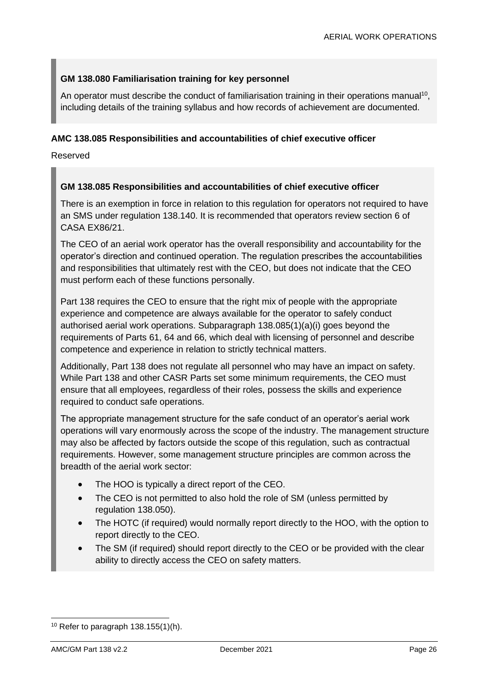#### **GM 138.080 Familiarisation training for key personnel**

An operator must describe the conduct of familiarisation training in their operations manual<sup>10</sup>, including details of the training syllabus and how records of achievement are documented.

#### **AMC 138.085 Responsibilities and accountabilities of chief executive officer**

Reserved

#### **GM 138.085 Responsibilities and accountabilities of chief executive officer**

There is an exemption in force in relation to this regulation for operators not required to have an SMS under regulation 138.140. It is recommended that operators review section 6 of CASA EX86/21.

The CEO of an aerial work operator has the overall responsibility and accountability for the operator's direction and continued operation. The regulation prescribes the accountabilities and responsibilities that ultimately rest with the CEO, but does not indicate that the CEO must perform each of these functions personally.

Part 138 requires the CEO to ensure that the right mix of people with the appropriate experience and competence are always available for the operator to safely conduct authorised aerial work operations. Subparagraph 138.085(1)(a)(i) goes beyond the requirements of Parts 61, 64 and 66, which deal with licensing of personnel and describe competence and experience in relation to strictly technical matters.

Additionally, Part 138 does not regulate all personnel who may have an impact on safety. While Part 138 and other CASR Parts set some minimum requirements, the CEO must ensure that all employees, regardless of their roles, possess the skills and experience required to conduct safe operations.

The appropriate management structure for the safe conduct of an operator's aerial work operations will vary enormously across the scope of the industry. The management structure may also be affected by factors outside the scope of this regulation, such as contractual requirements. However, some management structure principles are common across the breadth of the aerial work sector:

- The HOO is typically a direct report of the CEO.
- The CEO is not permitted to also hold the role of SM (unless permitted by regulation 138.050).
- The HOTC (if required) would normally report directly to the HOO, with the option to report directly to the CEO.
- The SM (if required) should report directly to the CEO or be provided with the clear ability to directly access the CEO on safety matters.

 $10$  Refer to paragraph 138.155(1)(h).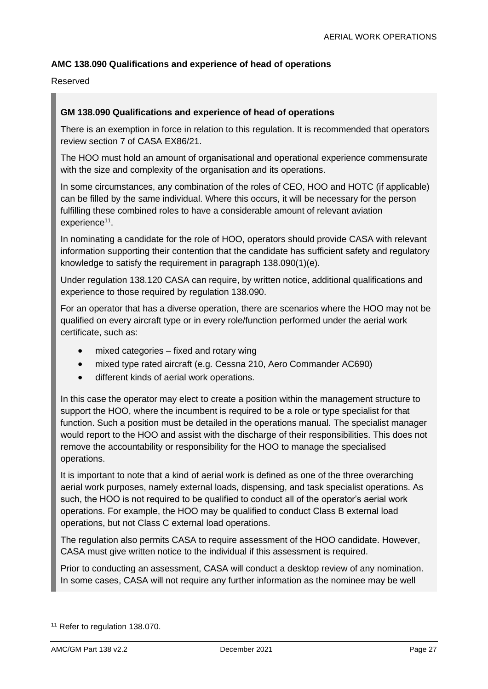#### **AMC 138.090 Qualifications and experience of head of operations**

#### Reserved

#### **GM 138.090 Qualifications and experience of head of operations**

There is an exemption in force in relation to this regulation. It is recommended that operators review section 7 of CASA EX86/21.

The HOO must hold an amount of organisational and operational experience commensurate with the size and complexity of the organisation and its operations.

In some circumstances, any combination of the roles of CEO, HOO and HOTC (if applicable) can be filled by the same individual. Where this occurs, it will be necessary for the person fulfilling these combined roles to have a considerable amount of relevant aviation experience<sup>11</sup>.

In nominating a candidate for the role of HOO, operators should provide CASA with relevant information supporting their contention that the candidate has sufficient safety and regulatory knowledge to satisfy the requirement in paragraph 138.090(1)(e).

Under regulation 138.120 CASA can require, by written notice, additional qualifications and experience to those required by regulation 138.090.

For an operator that has a diverse operation, there are scenarios where the HOO may not be qualified on every aircraft type or in every role/function performed under the aerial work certificate, such as:

- mixed categories fixed and rotary wing
- mixed type rated aircraft (e.g. Cessna 210, Aero Commander AC690)
- different kinds of aerial work operations.

In this case the operator may elect to create a position within the management structure to support the HOO, where the incumbent is required to be a role or type specialist for that function. Such a position must be detailed in the operations manual. The specialist manager would report to the HOO and assist with the discharge of their responsibilities. This does not remove the accountability or responsibility for the HOO to manage the specialised operations.

It is important to note that a kind of aerial work is defined as one of the three overarching aerial work purposes, namely external loads, dispensing, and task specialist operations. As such, the HOO is not required to be qualified to conduct all of the operator's aerial work operations. For example, the HOO may be qualified to conduct Class B external load operations, but not Class C external load operations.

The regulation also permits CASA to require assessment of the HOO candidate. However, CASA must give written notice to the individual if this assessment is required.

Prior to conducting an assessment, CASA will conduct a desktop review of any nomination. In some cases, CASA will not require any further information as the nominee may be well

<sup>&</sup>lt;sup>11</sup> Refer to regulation 138.070.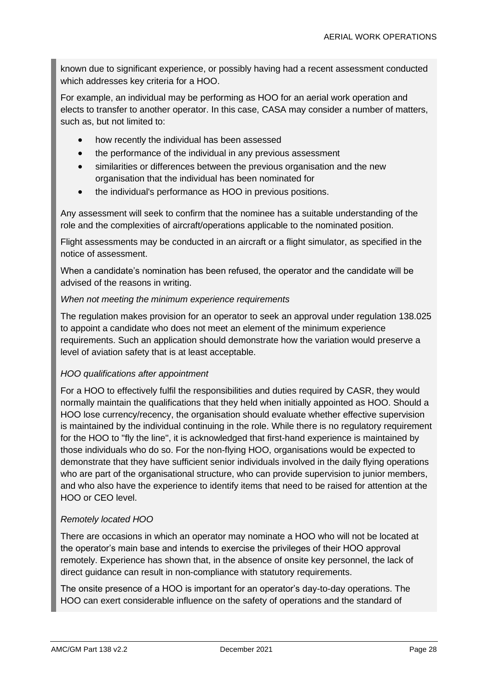known due to significant experience, or possibly having had a recent assessment conducted which addresses key criteria for a HOO.

For example, an individual may be performing as HOO for an aerial work operation and elects to transfer to another operator. In this case, CASA may consider a number of matters, such as, but not limited to:

- how recently the individual has been assessed
- the performance of the individual in any previous assessment
- similarities or differences between the previous organisation and the new organisation that the individual has been nominated for
- the individual's performance as HOO in previous positions.

Any assessment will seek to confirm that the nominee has a suitable understanding of the role and the complexities of aircraft/operations applicable to the nominated position.

Flight assessments may be conducted in an aircraft or a flight simulator, as specified in the notice of assessment.

When a candidate's nomination has been refused, the operator and the candidate will be advised of the reasons in writing.

#### *When not meeting the minimum experience requirements*

The regulation makes provision for an operator to seek an approval under regulation 138.025 to appoint a candidate who does not meet an element of the minimum experience requirements. Such an application should demonstrate how the variation would preserve a level of aviation safety that is at least acceptable.

#### *HOO qualifications after appointment*

For a HOO to effectively fulfil the responsibilities and duties required by CASR, they would normally maintain the qualifications that they held when initially appointed as HOO. Should a HOO lose currency/recency, the organisation should evaluate whether effective supervision is maintained by the individual continuing in the role. While there is no regulatory requirement for the HOO to "fly the line", it is acknowledged that first-hand experience is maintained by those individuals who do so. For the non-flying HOO, organisations would be expected to demonstrate that they have sufficient senior individuals involved in the daily flying operations who are part of the organisational structure, who can provide supervision to junior members, and who also have the experience to identify items that need to be raised for attention at the HOO or CEO level.

#### *Remotely located HOO*

There are occasions in which an operator may nominate a HOO who will not be located at the operator's main base and intends to exercise the privileges of their HOO approval remotely. Experience has shown that, in the absence of onsite key personnel, the lack of direct guidance can result in non-compliance with statutory requirements.

The onsite presence of a HOO is important for an operator's day-to-day operations. The HOO can exert considerable influence on the safety of operations and the standard of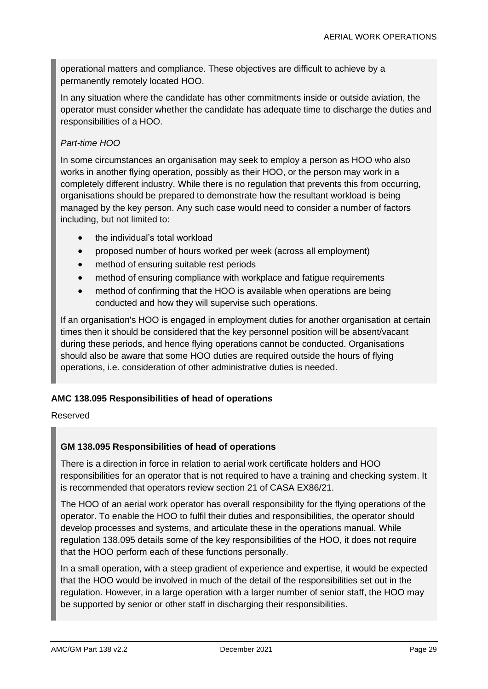operational matters and compliance. These objectives are difficult to achieve by a permanently remotely located HOO.

In any situation where the candidate has other commitments inside or outside aviation, the operator must consider whether the candidate has adequate time to discharge the duties and responsibilities of a HOO.

#### *Part-time HOO*

In some circumstances an organisation may seek to employ a person as HOO who also works in another flying operation, possibly as their HOO, or the person may work in a completely different industry. While there is no regulation that prevents this from occurring, organisations should be prepared to demonstrate how the resultant workload is being managed by the key person. Any such case would need to consider a number of factors including, but not limited to:

- the individual's total workload
- proposed number of hours worked per week (across all employment)
- method of ensuring suitable rest periods
- method of ensuring compliance with workplace and fatigue requirements
- method of confirming that the HOO is available when operations are being conducted and how they will supervise such operations.

If an organisation's HOO is engaged in employment duties for another organisation at certain times then it should be considered that the key personnel position will be absent/vacant during these periods, and hence flying operations cannot be conducted. Organisations should also be aware that some HOO duties are required outside the hours of flying operations, i.e. consideration of other administrative duties is needed.

#### **AMC 138.095 Responsibilities of head of operations**

#### Reserved

#### **GM 138.095 Responsibilities of head of operations**

There is a direction in force in relation to aerial work certificate holders and HOO responsibilities for an operator that is not required to have a training and checking system. It is recommended that operators review section 21 of CASA EX86/21.

The HOO of an aerial work operator has overall responsibility for the flying operations of the operator. To enable the HOO to fulfil their duties and responsibilities, the operator should develop processes and systems, and articulate these in the operations manual. While regulation 138.095 details some of the key responsibilities of the HOO, it does not require that the HOO perform each of these functions personally.

In a small operation, with a steep gradient of experience and expertise, it would be expected that the HOO would be involved in much of the detail of the responsibilities set out in the regulation. However, in a large operation with a larger number of senior staff, the HOO may be supported by senior or other staff in discharging their responsibilities.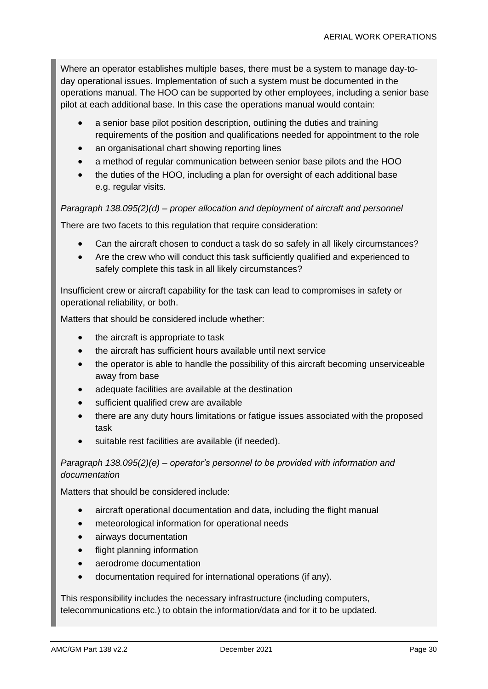Where an operator establishes multiple bases, there must be a system to manage day-today operational issues. Implementation of such a system must be documented in the operations manual. The HOO can be supported by other employees, including a senior base pilot at each additional base. In this case the operations manual would contain:

- a senior base pilot position description, outlining the duties and training requirements of the position and qualifications needed for appointment to the role
- an organisational chart showing reporting lines
- a method of regular communication between senior base pilots and the HOO
- the duties of the HOO, including a plan for oversight of each additional base e.g. regular visits.

#### *Paragraph 138.095(2)(d) – proper allocation and deployment of aircraft and personnel*

There are two facets to this regulation that require consideration:

- Can the aircraft chosen to conduct a task do so safely in all likely circumstances?
- Are the crew who will conduct this task sufficiently qualified and experienced to safely complete this task in all likely circumstances?

Insufficient crew or aircraft capability for the task can lead to compromises in safety or operational reliability, or both.

Matters that should be considered include whether:

- the aircraft is appropriate to task
- the aircraft has sufficient hours available until next service
- the operator is able to handle the possibility of this aircraft becoming unserviceable away from base
- adequate facilities are available at the destination
- sufficient qualified crew are available
- there are any duty hours limitations or fatigue issues associated with the proposed task
- suitable rest facilities are available (if needed).

#### *Paragraph 138.095(2)(e) – operator's personnel to be provided with information and documentation*

Matters that should be considered include:

- aircraft operational documentation and data, including the flight manual
- meteorological information for operational needs
- airways documentation
- flight planning information
- aerodrome documentation
- documentation required for international operations (if any).

This responsibility includes the necessary infrastructure (including computers, telecommunications etc.) to obtain the information/data and for it to be updated.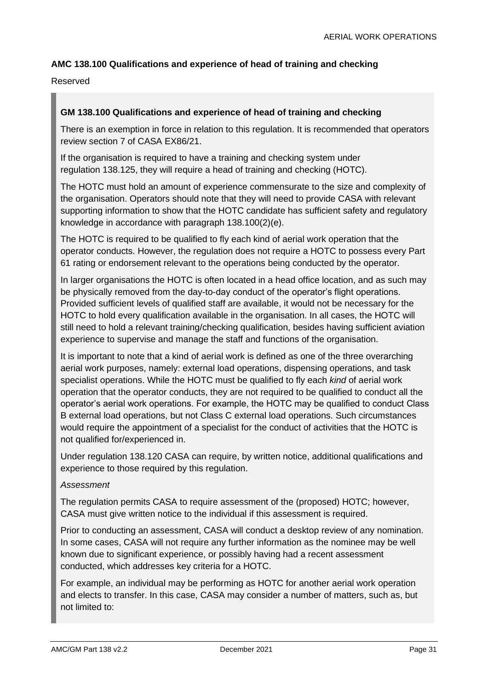#### **AMC 138.100 Qualifications and experience of head of training and checking**

#### Reserved

#### **GM 138.100 Qualifications and experience of head of training and checking**

There is an exemption in force in relation to this regulation. It is recommended that operators review section 7 of CASA EX86/21.

If the organisation is required to have a training and checking system under regulation 138.125, they will require a head of training and checking (HOTC).

The HOTC must hold an amount of experience commensurate to the size and complexity of the organisation. Operators should note that they will need to provide CASA with relevant supporting information to show that the HOTC candidate has sufficient safety and regulatory knowledge in accordance with paragraph 138.100(2)(e).

The HOTC is required to be qualified to fly each kind of aerial work operation that the operator conducts. However, the regulation does not require a HOTC to possess every Part 61 rating or endorsement relevant to the operations being conducted by the operator.

In larger organisations the HOTC is often located in a head office location, and as such may be physically removed from the day-to-day conduct of the operator's flight operations. Provided sufficient levels of qualified staff are available, it would not be necessary for the HOTC to hold every qualification available in the organisation. In all cases, the HOTC will still need to hold a relevant training/checking qualification, besides having sufficient aviation experience to supervise and manage the staff and functions of the organisation.

It is important to note that a kind of aerial work is defined as one of the three overarching aerial work purposes, namely: external load operations, dispensing operations, and task specialist operations. While the HOTC must be qualified to fly each *kind* of aerial work operation that the operator conducts, they are not required to be qualified to conduct all the operator's aerial work operations. For example, the HOTC may be qualified to conduct Class B external load operations, but not Class C external load operations. Such circumstances would require the appointment of a specialist for the conduct of activities that the HOTC is not qualified for/experienced in.

Under regulation 138.120 CASA can require, by written notice, additional qualifications and experience to those required by this regulation.

#### *Assessment*

The regulation permits CASA to require assessment of the (proposed) HOTC; however, CASA must give written notice to the individual if this assessment is required.

Prior to conducting an assessment, CASA will conduct a desktop review of any nomination. In some cases, CASA will not require any further information as the nominee may be well known due to significant experience, or possibly having had a recent assessment conducted, which addresses key criteria for a HOTC.

For example, an individual may be performing as HOTC for another aerial work operation and elects to transfer. In this case, CASA may consider a number of matters, such as, but not limited to: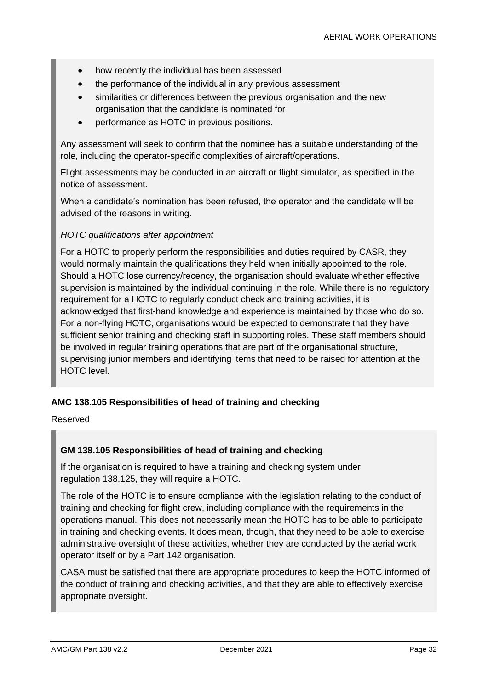- how recently the individual has been assessed
- the performance of the individual in any previous assessment
- similarities or differences between the previous organisation and the new organisation that the candidate is nominated for
- performance as HOTC in previous positions.

Any assessment will seek to confirm that the nominee has a suitable understanding of the role, including the operator-specific complexities of aircraft/operations.

Flight assessments may be conducted in an aircraft or flight simulator, as specified in the notice of assessment.

When a candidate's nomination has been refused, the operator and the candidate will be advised of the reasons in writing.

#### *HOTC qualifications after appointment*

For a HOTC to properly perform the responsibilities and duties required by CASR, they would normally maintain the qualifications they held when initially appointed to the role. Should a HOTC lose currency/recency, the organisation should evaluate whether effective supervision is maintained by the individual continuing in the role. While there is no regulatory requirement for a HOTC to regularly conduct check and training activities, it is acknowledged that first-hand knowledge and experience is maintained by those who do so. For a non-flying HOTC, organisations would be expected to demonstrate that they have sufficient senior training and checking staff in supporting roles. These staff members should be involved in regular training operations that are part of the organisational structure, supervising junior members and identifying items that need to be raised for attention at the HOTC level.

#### **AMC 138.105 Responsibilities of head of training and checking**

Reserved

#### **GM 138.105 Responsibilities of head of training and checking**

If the organisation is required to have a training and checking system under regulation 138.125, they will require a HOTC.

The role of the HOTC is to ensure compliance with the legislation relating to the conduct of training and checking for flight crew, including compliance with the requirements in the operations manual. This does not necessarily mean the HOTC has to be able to participate in training and checking events. It does mean, though, that they need to be able to exercise administrative oversight of these activities, whether they are conducted by the aerial work operator itself or by a Part 142 organisation.

CASA must be satisfied that there are appropriate procedures to keep the HOTC informed of the conduct of training and checking activities, and that they are able to effectively exercise appropriate oversight.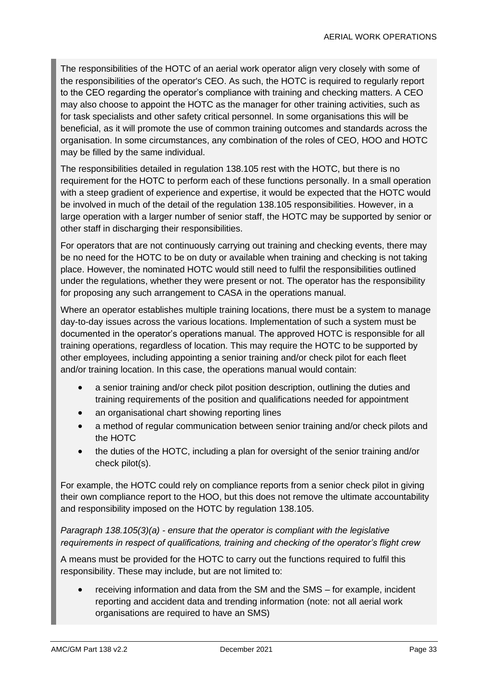The responsibilities of the HOTC of an aerial work operator align very closely with some of the responsibilities of the operator's CEO. As such, the HOTC is required to regularly report to the CEO regarding the operator's compliance with training and checking matters. A CEO may also choose to appoint the HOTC as the manager for other training activities, such as for task specialists and other safety critical personnel. In some organisations this will be beneficial, as it will promote the use of common training outcomes and standards across the organisation. In some circumstances, any combination of the roles of CEO, HOO and HOTC may be filled by the same individual.

The responsibilities detailed in regulation 138.105 rest with the HOTC, but there is no requirement for the HOTC to perform each of these functions personally. In a small operation with a steep gradient of experience and expertise, it would be expected that the HOTC would be involved in much of the detail of the regulation 138.105 responsibilities. However, in a large operation with a larger number of senior staff, the HOTC may be supported by senior or other staff in discharging their responsibilities.

For operators that are not continuously carrying out training and checking events, there may be no need for the HOTC to be on duty or available when training and checking is not taking place. However, the nominated HOTC would still need to fulfil the responsibilities outlined under the regulations, whether they were present or not. The operator has the responsibility for proposing any such arrangement to CASA in the operations manual.

Where an operator establishes multiple training locations, there must be a system to manage day-to-day issues across the various locations. Implementation of such a system must be documented in the operator's operations manual. The approved HOTC is responsible for all training operations, regardless of location. This may require the HOTC to be supported by other employees, including appointing a senior training and/or check pilot for each fleet and/or training location. In this case, the operations manual would contain:

- a senior training and/or check pilot position description, outlining the duties and training requirements of the position and qualifications needed for appointment
- an organisational chart showing reporting lines
- a method of regular communication between senior training and/or check pilots and the HOTC
- the duties of the HOTC, including a plan for oversight of the senior training and/or check pilot(s).

For example, the HOTC could rely on compliance reports from a senior check pilot in giving their own compliance report to the HOO, but this does not remove the ultimate accountability and responsibility imposed on the HOTC by regulation 138.105.

*Paragraph 138.105(3)(a) - ensure that the operator is compliant with the legislative requirements in respect of qualifications, training and checking of the operator's flight crew*

A means must be provided for the HOTC to carry out the functions required to fulfil this responsibility. These may include, but are not limited to:

• receiving information and data from the SM and the SMS – for example, incident reporting and accident data and trending information (note: not all aerial work organisations are required to have an SMS)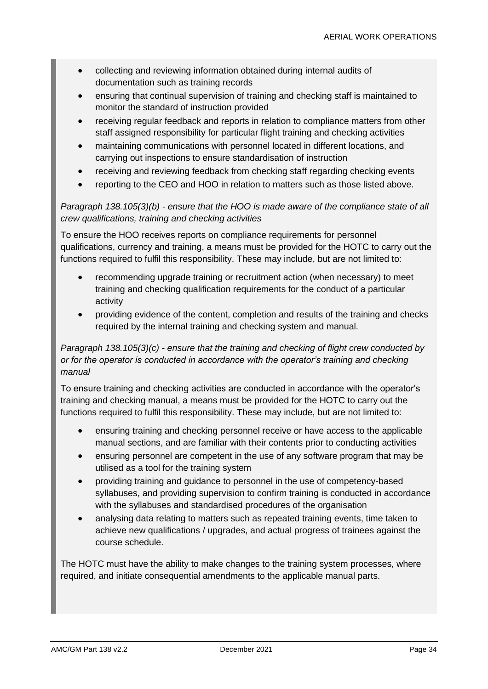- collecting and reviewing information obtained during internal audits of documentation such as training records
- ensuring that continual supervision of training and checking staff is maintained to monitor the standard of instruction provided
- receiving regular feedback and reports in relation to compliance matters from other staff assigned responsibility for particular flight training and checking activities
- maintaining communications with personnel located in different locations, and carrying out inspections to ensure standardisation of instruction
- receiving and reviewing feedback from checking staff regarding checking events
- reporting to the CEO and HOO in relation to matters such as those listed above.

#### *Paragraph 138.105(3)(b) - ensure that the HOO is made aware of the compliance state of all crew qualifications, training and checking activities*

To ensure the HOO receives reports on compliance requirements for personnel qualifications, currency and training, a means must be provided for the HOTC to carry out the functions required to fulfil this responsibility. These may include, but are not limited to:

- recommending upgrade training or recruitment action (when necessary) to meet training and checking qualification requirements for the conduct of a particular activity
- providing evidence of the content, completion and results of the training and checks required by the internal training and checking system and manual.

#### *Paragraph 138.105(3)(c) - ensure that the training and checking of flight crew conducted by or for the operator is conducted in accordance with the operator's training and checking manual*

To ensure training and checking activities are conducted in accordance with the operator's training and checking manual, a means must be provided for the HOTC to carry out the functions required to fulfil this responsibility. These may include, but are not limited to:

- ensuring training and checking personnel receive or have access to the applicable manual sections, and are familiar with their contents prior to conducting activities
- ensuring personnel are competent in the use of any software program that may be utilised as a tool for the training system
- providing training and guidance to personnel in the use of competency-based syllabuses, and providing supervision to confirm training is conducted in accordance with the syllabuses and standardised procedures of the organisation
- analysing data relating to matters such as repeated training events, time taken to achieve new qualifications / upgrades, and actual progress of trainees against the course schedule.

The HOTC must have the ability to make changes to the training system processes, where required, and initiate consequential amendments to the applicable manual parts.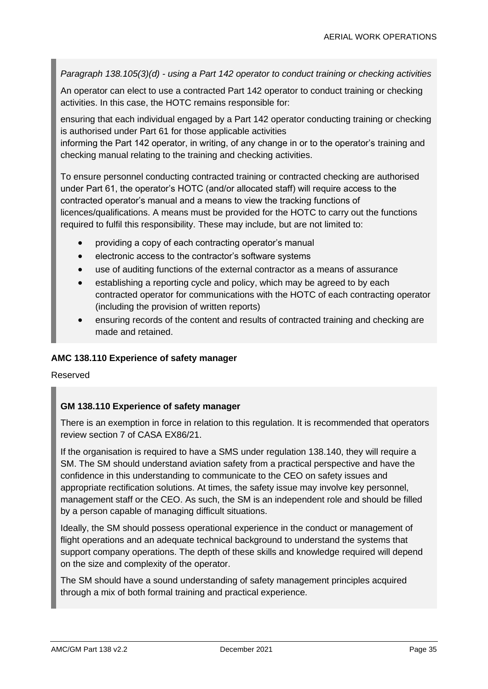*Paragraph 138.105(3)(d) - using a Part 142 operator to conduct training or checking activities*

An operator can elect to use a contracted Part 142 operator to conduct training or checking activities. In this case, the HOTC remains responsible for:

ensuring that each individual engaged by a Part 142 operator conducting training or checking is authorised under Part 61 for those applicable activities informing the Part 142 operator, in writing, of any change in or to the operator's training and checking manual relating to the training and checking activities.

To ensure personnel conducting contracted training or contracted checking are authorised under Part 61, the operator's HOTC (and/or allocated staff) will require access to the contracted operator's manual and a means to view the tracking functions of licences/qualifications. A means must be provided for the HOTC to carry out the functions required to fulfil this responsibility. These may include, but are not limited to:

- providing a copy of each contracting operator's manual
- electronic access to the contractor's software systems
- use of auditing functions of the external contractor as a means of assurance
- establishing a reporting cycle and policy, which may be agreed to by each contracted operator for communications with the HOTC of each contracting operator (including the provision of written reports)
- ensuring records of the content and results of contracted training and checking are made and retained.

#### **AMC 138.110 Experience of safety manager**

Reserved

#### **GM 138.110 Experience of safety manager**

There is an exemption in force in relation to this regulation. It is recommended that operators review section 7 of CASA EX86/21.

If the organisation is required to have a SMS under regulation 138.140, they will require a SM. The SM should understand aviation safety from a practical perspective and have the confidence in this understanding to communicate to the CEO on safety issues and appropriate rectification solutions. At times, the safety issue may involve key personnel, management staff or the CEO. As such, the SM is an independent role and should be filled by a person capable of managing difficult situations.

Ideally, the SM should possess operational experience in the conduct or management of flight operations and an adequate technical background to understand the systems that support company operations. The depth of these skills and knowledge required will depend on the size and complexity of the operator.

The SM should have a sound understanding of safety management principles acquired through a mix of both formal training and practical experience.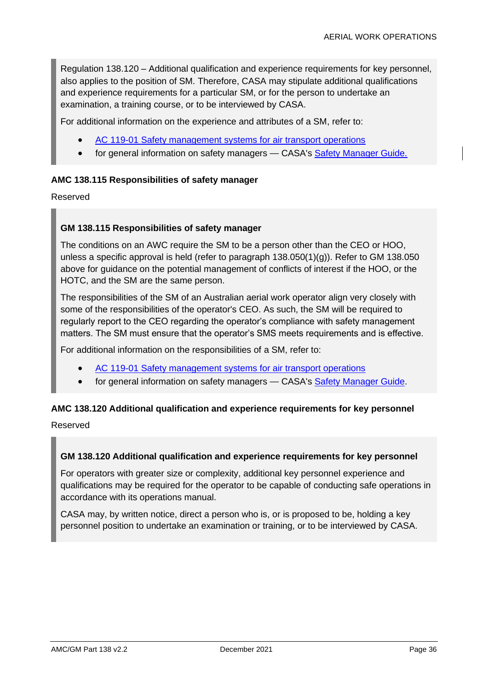Regulation 138.120 – Additional qualification and experience requirements for key personnel, also applies to the position of SM. Therefore, CASA may stipulate additional qualifications and experience requirements for a particular SM, or for the person to undertake an examination, a training course, or to be interviewed by CASA.

For additional information on the experience and attributes of a SM, refer to:

- AC 119-01 [Safety management systems for air transport operations](https://www.casa.gov.au/search-centre/advisory-circulars)
- for general information on safety managers CASA's [Safety Manager Guide.](https://www.casa.gov.au/content-search/safety-kits/safety-manager-guide)

#### **AMC 138.115 Responsibilities of safety manager**

Reserved

#### **GM 138.115 Responsibilities of safety manager**

The conditions on an AWC require the SM to be a person other than the CEO or HOO, unless a specific approval is held (refer to paragraph 138.050(1)(g)). Refer to GM 138.050 above for guidance on the potential management of conflicts of interest if the HOO, or the HOTC, and the SM are the same person.

The responsibilities of the SM of an Australian aerial work operator align very closely with some of the responsibilities of the operator's CEO. As such, the SM will be required to regularly report to the CEO regarding the operator's compliance with safety management matters. The SM must ensure that the operator's SMS meets requirements and is effective.

For additional information on the responsibilities of a SM, refer to:

- AC 119-01 [Safety management systems for air transport operations](https://www.casa.gov.au/search-centre/advisory-circulars)
- for general information on safety managers CASA's [Safety Manager Guide.](https://www.casa.gov.au/content-search/safety-kits/safety-manager-guide)

#### **AMC 138.120 Additional qualification and experience requirements for key personnel**

Reserved

#### **GM 138.120 Additional qualification and experience requirements for key personnel**

For operators with greater size or complexity, additional key personnel experience and qualifications may be required for the operator to be capable of conducting safe operations in accordance with its operations manual.

CASA may, by written notice, direct a person who is, or is proposed to be, holding a key personnel position to undertake an examination or training, or to be interviewed by CASA.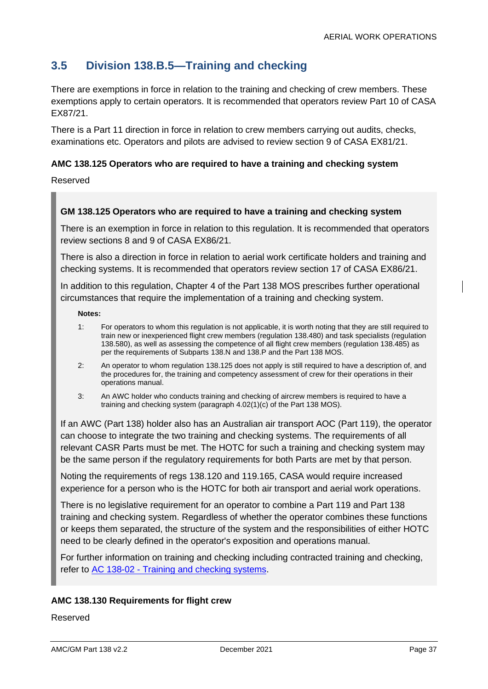# **3.5 Division 138.B.5—Training and checking**

There are exemptions in force in relation to the training and checking of crew members. These exemptions apply to certain operators. It is recommended that operators review Part 10 of CASA EX87/21.

There is a Part 11 direction in force in relation to crew members carrying out audits, checks, examinations etc. Operators and pilots are advised to review section 9 of CASA EX81/21.

### **AMC 138.125 Operators who are required to have a training and checking system**

Reserved

#### **GM 138.125 Operators who are required to have a training and checking system**

There is an exemption in force in relation to this regulation. It is recommended that operators review sections 8 and 9 of CASA EX86/21.

There is also a direction in force in relation to aerial work certificate holders and training and checking systems. It is recommended that operators review section 17 of CASA EX86/21.

In addition to this regulation, Chapter 4 of the Part 138 MOS prescribes further operational circumstances that require the implementation of a training and checking system.

**Notes:**

- 1: For operators to whom this regulation is not applicable, it is worth noting that they are still required to train new or inexperienced flight crew members (regulation 138.480) and task specialists (regulation 138.580), as well as assessing the competence of all flight crew members (regulation 138.485) as per the requirements of Subparts 138.N and 138.P and the Part 138 MOS.
- 2: An operator to whom regulation 138.125 does not apply is still required to have a description of, and the procedures for, the training and competency assessment of crew for their operations in their operations manual.
- 3: An AWC holder who conducts training and checking of aircrew members is required to have a training and checking system (paragraph 4.02(1)(c) of the Part 138 MOS).

If an AWC (Part 138) holder also has an Australian air transport AOC (Part 119), the operator can choose to integrate the two training and checking systems. The requirements of all relevant CASR Parts must be met. The HOTC for such a training and checking system may be the same person if the regulatory requirements for both Parts are met by that person.

Noting the requirements of regs 138.120 and 119.165, CASA would require increased experience for a person who is the HOTC for both air transport and aerial work operations.

There is no legislative requirement for an operator to combine a Part 119 and Part 138 training and checking system. Regardless of whether the operator combines these functions or keeps them separated, the structure of the system and the responsibilities of either HOTC need to be clearly defined in the operator's exposition and operations manual.

For further information on training and checking including contracted training and checking, refer to AC 138-02 - [Training and checking systems.](https://www.casa.gov.au/search-centre/advisory-circulars)

#### **AMC 138.130 Requirements for flight crew**

Reserved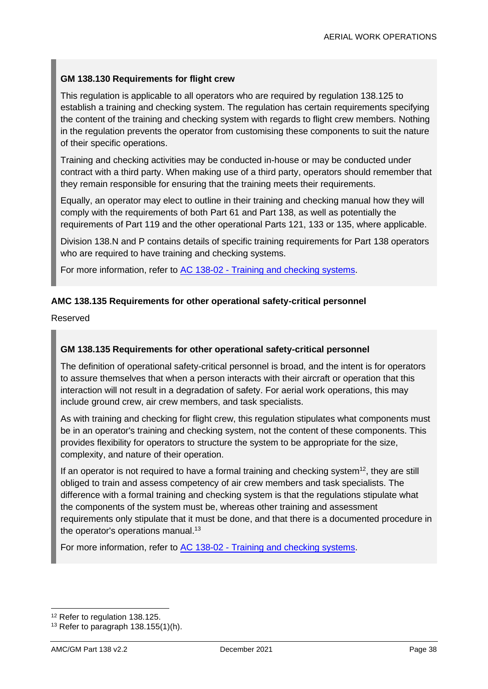### **GM 138.130 Requirements for flight crew**

This regulation is applicable to all operators who are required by regulation 138.125 to establish a training and checking system. The regulation has certain requirements specifying the content of the training and checking system with regards to flight crew members. Nothing in the regulation prevents the operator from customising these components to suit the nature of their specific operations.

Training and checking activities may be conducted in-house or may be conducted under contract with a third party. When making use of a third party, operators should remember that they remain responsible for ensuring that the training meets their requirements.

Equally, an operator may elect to outline in their training and checking manual how they will comply with the requirements of both Part 61 and Part 138, as well as potentially the requirements of Part 119 and the other operational Parts 121, 133 or 135, where applicable.

Division 138.N and P contains details of specific training requirements for Part 138 operators who are required to have training and checking systems.

For more information, refer to AC 138-02 - [Training and checking systems.](https://www.casa.gov.au/search-centre/advisory-circulars)

#### **AMC 138.135 Requirements for other operational safety-critical personnel**

Reserved

#### **GM 138.135 Requirements for other operational safety-critical personnel**

The definition of operational safety-critical personnel is broad, and the intent is for operators to assure themselves that when a person interacts with their aircraft or operation that this interaction will not result in a degradation of safety. For aerial work operations, this may include ground crew, air crew members, and task specialists.

As with training and checking for flight crew, this regulation stipulates what components must be in an operator's training and checking system, not the content of these components. This provides flexibility for operators to structure the system to be appropriate for the size, complexity, and nature of their operation.

If an operator is not required to have a formal training and checking system<sup>12</sup>, they are still obliged to train and assess competency of air crew members and task specialists. The difference with a formal training and checking system is that the regulations stipulate what the components of the system must be, whereas other training and assessment requirements only stipulate that it must be done, and that there is a documented procedure in the operator's operations manual.<sup>13</sup>

For more information, refer to AC 138-02 - [Training and checking systems.](https://www.casa.gov.au/search-centre/advisory-circulars)

<sup>&</sup>lt;sup>12</sup> Refer to regulation 138.125.

 $13$  Refer to paragraph 138.155(1)(h).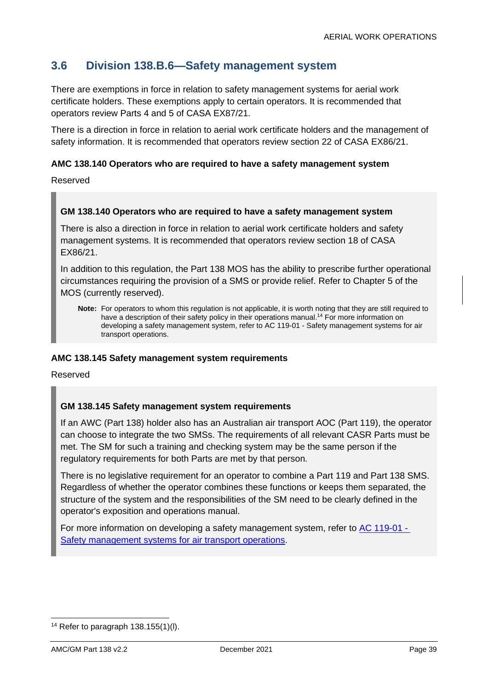# **3.6 Division 138.B.6—Safety management system**

There are exemptions in force in relation to safety management systems for aerial work certificate holders. These exemptions apply to certain operators. It is recommended that operators review Parts 4 and 5 of CASA EX87/21.

There is a direction in force in relation to aerial work certificate holders and the management of safety information. It is recommended that operators review section 22 of CASA EX86/21.

#### **AMC 138.140 Operators who are required to have a safety management system**

Reserved

#### **GM 138.140 Operators who are required to have a safety management system**

There is also a direction in force in relation to aerial work certificate holders and safety management systems. It is recommended that operators review section 18 of CASA EX86/21.

In addition to this regulation, the Part 138 MOS has the ability to prescribe further operational circumstances requiring the provision of a SMS or provide relief. Refer to Chapter 5 of the MOS (currently reserved).

#### **AMC 138.145 Safety management system requirements**

Reserved

#### **GM 138.145 Safety management system requirements**

If an AWC (Part 138) holder also has an Australian air transport AOC (Part 119), the operator can choose to integrate the two SMSs. The requirements of all relevant CASR Parts must be met. The SM for such a training and checking system may be the same person if the regulatory requirements for both Parts are met by that person.

There is no legislative requirement for an operator to combine a Part 119 and Part 138 SMS. Regardless of whether the operator combines these functions or keeps them separated, the structure of the system and the responsibilities of the SM need to be clearly defined in the operator's exposition and operations manual.

For more information on developing a safety management system, refer to [AC 119-01 -](https://www.casa.gov.au/search-centre/advisory-circulars) [Safety management systems for air transport operations.](https://www.casa.gov.au/search-centre/advisory-circulars)

**Note:** For operators to whom this regulation is not applicable, it is worth noting that they are still required to have a description of their safety policy in their operations manual. <sup>14</sup> For more information on developing a safety management system, refer to AC 119-01 - Safety management systems for air transport operations.

<sup>&</sup>lt;sup>14</sup> Refer to paragraph  $138.155(1)(l)$ .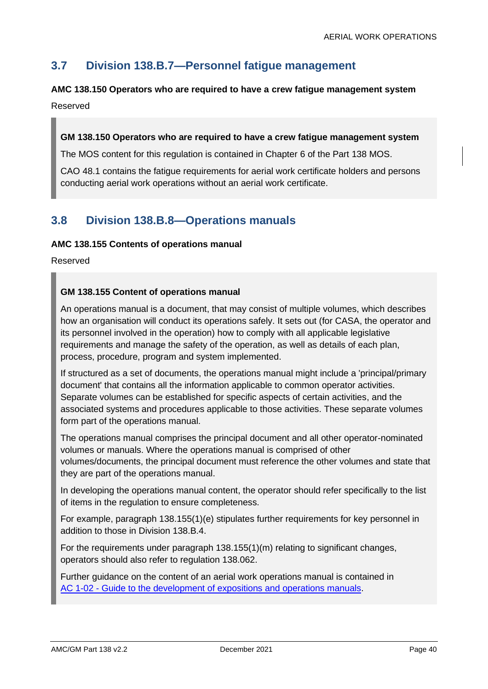# **3.7 Division 138.B.7—Personnel fatigue management**

# **AMC 138.150 Operators who are required to have a crew fatigue management system**

Reserved

# **GM 138.150 Operators who are required to have a crew fatigue management system**

The MOS content for this regulation is contained in Chapter 6 of the Part 138 MOS.

CAO 48.1 contains the fatigue requirements for aerial work certificate holders and persons conducting aerial work operations without an aerial work certificate.

# **3.8 Division 138.B.8—Operations manuals**

#### **AMC 138.155 Contents of operations manual**

Reserved

### **GM 138.155 Content of operations manual**

An operations manual is a document, that may consist of multiple volumes, which describes how an organisation will conduct its operations safely. It sets out (for CASA, the operator and its personnel involved in the operation) how to comply with all applicable legislative requirements and manage the safety of the operation, as well as details of each plan, process, procedure, program and system implemented.

If structured as a set of documents, the operations manual might include a 'principal/primary document' that contains all the information applicable to common operator activities. Separate volumes can be established for specific aspects of certain activities, and the associated systems and procedures applicable to those activities. These separate volumes form part of the operations manual.

The operations manual comprises the principal document and all other operator-nominated volumes or manuals. Where the operations manual is comprised of other volumes/documents, the principal document must reference the other volumes and state that they are part of the operations manual.

In developing the operations manual content, the operator should refer specifically to the list of items in the regulation to ensure completeness.

For example, paragraph 138.155(1)(e) stipulates further requirements for key personnel in addition to those in Division 138.B.4.

For the requirements under paragraph 138.155(1)(m) relating to significant changes, operators should also refer to regulation 138.062.

Further guidance on the content of an aerial work operations manual is contained in AC 1-02 - [Guide to the development of expositions and operations manuals.](https://www.casa.gov.au/search-centre/advisory-circulars)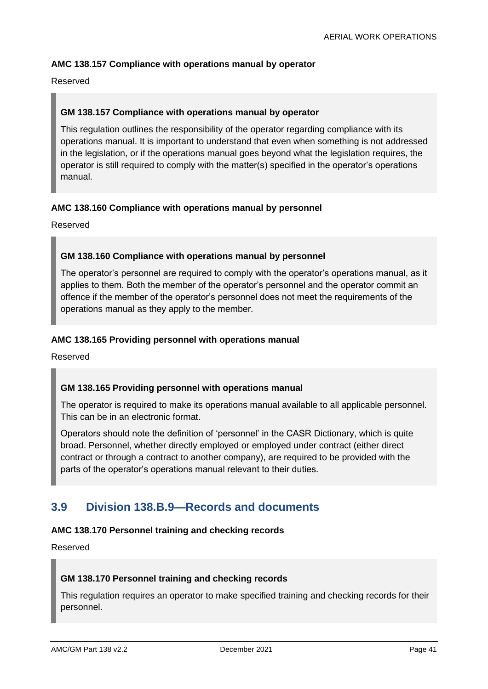# **AMC 138.157 Compliance with operations manual by operator**

Reserved

### **GM 138.157 Compliance with operations manual by operator**

This regulation outlines the responsibility of the operator regarding compliance with its operations manual. It is important to understand that even when something is not addressed in the legislation, or if the operations manual goes beyond what the legislation requires, the operator is still required to comply with the matter(s) specified in the operator's operations manual.

#### **AMC 138.160 Compliance with operations manual by personnel**

Reserved

#### **GM 138.160 Compliance with operations manual by personnel**

The operator's personnel are required to comply with the operator's operations manual, as it applies to them. Both the member of the operator's personnel and the operator commit an offence if the member of the operator's personnel does not meet the requirements of the operations manual as they apply to the member.

#### **AMC 138.165 Providing personnel with operations manual**

Reserved

#### **GM 138.165 Providing personnel with operations manual**

The operator is required to make its operations manual available to all applicable personnel. This can be in an electronic format.

Operators should note the definition of 'personnel' in the CASR Dictionary, which is quite broad. Personnel, whether directly employed or employed under contract (either direct contract or through a contract to another company), are required to be provided with the parts of the operator's operations manual relevant to their duties.

# **3.9 Division 138.B.9—Records and documents**

#### **AMC 138.170 Personnel training and checking records**

Reserved

#### **GM 138.170 Personnel training and checking records**

This regulation requires an operator to make specified training and checking records for their personnel.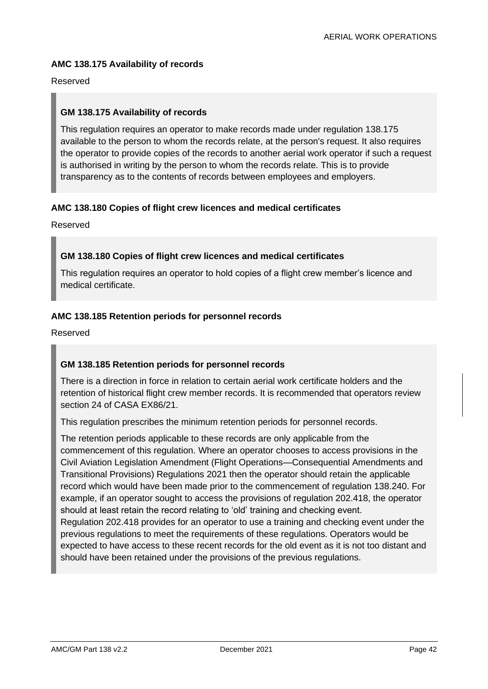#### **AMC 138.175 Availability of records**

#### Reserved

#### **GM 138.175 Availability of records**

This regulation requires an operator to make records made under regulation 138.175 available to the person to whom the records relate, at the person's request. It also requires the operator to provide copies of the records to another aerial work operator if such a request is authorised in writing by the person to whom the records relate. This is to provide transparency as to the contents of records between employees and employers.

#### **AMC 138.180 Copies of flight crew licences and medical certificates**

Reserved

#### **GM 138.180 Copies of flight crew licences and medical certificates**

This regulation requires an operator to hold copies of a flight crew member's licence and medical certificate.

#### **AMC 138.185 Retention periods for personnel records**

Reserved

#### **GM 138.185 Retention periods for personnel records**

There is a direction in force in relation to certain aerial work certificate holders and the retention of historical flight crew member records. It is recommended that operators review section 24 of CASA EX86/21.

This regulation prescribes the minimum retention periods for personnel records.

The retention periods applicable to these records are only applicable from the commencement of this regulation. Where an operator chooses to access provisions in the Civil Aviation Legislation Amendment (Flight Operations—Consequential Amendments and Transitional Provisions) Regulations 2021 then the operator should retain the applicable record which would have been made prior to the commencement of regulation 138.240. For example, if an operator sought to access the provisions of regulation 202.418, the operator should at least retain the record relating to 'old' training and checking event.

Regulation 202.418 provides for an operator to use a training and checking event under the previous regulations to meet the requirements of these regulations. Operators would be expected to have access to these recent records for the old event as it is not too distant and should have been retained under the provisions of the previous regulations.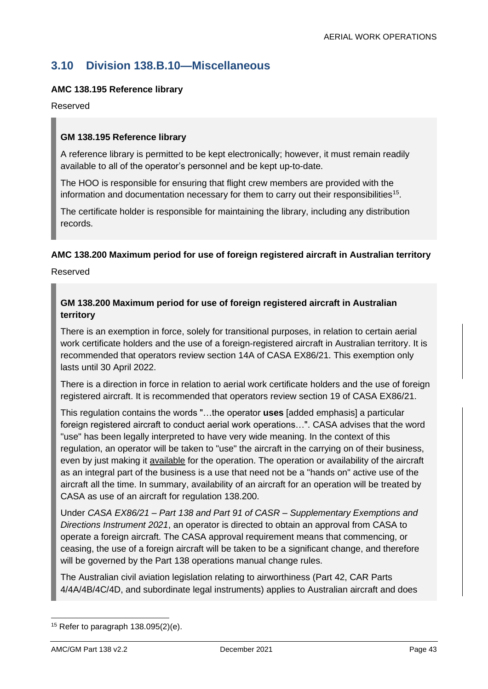# **3.10 Division 138.B.10—Miscellaneous**

## **AMC 138.195 Reference library**

#### Reserved

### **GM 138.195 Reference library**

A reference library is permitted to be kept electronically; however, it must remain readily available to all of the operator's personnel and be kept up-to-date.

The HOO is responsible for ensuring that flight crew members are provided with the information and documentation necessary for them to carry out their responsibilities<sup>15</sup>.

The certificate holder is responsible for maintaining the library, including any distribution records.

#### **AMC 138.200 Maximum period for use of foreign registered aircraft in Australian territory**

Reserved

### **GM 138.200 Maximum period for use of foreign registered aircraft in Australian territory**

There is an exemption in force, solely for transitional purposes, in relation to certain aerial work certificate holders and the use of a foreign-registered aircraft in Australian territory. It is recommended that operators review section 14A of CASA EX86/21. This exemption only lasts until 30 April 2022.

There is a direction in force in relation to aerial work certificate holders and the use of foreign registered aircraft. It is recommended that operators review section 19 of CASA EX86/21.

This regulation contains the words "…the operator **uses** [added emphasis] a particular foreign registered aircraft to conduct aerial work operations…". CASA advises that the word "use" has been legally interpreted to have very wide meaning. In the context of this regulation, an operator will be taken to "use" the aircraft in the carrying on of their business, even by just making it available for the operation. The operation or availability of the aircraft as an integral part of the business is a use that need not be a "hands on" active use of the aircraft all the time. In summary, availability of an aircraft for an operation will be treated by CASA as use of an aircraft for regulation 138.200.

Under *CASA EX86/21 – Part 138 and Part 91 of CASR – Supplementary Exemptions and Directions Instrument 2021*, an operator is directed to obtain an approval from CASA to operate a foreign aircraft. The CASA approval requirement means that commencing, or ceasing, the use of a foreign aircraft will be taken to be a significant change, and therefore will be governed by the Part 138 operations manual change rules.

The Australian civil aviation legislation relating to airworthiness (Part 42, CAR Parts 4/4A/4B/4C/4D, and subordinate legal instruments) applies to Australian aircraft and does

<sup>&</sup>lt;sup>15</sup> Refer to paragraph  $138.095(2)(e)$ .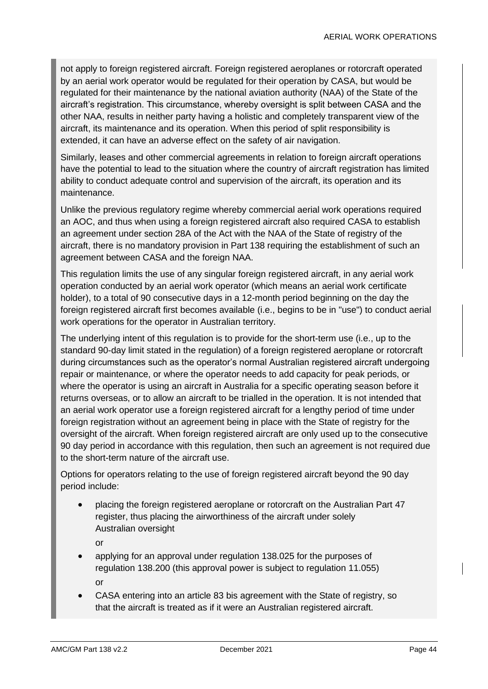not apply to foreign registered aircraft. Foreign registered aeroplanes or rotorcraft operated by an aerial work operator would be regulated for their operation by CASA, but would be regulated for their maintenance by the national aviation authority (NAA) of the State of the aircraft's registration. This circumstance, whereby oversight is split between CASA and the other NAA, results in neither party having a holistic and completely transparent view of the aircraft, its maintenance and its operation. When this period of split responsibility is extended, it can have an adverse effect on the safety of air navigation.

Similarly, leases and other commercial agreements in relation to foreign aircraft operations have the potential to lead to the situation where the country of aircraft registration has limited ability to conduct adequate control and supervision of the aircraft, its operation and its maintenance.

Unlike the previous regulatory regime whereby commercial aerial work operations required an AOC, and thus when using a foreign registered aircraft also required CASA to establish an agreement under section 28A of the Act with the NAA of the State of registry of the aircraft, there is no mandatory provision in Part 138 requiring the establishment of such an agreement between CASA and the foreign NAA.

This regulation limits the use of any singular foreign registered aircraft, in any aerial work operation conducted by an aerial work operator (which means an aerial work certificate holder), to a total of 90 consecutive days in a 12-month period beginning on the day the foreign registered aircraft first becomes available (i.e., begins to be in "use") to conduct aerial work operations for the operator in Australian territory.

The underlying intent of this regulation is to provide for the short-term use (i.e., up to the standard 90-day limit stated in the regulation) of a foreign registered aeroplane or rotorcraft during circumstances such as the operator's normal Australian registered aircraft undergoing repair or maintenance, or where the operator needs to add capacity for peak periods, or where the operator is using an aircraft in Australia for a specific operating season before it returns overseas, or to allow an aircraft to be trialled in the operation. It is not intended that an aerial work operator use a foreign registered aircraft for a lengthy period of time under foreign registration without an agreement being in place with the State of registry for the oversight of the aircraft. When foreign registered aircraft are only used up to the consecutive 90 day period in accordance with this regulation, then such an agreement is not required due to the short-term nature of the aircraft use.

Options for operators relating to the use of foreign registered aircraft beyond the 90 day period include:

• placing the foreign registered aeroplane or rotorcraft on the Australian Part 47 register, thus placing the airworthiness of the aircraft under solely Australian oversight

or

- applying for an approval under regulation 138.025 for the purposes of regulation 138.200 (this approval power is subject to regulation 11.055) or
- CASA entering into an article 83 bis agreement with the State of registry, so that the aircraft is treated as if it were an Australian registered aircraft.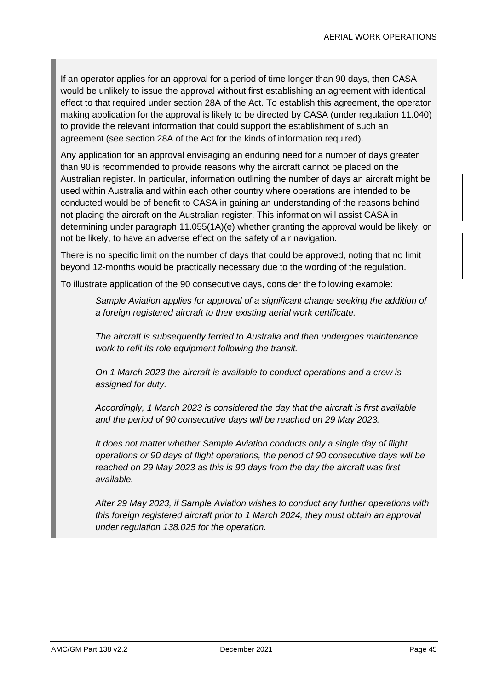If an operator applies for an approval for a period of time longer than 90 days, then CASA would be unlikely to issue the approval without first establishing an agreement with identical effect to that required under section 28A of the Act. To establish this agreement, the operator making application for the approval is likely to be directed by CASA (under regulation 11.040) to provide the relevant information that could support the establishment of such an agreement (see section 28A of the Act for the kinds of information required).

Any application for an approval envisaging an enduring need for a number of days greater than 90 is recommended to provide reasons why the aircraft cannot be placed on the Australian register. In particular, information outlining the number of days an aircraft might be used within Australia and within each other country where operations are intended to be conducted would be of benefit to CASA in gaining an understanding of the reasons behind not placing the aircraft on the Australian register. This information will assist CASA in determining under paragraph 11.055(1A)(e) whether granting the approval would be likely, or not be likely, to have an adverse effect on the safety of air navigation.

There is no specific limit on the number of days that could be approved, noting that no limit beyond 12-months would be practically necessary due to the wording of the regulation.

To illustrate application of the 90 consecutive days, consider the following example:

*Sample Aviation applies for approval of a significant change seeking the addition of a foreign registered aircraft to their existing aerial work certificate.* 

*The aircraft is subsequently ferried to Australia and then undergoes maintenance work to refit its role equipment following the transit.*

*On 1 March 2023 the aircraft is available to conduct operations and a crew is assigned for duty.*

*Accordingly, 1 March 2023 is considered the day that the aircraft is first available and the period of 90 consecutive days will be reached on 29 May 2023.*

*It does not matter whether Sample Aviation conducts only a single day of flight operations or 90 days of flight operations, the period of 90 consecutive days will be reached on 29 May 2023 as this is 90 days from the day the aircraft was first available.*

*After 29 May 2023, if Sample Aviation wishes to conduct any further operations with this foreign registered aircraft prior to 1 March 2024, they must obtain an approval under regulation 138.025 for the operation.*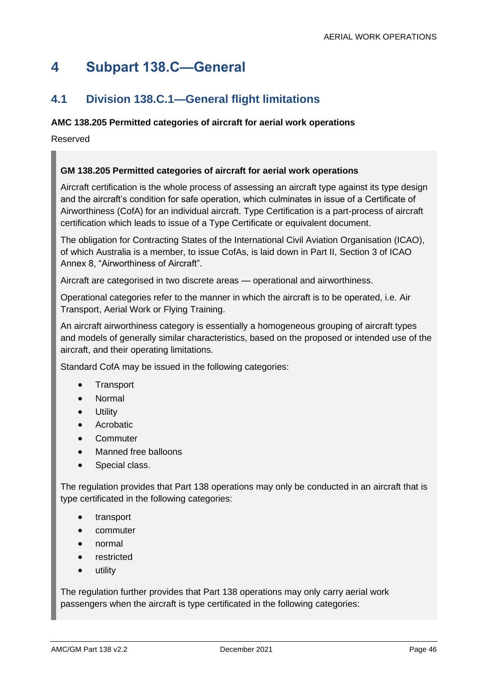# **4 Subpart 138.C—General**

# **4.1 Division 138.C.1—General flight limitations**

# **AMC 138.205 Permitted categories of aircraft for aerial work operations**

Reserved

# **GM 138.205 Permitted categories of aircraft for aerial work operations**

Aircraft certification is the whole process of assessing an aircraft type against its type design and the aircraft's condition for safe operation, which culminates in issue of a Certificate of Airworthiness (CofA) for an individual aircraft. Type Certification is a part-process of aircraft certification which leads to issue of a Type Certificate or equivalent document.

The obligation for Contracting States of the International Civil Aviation Organisation (ICAO), of which Australia is a member, to issue CofAs, is laid down in Part II, Section 3 of ICAO Annex 8, "Airworthiness of Aircraft".

Aircraft are categorised in two discrete areas — operational and airworthiness.

Operational categories refer to the manner in which the aircraft is to be operated, i.e. Air Transport, Aerial Work or Flying Training.

An aircraft airworthiness category is essentially a homogeneous grouping of aircraft types and models of generally similar characteristics, based on the proposed or intended use of the aircraft, and their operating limitations.

Standard CofA may be issued in the following categories:

- Transport
- Normal
- **Utility**
- Acrobatic
- Commuter
- Manned free balloons
- Special class.

The regulation provides that Part 138 operations may only be conducted in an aircraft that is type certificated in the following categories:

- transport
- commuter
- normal
- restricted
- utility

The regulation further provides that Part 138 operations may only carry aerial work passengers when the aircraft is type certificated in the following categories: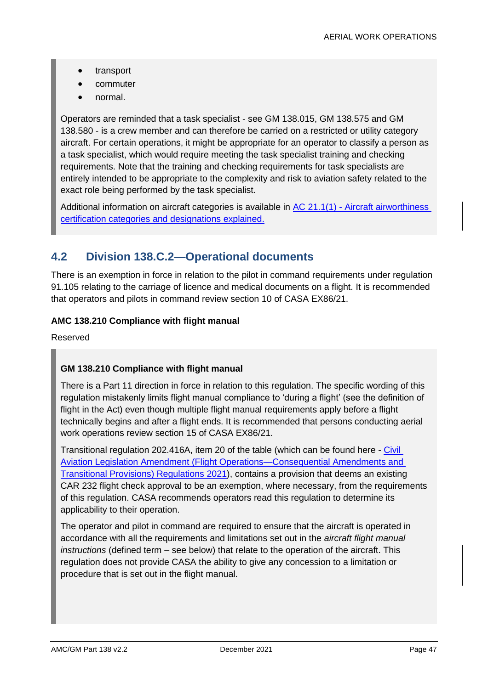- transport
- commuter
- normal.

Operators are reminded that a task specialist - see GM 138.015, GM 138.575 and GM 138.580 - is a crew member and can therefore be carried on a restricted or utility category aircraft. For certain operations, it might be appropriate for an operator to classify a person as a task specialist, which would require meeting the task specialist training and checking requirements. Note that the training and checking requirements for task specialists are entirely intended to be appropriate to the complexity and risk to aviation safety related to the exact role being performed by the task specialist.

Additional information on aircraft categories is available in AC 21.1(1) - Aircraft airworthiness [certification categories and designations explained.](https://www.casa.gov.au/search-centre/advisory-circulars)

# **4.2 Division 138.C.2—Operational documents**

There is an exemption in force in relation to the pilot in command requirements under regulation 91.105 relating to the carriage of licence and medical documents on a flight. It is recommended that operators and pilots in command review section 10 of CASA EX86/21.

### **AMC 138.210 Compliance with flight manual**

Reserved

# **GM 138.210 Compliance with flight manual**

There is a Part 11 direction in force in relation to this regulation. The specific wording of this regulation mistakenly limits flight manual compliance to 'during a flight' (see the definition of flight in the Act) even though multiple flight manual requirements apply before a flight technically begins and after a flight ends. It is recommended that persons conducting aerial work operations review section 15 of CASA EX86/21.

Transitional regulation 202.416A, item 20 of the table (which can be found here - [Civil](https://www.legislation.gov.au/Details/F2021L00200)  [Aviation Legislation Amendment \(Flight Operations—Consequential Amendments and](https://www.legislation.gov.au/Details/F2021L00200)  [Transitional Provisions\) Regulations 2021\)](https://www.legislation.gov.au/Details/F2021L00200), contains a provision that deems an existing CAR 232 flight check approval to be an exemption, where necessary, from the requirements of this regulation. CASA recommends operators read this regulation to determine its applicability to their operation.

The operator and pilot in command are required to ensure that the aircraft is operated in accordance with all the requirements and limitations set out in the *aircraft flight manual instructions* (defined term – see below) that relate to the operation of the aircraft. This regulation does not provide CASA the ability to give any concession to a limitation or procedure that is set out in the flight manual.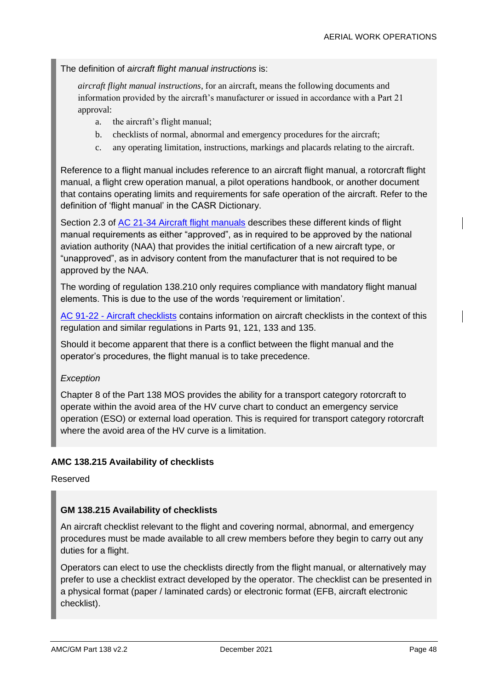The definition of *aircraft flight manual instructions* is:

*aircraft flight manual instructions*, for an aircraft, means the following documents and information provided by the aircraft's manufacturer or issued in accordance with a Part 21 approval:

- a. the aircraft's flight manual;
- b. checklists of normal, abnormal and emergency procedures for the aircraft;
- c. any operating limitation, instructions, markings and placards relating to the aircraft.

Reference to a flight manual includes reference to an aircraft flight manual, a rotorcraft flight manual, a flight crew operation manual, a pilot operations handbook, or another document that contains operating limits and requirements for safe operation of the aircraft. Refer to the definition of 'flight manual' in the CASR Dictionary.

Section 2.3 of [AC 21-34 Aircraft flight manuals](https://www.casa.gov.au/search-centre/advisory-circulars) describes these different kinds of flight manual requirements as either "approved", as in required to be approved by the national aviation authority (NAA) that provides the initial certification of a new aircraft type, or "unapproved", as in advisory content from the manufacturer that is not required to be approved by the NAA.

The wording of regulation 138.210 only requires compliance with mandatory flight manual elements. This is due to the use of the words 'requirement or limitation'.

AC 91-22 - [Aircraft checklists](https://www.casa.gov.au/search-centre/advisory-circulars) contains information on aircraft checklists in the context of this regulation and similar regulations in Parts 91, 121, 133 and 135.

Should it become apparent that there is a conflict between the flight manual and the operator's procedures, the flight manual is to take precedence.

#### *Exception*

Chapter 8 of the Part 138 MOS provides the ability for a transport category rotorcraft to operate within the avoid area of the HV curve chart to conduct an emergency service operation (ESO) or external load operation. This is required for transport category rotorcraft where the avoid area of the HV curve is a limitation.

#### **AMC 138.215 Availability of checklists**

Reserved

#### **GM 138.215 Availability of checklists**

An aircraft checklist relevant to the flight and covering normal, abnormal, and emergency procedures must be made available to all crew members before they begin to carry out any duties for a flight.

Operators can elect to use the checklists directly from the flight manual, or alternatively may prefer to use a checklist extract developed by the operator. The checklist can be presented in a physical format (paper / laminated cards) or electronic format (EFB, aircraft electronic checklist).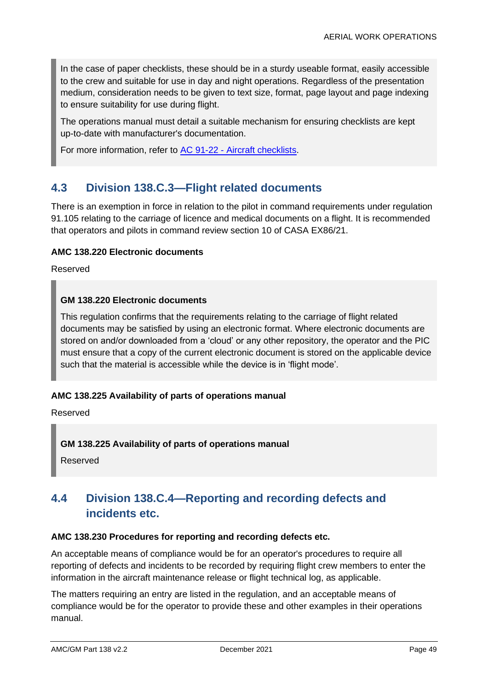In the case of paper checklists, these should be in a sturdy useable format, easily accessible to the crew and suitable for use in day and night operations. Regardless of the presentation medium, consideration needs to be given to text size, format, page layout and page indexing to ensure suitability for use during flight.

The operations manual must detail a suitable mechanism for ensuring checklists are kept up-to-date with manufacturer's documentation.

For more information, refer to AC 91-22 - Aircraft [checklists.](https://www.casa.gov.au/search-centre/advisory-circulars)

# **4.3 Division 138.C.3—Flight related documents**

There is an exemption in force in relation to the pilot in command requirements under regulation 91.105 relating to the carriage of licence and medical documents on a flight. It is recommended that operators and pilots in command review section 10 of CASA EX86/21.

### **AMC 138.220 Electronic documents**

Reserved

### **GM 138.220 Electronic documents**

This regulation confirms that the requirements relating to the carriage of flight related documents may be satisfied by using an electronic format. Where electronic documents are stored on and/or downloaded from a 'cloud' or any other repository, the operator and the PIC must ensure that a copy of the current electronic document is stored on the applicable device such that the material is accessible while the device is in 'flight mode'.

#### **AMC 138.225 Availability of parts of operations manual**

Reserved

#### **GM 138.225 Availability of parts of operations manual**

Reserved

# **4.4 Division 138.C.4—Reporting and recording defects and incidents etc.**

#### **AMC 138.230 Procedures for reporting and recording defects etc.**

An acceptable means of compliance would be for an operator's procedures to require all reporting of defects and incidents to be recorded by requiring flight crew members to enter the information in the aircraft maintenance release or flight technical log, as applicable.

The matters requiring an entry are listed in the regulation, and an acceptable means of compliance would be for the operator to provide these and other examples in their operations manual.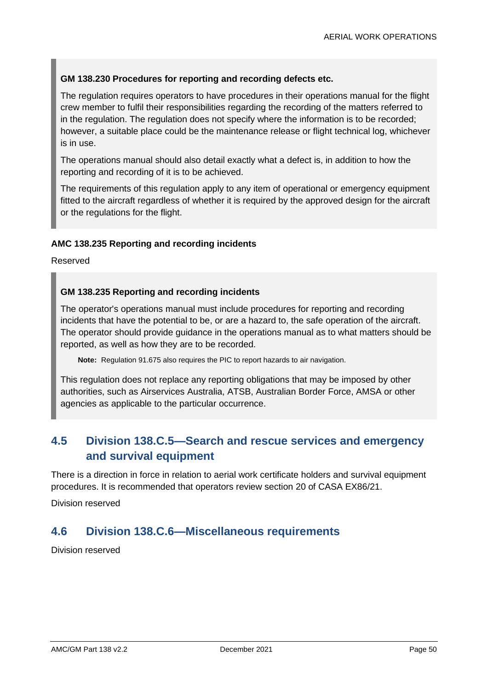### **GM 138.230 Procedures for reporting and recording defects etc.**

The regulation requires operators to have procedures in their operations manual for the flight crew member to fulfil their responsibilities regarding the recording of the matters referred to in the regulation. The regulation does not specify where the information is to be recorded; however, a suitable place could be the maintenance release or flight technical log, whichever is in use.

The operations manual should also detail exactly what a defect is, in addition to how the reporting and recording of it is to be achieved.

The requirements of this regulation apply to any item of operational or emergency equipment fitted to the aircraft regardless of whether it is required by the approved design for the aircraft or the regulations for the flight.

#### **AMC 138.235 Reporting and recording incidents**

Reserved

#### **GM 138.235 Reporting and recording incidents**

The operator's operations manual must include procedures for reporting and recording incidents that have the potential to be, or are a hazard to, the safe operation of the aircraft. The operator should provide guidance in the operations manual as to what matters should be reported, as well as how they are to be recorded.

**Note:** Regulation 91.675 also requires the PIC to report hazards to air navigation.

This regulation does not replace any reporting obligations that may be imposed by other authorities, such as Airservices Australia, ATSB, Australian Border Force, AMSA or other agencies as applicable to the particular occurrence.

# **4.5 Division 138.C.5—Search and rescue services and emergency and survival equipment**

There is a direction in force in relation to aerial work certificate holders and survival equipment procedures. It is recommended that operators review section 20 of CASA EX86/21.

Division reserved

# **4.6 Division 138.C.6—Miscellaneous requirements**

Division reserved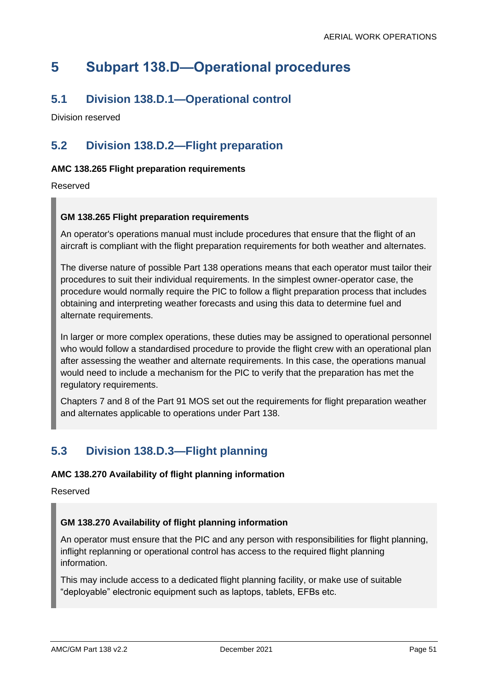# **5 Subpart 138.D—Operational procedures**

# **5.1 Division 138.D.1—Operational control**

Division reserved

# **5.2 Division 138.D.2—Flight preparation**

# **AMC 138.265 Flight preparation requirements**

Reserved

### **GM 138.265 Flight preparation requirements**

An operator's operations manual must include procedures that ensure that the flight of an aircraft is compliant with the flight preparation requirements for both weather and alternates.

The diverse nature of possible Part 138 operations means that each operator must tailor their procedures to suit their individual requirements. In the simplest owner-operator case, the procedure would normally require the PIC to follow a flight preparation process that includes obtaining and interpreting weather forecasts and using this data to determine fuel and alternate requirements.

In larger or more complex operations, these duties may be assigned to operational personnel who would follow a standardised procedure to provide the flight crew with an operational plan after assessing the weather and alternate requirements. In this case, the operations manual would need to include a mechanism for the PIC to verify that the preparation has met the regulatory requirements.

Chapters 7 and 8 of the Part 91 MOS set out the requirements for flight preparation weather and alternates applicable to operations under Part 138.

# **5.3 Division 138.D.3—Flight planning**

#### **AMC 138.270 Availability of flight planning information**

Reserved

#### **GM 138.270 Availability of flight planning information**

An operator must ensure that the PIC and any person with responsibilities for flight planning, inflight replanning or operational control has access to the required flight planning information.

This may include access to a dedicated flight planning facility, or make use of suitable "deployable" electronic equipment such as laptops, tablets, EFBs etc.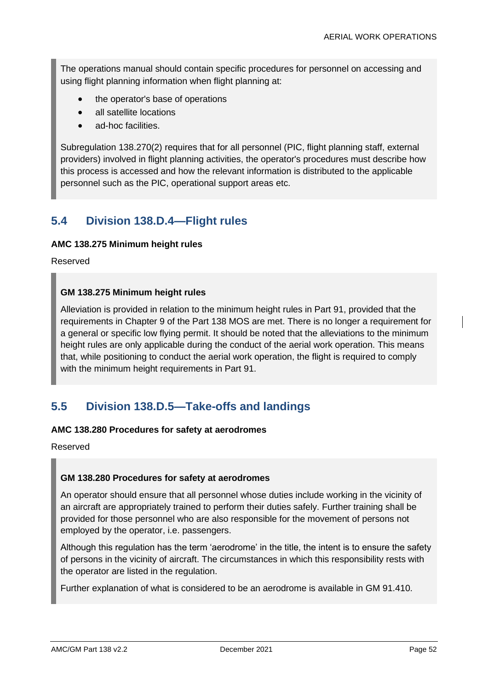The operations manual should contain specific procedures for personnel on accessing and using flight planning information when flight planning at:

- the operator's base of operations
- all satellite locations
- ad-hoc facilities.

Subregulation 138.270(2) requires that for all personnel (PIC, flight planning staff, external providers) involved in flight planning activities, the operator's procedures must describe how this process is accessed and how the relevant information is distributed to the applicable personnel such as the PIC, operational support areas etc.

# **5.4 Division 138.D.4—Flight rules**

#### **AMC 138.275 Minimum height rules**

Reserved

### **GM 138.275 Minimum height rules**

Alleviation is provided in relation to the minimum height rules in Part 91, provided that the requirements in Chapter 9 of the Part 138 MOS are met. There is no longer a requirement for a general or specific low flying permit. It should be noted that the alleviations to the minimum height rules are only applicable during the conduct of the aerial work operation. This means that, while positioning to conduct the aerial work operation, the flight is required to comply with the minimum height requirements in Part 91.

# **5.5 Division 138.D.5—Take-offs and landings**

#### **AMC 138.280 Procedures for safety at aerodromes**

Reserved

#### **GM 138.280 Procedures for safety at aerodromes**

An operator should ensure that all personnel whose duties include working in the vicinity of an aircraft are appropriately trained to perform their duties safely. Further training shall be provided for those personnel who are also responsible for the movement of persons not employed by the operator, i.e. passengers.

Although this regulation has the term 'aerodrome' in the title, the intent is to ensure the safety of persons in the vicinity of aircraft. The circumstances in which this responsibility rests with the operator are listed in the regulation.

Further explanation of what is considered to be an aerodrome is available in GM 91.410.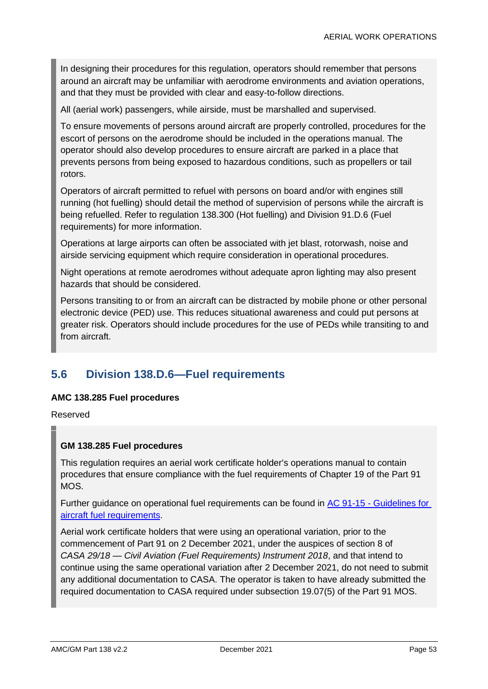In designing their procedures for this regulation, operators should remember that persons around an aircraft may be unfamiliar with aerodrome environments and aviation operations, and that they must be provided with clear and easy-to-follow directions.

All (aerial work) passengers, while airside, must be marshalled and supervised.

To ensure movements of persons around aircraft are properly controlled, procedures for the escort of persons on the aerodrome should be included in the operations manual. The operator should also develop procedures to ensure aircraft are parked in a place that prevents persons from being exposed to hazardous conditions, such as propellers or tail rotors.

Operators of aircraft permitted to refuel with persons on board and/or with engines still running (hot fuelling) should detail the method of supervision of persons while the aircraft is being refuelled. Refer to regulation 138.300 (Hot fuelling) and Division 91.D.6 (Fuel requirements) for more information.

Operations at large airports can often be associated with jet blast, rotorwash, noise and airside servicing equipment which require consideration in operational procedures.

Night operations at remote aerodromes without adequate apron lighting may also present hazards that should be considered.

Persons transiting to or from an aircraft can be distracted by mobile phone or other personal electronic device (PED) use. This reduces situational awareness and could put persons at greater risk. Operators should include procedures for the use of PEDs while transiting to and from aircraft.

# **5.6 Division 138.D.6—Fuel requirements**

#### **AMC 138.285 Fuel procedures**

Reserved

#### **GM 138.285 Fuel procedures**

This regulation requires an aerial work certificate holder's operations manual to contain procedures that ensure compliance with the fuel requirements of Chapter 19 of the Part 91 MOS.

Further guidance on operational fuel requirements can be found in AC 91-15 - [Guidelines for](https://www.casa.gov.au/search-centre/advisory-circulars)  [aircraft fuel requirements.](https://www.casa.gov.au/search-centre/advisory-circulars)

Aerial work certificate holders that were using an operational variation, prior to the commencement of Part 91 on 2 December 2021, under the auspices of section 8 of *CASA 29/18 — Civil Aviation (Fuel Requirements) Instrument 2018*, and that intend to continue using the same operational variation after 2 December 2021, do not need to submit any additional documentation to CASA. The operator is taken to have already submitted the required documentation to CASA required under subsection 19.07(5) of the Part 91 MOS.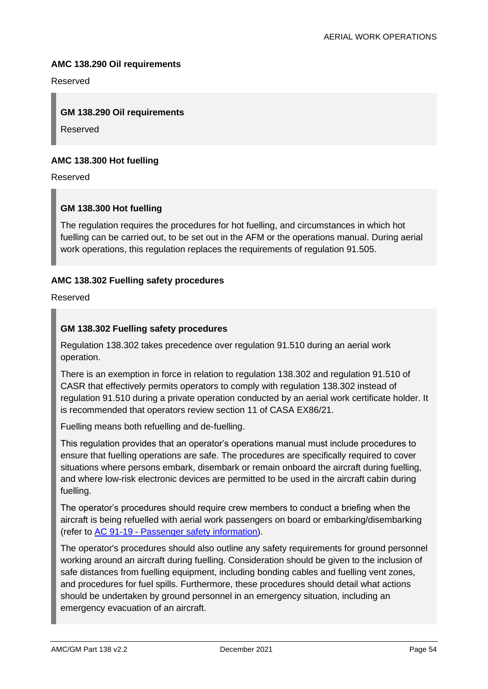#### **AMC 138.290 Oil requirements**

Reserved

#### **GM 138.290 Oil requirements**

Reserved

#### **AMC 138.300 Hot fuelling**

Reserved

#### **GM 138.300 Hot fuelling**

The regulation requires the procedures for hot fuelling, and circumstances in which hot fuelling can be carried out, to be set out in the AFM or the operations manual. During aerial work operations, this regulation replaces the requirements of regulation 91.505.

#### **AMC 138.302 Fuelling safety procedures**

Reserved

#### **GM 138.302 Fuelling safety procedures**

Regulation 138.302 takes precedence over regulation 91.510 during an aerial work operation.

There is an exemption in force in relation to regulation 138.302 and regulation 91.510 of CASR that effectively permits operators to comply with regulation 138.302 instead of regulation 91.510 during a private operation conducted by an aerial work certificate holder. It is recommended that operators review section 11 of CASA EX86/21.

Fuelling means both refuelling and de-fuelling.

This regulation provides that an operator's operations manual must include procedures to ensure that fuelling operations are safe. The procedures are specifically required to cover situations where persons embark, disembark or remain onboard the aircraft during fuelling, and where low-risk electronic devices are permitted to be used in the aircraft cabin during fuelling.

The operator's procedures should require crew members to conduct a briefing when the aircraft is being refuelled with aerial work passengers on board or embarking/disembarking (refer to AC 91-19 - [Passenger safety information\)](https://www.casa.gov.au/search-centre/advisory-circulars).

The operator's procedures should also outline any safety requirements for ground personnel working around an aircraft during fuelling. Consideration should be given to the inclusion of safe distances from fuelling equipment, including bonding cables and fuelling vent zones, and procedures for fuel spills. Furthermore, these procedures should detail what actions should be undertaken by ground personnel in an emergency situation, including an emergency evacuation of an aircraft.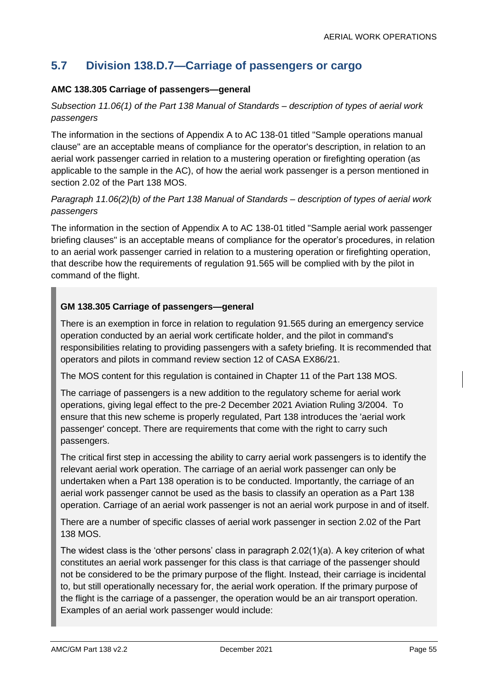# **5.7 Division 138.D.7—Carriage of passengers or cargo**

# **AMC 138.305 Carriage of passengers—general**

# *Subsection 11.06(1) of the Part 138 Manual of Standards – description of types of aerial work passengers*

The information in the sections of Appendix A to AC 138-01 titled "Sample operations manual clause" are an acceptable means of compliance for the operator's description, in relation to an aerial work passenger carried in relation to a mustering operation or firefighting operation (as applicable to the sample in the AC), of how the aerial work passenger is a person mentioned in section 2.02 of the Part 138 MOS.

# *Paragraph 11.06(2)(b) of the Part 138 Manual of Standards – description of types of aerial work passengers*

The information in the section of Appendix A to AC 138-01 titled "Sample aerial work passenger briefing clauses" is an acceptable means of compliance for the operator's procedures, in relation to an aerial work passenger carried in relation to a mustering operation or firefighting operation, that describe how the requirements of regulation 91.565 will be complied with by the pilot in command of the flight.

### **GM 138.305 Carriage of passengers—general**

There is an exemption in force in relation to regulation 91.565 during an emergency service operation conducted by an aerial work certificate holder, and the pilot in command's responsibilities relating to providing passengers with a safety briefing. It is recommended that operators and pilots in command review section 12 of CASA EX86/21.

The MOS content for this regulation is contained in Chapter 11 of the Part 138 MOS.

The carriage of passengers is a new addition to the regulatory scheme for aerial work operations, giving legal effect to the pre-2 December 2021 Aviation Ruling 3/2004. To ensure that this new scheme is properly regulated, Part 138 introduces the 'aerial work passenger' concept. There are requirements that come with the right to carry such passengers.

The critical first step in accessing the ability to carry aerial work passengers is to identify the relevant aerial work operation. The carriage of an aerial work passenger can only be undertaken when a Part 138 operation is to be conducted. Importantly, the carriage of an aerial work passenger cannot be used as the basis to classify an operation as a Part 138 operation. Carriage of an aerial work passenger is not an aerial work purpose in and of itself.

There are a number of specific classes of aerial work passenger in section 2.02 of the Part 138 MOS.

The widest class is the 'other persons' class in paragraph 2.02(1)(a). A key criterion of what constitutes an aerial work passenger for this class is that carriage of the passenger should not be considered to be the primary purpose of the flight. Instead, their carriage is incidental to, but still operationally necessary for, the aerial work operation. If the primary purpose of the flight is the carriage of a passenger, the operation would be an air transport operation. Examples of an aerial work passenger would include: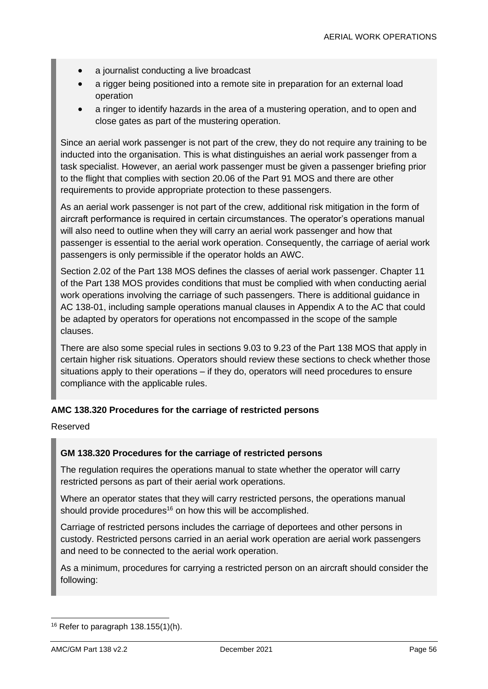- a journalist conducting a live broadcast
- a rigger being positioned into a remote site in preparation for an external load operation
- a ringer to identify hazards in the area of a mustering operation, and to open and close gates as part of the mustering operation.

Since an aerial work passenger is not part of the crew, they do not require any training to be inducted into the organisation. This is what distinguishes an aerial work passenger from a task specialist. However, an aerial work passenger must be given a passenger briefing prior to the flight that complies with section 20.06 of the Part 91 MOS and there are other requirements to provide appropriate protection to these passengers.

As an aerial work passenger is not part of the crew, additional risk mitigation in the form of aircraft performance is required in certain circumstances. The operator's operations manual will also need to outline when they will carry an aerial work passenger and how that passenger is essential to the aerial work operation. Consequently, the carriage of aerial work passengers is only permissible if the operator holds an AWC.

Section 2.02 of the Part 138 MOS defines the classes of aerial work passenger. Chapter 11 of the Part 138 MOS provides conditions that must be complied with when conducting aerial work operations involving the carriage of such passengers. There is additional guidance in AC 138-01, including sample operations manual clauses in Appendix A to the AC that could be adapted by operators for operations not encompassed in the scope of the sample clauses.

There are also some special rules in sections 9.03 to 9.23 of the Part 138 MOS that apply in certain higher risk situations. Operators should review these sections to check whether those situations apply to their operations – if they do, operators will need procedures to ensure compliance with the applicable rules.

#### **AMC 138.320 Procedures for the carriage of restricted persons**

Reserved

#### **GM 138.320 Procedures for the carriage of restricted persons**

The regulation requires the operations manual to state whether the operator will carry restricted persons as part of their aerial work operations.

Where an operator states that they will carry restricted persons, the operations manual should provide procedures<sup>16</sup> on how this will be accomplished.

Carriage of restricted persons includes the carriage of deportees and other persons in custody. Restricted persons carried in an aerial work operation are aerial work passengers and need to be connected to the aerial work operation.

As a minimum, procedures for carrying a restricted person on an aircraft should consider the following:

 $16$  Refer to paragraph 138.155(1)(h).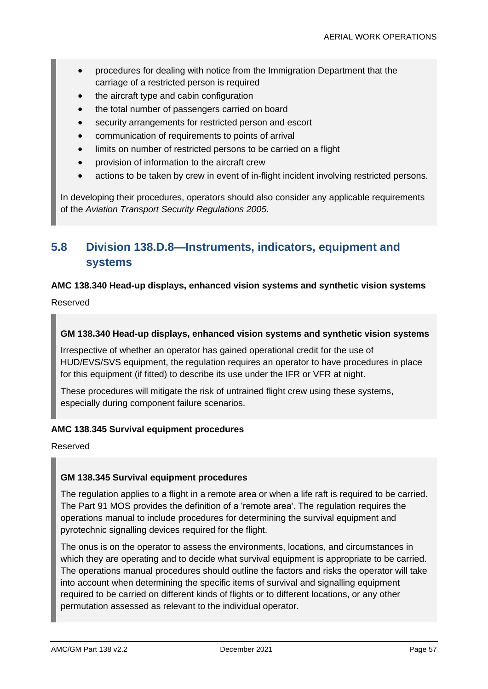- procedures for dealing with notice from the Immigration Department that the carriage of a restricted person is required
- the aircraft type and cabin configuration
- the total number of passengers carried on board
- security arrangements for restricted person and escort
- communication of requirements to points of arrival
- limits on number of restricted persons to be carried on a flight
- provision of information to the aircraft crew
- actions to be taken by crew in event of in-flight incident involving restricted persons.

In developing their procedures, operators should also consider any applicable requirements of the *Aviation Transport Security Regulations 2005*.

# **5.8 Division 138.D.8—Instruments, indicators, equipment and systems**

### **AMC 138.340 Head-up displays, enhanced vision systems and synthetic vision systems**

Reserved

#### **GM 138.340 Head-up displays, enhanced vision systems and synthetic vision systems**

Irrespective of whether an operator has gained operational credit for the use of HUD/EVS/SVS equipment, the regulation requires an operator to have procedures in place for this equipment (if fitted) to describe its use under the IFR or VFR at night.

These procedures will mitigate the risk of untrained flight crew using these systems, especially during component failure scenarios.

#### **AMC 138.345 Survival equipment procedures**

Reserved

#### **GM 138.345 Survival equipment procedures**

The regulation applies to a flight in a remote area or when a life raft is required to be carried. The Part 91 MOS provides the definition of a 'remote area'. The regulation requires the operations manual to include procedures for determining the survival equipment and pyrotechnic signalling devices required for the flight.

The onus is on the operator to assess the environments, locations, and circumstances in which they are operating and to decide what survival equipment is appropriate to be carried. The operations manual procedures should outline the factors and risks the operator will take into account when determining the specific items of survival and signalling equipment required to be carried on different kinds of flights or to different locations, or any other permutation assessed as relevant to the individual operator.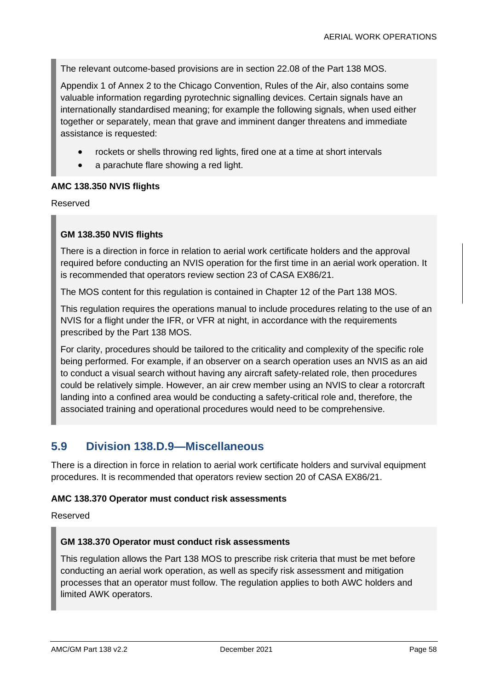The relevant outcome-based provisions are in section 22.08 of the Part 138 MOS.

Appendix 1 of Annex 2 to the Chicago Convention, Rules of the Air, also contains some valuable information regarding pyrotechnic signalling devices. Certain signals have an internationally standardised meaning; for example the following signals, when used either together or separately, mean that grave and imminent danger threatens and immediate assistance is requested:

- rockets or shells throwing red lights, fired one at a time at short intervals
- a parachute flare showing a red light.

#### **AMC 138.350 NVIS flights**

Reserved

#### **GM 138.350 NVIS flights**

There is a direction in force in relation to aerial work certificate holders and the approval required before conducting an NVIS operation for the first time in an aerial work operation. It is recommended that operators review section 23 of CASA EX86/21.

The MOS content for this regulation is contained in Chapter 12 of the Part 138 MOS.

This regulation requires the operations manual to include procedures relating to the use of an NVIS for a flight under the IFR, or VFR at night, in accordance with the requirements prescribed by the Part 138 MOS.

For clarity, procedures should be tailored to the criticality and complexity of the specific role being performed. For example, if an observer on a search operation uses an NVIS as an aid to conduct a visual search without having any aircraft safety-related role, then procedures could be relatively simple. However, an air crew member using an NVIS to clear a rotorcraft landing into a confined area would be conducting a safety-critical role and, therefore, the associated training and operational procedures would need to be comprehensive.

# **5.9 Division 138.D.9—Miscellaneous**

There is a direction in force in relation to aerial work certificate holders and survival equipment procedures. It is recommended that operators review section 20 of CASA EX86/21.

#### **AMC 138.370 Operator must conduct risk assessments**

Reserved

#### **GM 138.370 Operator must conduct risk assessments**

This regulation allows the Part 138 MOS to prescribe risk criteria that must be met before conducting an aerial work operation, as well as specify risk assessment and mitigation processes that an operator must follow. The regulation applies to both AWC holders and limited AWK operators.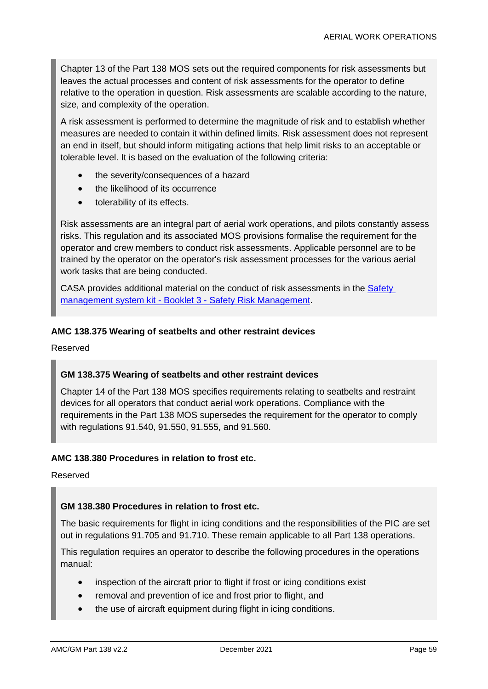Chapter 13 of the Part 138 MOS sets out the required components for risk assessments but leaves the actual processes and content of risk assessments for the operator to define relative to the operation in question. Risk assessments are scalable according to the nature, size, and complexity of the operation.

A risk assessment is performed to determine the magnitude of risk and to establish whether measures are needed to contain it within defined limits. Risk assessment does not represent an end in itself, but should inform mitigating actions that help limit risks to an acceptable or tolerable level. It is based on the evaluation of the following criteria:

- the severity/consequences of a hazard
- the likelihood of its occurrence
- tolerability of its effects.

Risk assessments are an integral part of aerial work operations, and pilots constantly assess risks. This regulation and its associated MOS provisions formalise the requirement for the operator and crew members to conduct risk assessments. Applicable personnel are to be trained by the operator on the operator's risk assessment processes for the various aerial work tasks that are being conducted.

CASA provides additional material on the conduct of risk assessments in the Safety management system kit - Booklet 3 - [Safety Risk Management.](https://www.casa.gov.au/content-search/safety-kits/resource-kit-develop-your-safety-management-system)

#### **AMC 138.375 Wearing of seatbelts and other restraint devices**

Reserved

#### **GM 138.375 Wearing of seatbelts and other restraint devices**

Chapter 14 of the Part 138 MOS specifies requirements relating to seatbelts and restraint devices for all operators that conduct aerial work operations. Compliance with the requirements in the Part 138 MOS supersedes the requirement for the operator to comply with regulations 91.540, 91.550, 91.555, and 91.560.

#### **AMC 138.380 Procedures in relation to frost etc.**

Reserved

#### **GM 138.380 Procedures in relation to frost etc.**

The basic requirements for flight in icing conditions and the responsibilities of the PIC are set out in regulations 91.705 and 91.710. These remain applicable to all Part 138 operations.

This regulation requires an operator to describe the following procedures in the operations manual:

- inspection of the aircraft prior to flight if frost or icing conditions exist
- removal and prevention of ice and frost prior to flight, and
- the use of aircraft equipment during flight in icing conditions.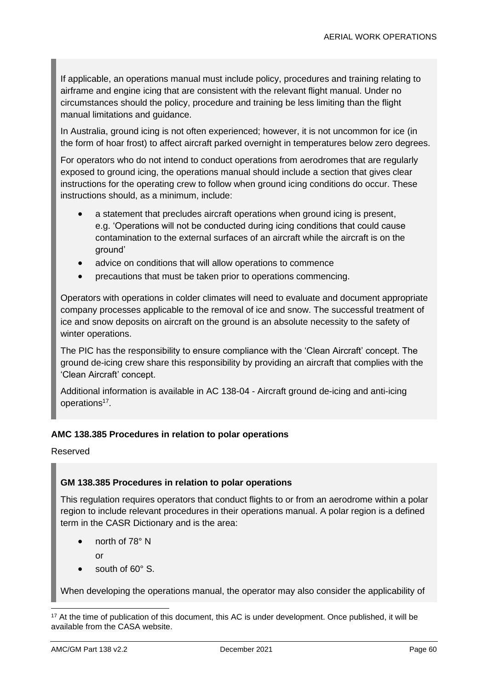If applicable, an operations manual must include policy, procedures and training relating to airframe and engine icing that are consistent with the relevant flight manual. Under no circumstances should the policy, procedure and training be less limiting than the flight manual limitations and guidance.

In Australia, ground icing is not often experienced; however, it is not uncommon for ice (in the form of hoar frost) to affect aircraft parked overnight in temperatures below zero degrees.

For operators who do not intend to conduct operations from aerodromes that are regularly exposed to ground icing, the operations manual should include a section that gives clear instructions for the operating crew to follow when ground icing conditions do occur. These instructions should, as a minimum, include:

- a statement that precludes aircraft operations when ground icing is present, e.g. 'Operations will not be conducted during icing conditions that could cause contamination to the external surfaces of an aircraft while the aircraft is on the ground'
- advice on conditions that will allow operations to commence
- precautions that must be taken prior to operations commencing.

Operators with operations in colder climates will need to evaluate and document appropriate company processes applicable to the removal of ice and snow. The successful treatment of ice and snow deposits on aircraft on the ground is an absolute necessity to the safety of winter operations.

The PIC has the responsibility to ensure compliance with the 'Clean Aircraft' concept. The ground de-icing crew share this responsibility by providing an aircraft that complies with the 'Clean Aircraft' concept.

Additional information is available in AC 138-04 - Aircraft ground de-icing and anti-icing operations<sup>17</sup>.

#### **AMC 138.385 Procedures in relation to polar operations**

Reserved

#### **GM 138.385 Procedures in relation to polar operations**

This regulation requires operators that conduct flights to or from an aerodrome within a polar region to include relevant procedures in their operations manual. A polar region is a defined term in the CASR Dictionary and is the area:

• north of 78° N

or

south of 60° S.

When developing the operations manual, the operator may also consider the applicability of

<sup>17</sup> At the time of publication of this document, this AC is under development. Once published, it will be available from the CASA website.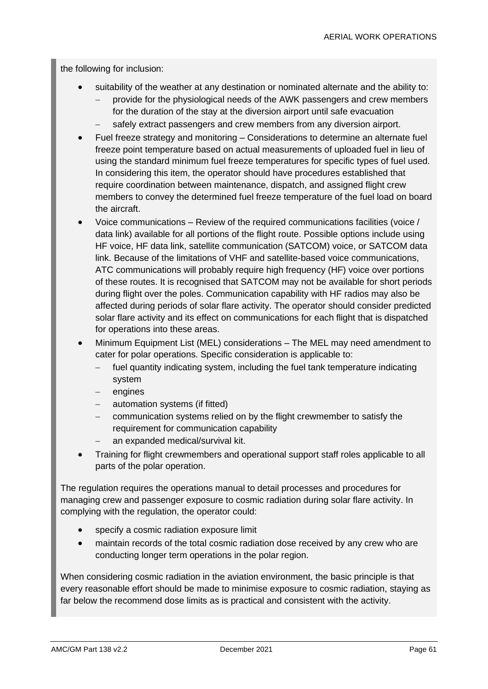the following for inclusion:

- suitability of the weather at any destination or nominated alternate and the ability to:
	- − provide for the physiological needs of the AWK passengers and crew members for the duration of the stay at the diversion airport until safe evacuation
	- safely extract passengers and crew members from any diversion airport.
- Fuel freeze strategy and monitoring Considerations to determine an alternate fuel freeze point temperature based on actual measurements of uploaded fuel in lieu of using the standard minimum fuel freeze temperatures for specific types of fuel used. In considering this item, the operator should have procedures established that require coordination between maintenance, dispatch, and assigned flight crew members to convey the determined fuel freeze temperature of the fuel load on board the aircraft.
- Voice communications Review of the required communications facilities (voice / data link) available for all portions of the flight route. Possible options include using HF voice, HF data link, satellite communication (SATCOM) voice, or SATCOM data link. Because of the limitations of VHF and satellite-based voice communications, ATC communications will probably require high frequency (HF) voice over portions of these routes. It is recognised that SATCOM may not be available for short periods during flight over the poles. Communication capability with HF radios may also be affected during periods of solar flare activity. The operator should consider predicted solar flare activity and its effect on communications for each flight that is dispatched for operations into these areas.
- Minimum Equipment List (MEL) considerations The MEL may need amendment to cater for polar operations. Specific consideration is applicable to:
	- fuel quantity indicating system, including the fuel tank temperature indicating system
	- engines
	- automation systems (if fitted)
	- communication systems relied on by the flight crewmember to satisfy the requirement for communication capability
	- an expanded medical/survival kit.
- Training for flight crewmembers and operational support staff roles applicable to all parts of the polar operation.

The regulation requires the operations manual to detail processes and procedures for managing crew and passenger exposure to cosmic radiation during solar flare activity. In complying with the regulation, the operator could:

- specify a cosmic radiation exposure limit
- maintain records of the total cosmic radiation dose received by any crew who are conducting longer term operations in the polar region.

When considering cosmic radiation in the aviation environment, the basic principle is that every reasonable effort should be made to minimise exposure to cosmic radiation, staying as far below the recommend dose limits as is practical and consistent with the activity.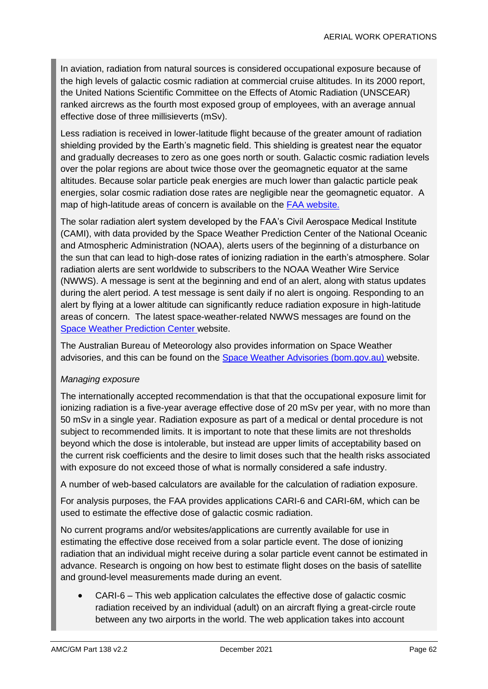In aviation, radiation from natural sources is considered occupational exposure because of the high levels of galactic cosmic radiation at commercial cruise altitudes. In its 2000 report, the United Nations Scientific Committee on the Effects of Atomic Radiation (UNSCEAR) ranked aircrews as the fourth most exposed group of employees, with an average annual effective dose of three millisieverts (mSv).

Less radiation is received in lower-latitude flight because of the greater amount of radiation shielding provided by the Earth's magnetic field. This shielding is greatest near the equator and gradually decreases to zero as one goes north or south. Galactic cosmic radiation levels over the polar regions are about twice those over the geomagnetic equator at the same altitudes. Because solar particle peak energies are much lower than galactic particle peak energies, solar cosmic radiation dose rates are negligible near the geomagnetic equator. A map of high-latitude areas of concern is available on the [FAA website.](http://www.faa.gov/data_research/research/med_humanfacs/aeromedical/radiobiology/solarradiation/)

The solar radiation alert system developed by the FAA's Civil Aerospace Medical Institute (CAMI), with data provided by the Space Weather Prediction Center of the National Oceanic and Atmospheric Administration (NOAA), alerts users of the beginning of a disturbance on the sun that can lead to high-dose rates of ionizing radiation in the earth's atmosphere. Solar radiation alerts are sent worldwide to subscribers to the NOAA Weather Wire Service (NWWS). A message is sent at the beginning and end of an alert, along with status updates during the alert period. A test message is sent daily if no alert is ongoing. Responding to an alert by flying at a lower altitude can significantly reduce radiation exposure in high-latitude areas of concern. The latest space-weather-related NWWS messages are found on the [Space Weather Prediction Center](https://www.swpc.noaa.gov/) website.

The Australian Bureau of Meteorology also provides information on Space Weather advisories, and this can be found on the [Space Weather Advisories \(bom.gov.au\)](http://www.bom.gov.au/aviation/space-weather-advisories/) website.

#### *Managing exposure*

The internationally accepted recommendation is that that the occupational exposure limit for ionizing radiation is a five-year average effective dose of 20 mSv per year, with no more than 50 mSv in a single year. Radiation exposure as part of a medical or dental procedure is not subject to recommended limits. It is important to note that these limits are not thresholds beyond which the dose is intolerable, but instead are upper limits of acceptability based on the current risk coefficients and the desire to limit doses such that the health risks associated with exposure do not exceed those of what is normally considered a safe industry.

A number of web-based calculators are available for the calculation of radiation exposure.

For analysis purposes, the FAA provides applications CARI-6 and CARI-6M, which can be used to estimate the effective dose of galactic cosmic radiation.

No current programs and/or websites/applications are currently available for use in estimating the effective dose received from a solar particle event. The dose of ionizing radiation that an individual might receive during a solar particle event cannot be estimated in advance. Research is ongoing on how best to estimate flight doses on the basis of satellite and ground-level measurements made during an event.

• CARI-6 – This web application calculates the effective dose of galactic cosmic radiation received by an individual (adult) on an aircraft flying a great-circle route between any two airports in the world. The web application takes into account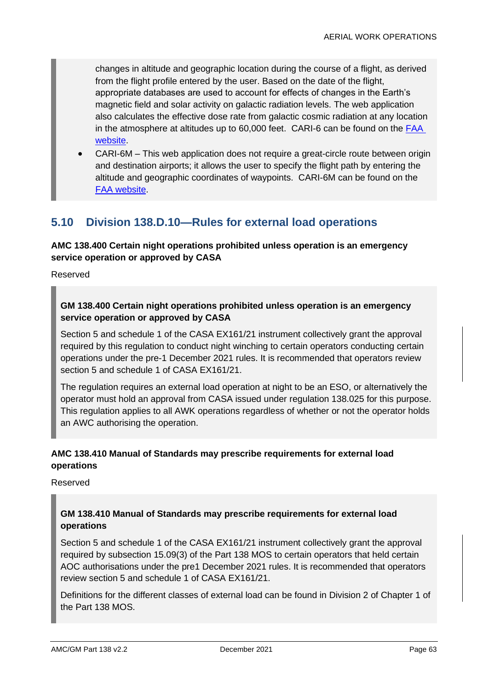changes in altitude and geographic location during the course of a flight, as derived from the flight profile entered by the user. Based on the date of the flight, appropriate databases are used to account for effects of changes in the Earth's magnetic field and solar activity on galactic radiation levels. The web application also calculates the effective dose rate from galactic cosmic radiation at any location in the atmosphere at altitudes up to 60,000 feet. CARI-6 can be found on the **FAA** [website.](http://www.faa.gov/data_research/research/med_humanfacs/aeromedical/radiobiology/cari6/)

• CARI-6M – This web application does not require a great-circle route between origin and destination airports; it allows the user to specify the flight path by entering the altitude and geographic coordinates of waypoints. CARI-6M can be found on the [FAA website.](http://www.faa.gov/data_research/research/med_humanfacs/aeromedical/radiobiology/cari6m/)

# **5.10 Division 138.D.10—Rules for external load operations**

# **AMC 138.400 Certain night operations prohibited unless operation is an emergency service operation or approved by CASA**

Reserved

# **GM 138.400 Certain night operations prohibited unless operation is an emergency service operation or approved by CASA**

Section 5 and schedule 1 of the CASA EX161/21 instrument collectively grant the approval required by this regulation to conduct night winching to certain operators conducting certain operations under the pre-1 December 2021 rules. It is recommended that operators review section 5 and schedule 1 of CASA EX161/21.

The regulation requires an external load operation at night to be an ESO, or alternatively the operator must hold an approval from CASA issued under regulation 138.025 for this purpose. This regulation applies to all AWK operations regardless of whether or not the operator holds an AWC authorising the operation.

### **AMC 138.410 Manual of Standards may prescribe requirements for external load operations**

Reserved

# **GM 138.410 Manual of Standards may prescribe requirements for external load operations**

Section 5 and schedule 1 of the CASA EX161/21 instrument collectively grant the approval required by subsection 15.09(3) of the Part 138 MOS to certain operators that held certain AOC authorisations under the pre1 December 2021 rules. It is recommended that operators review section 5 and schedule 1 of CASA EX161/21.

Definitions for the different classes of external load can be found in Division 2 of Chapter 1 of the Part 138 MOS.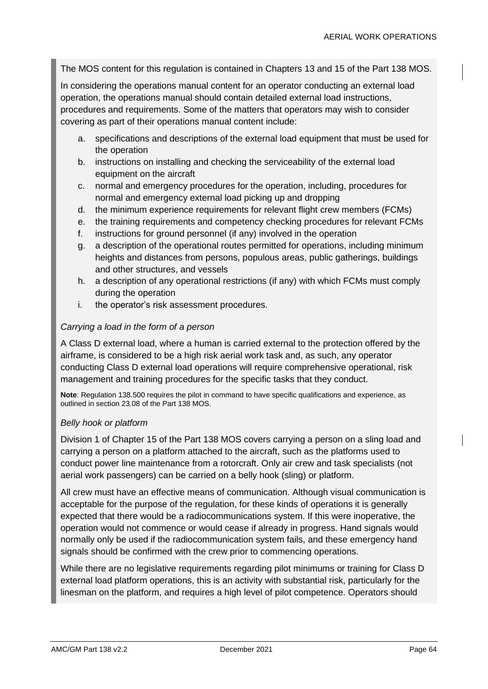The MOS content for this regulation is contained in Chapters 13 and 15 of the Part 138 MOS.

In considering the operations manual content for an operator conducting an external load operation, the operations manual should contain detailed external load instructions, procedures and requirements. Some of the matters that operators may wish to consider covering as part of their operations manual content include:

- a. specifications and descriptions of the external load equipment that must be used for the operation
- b. instructions on installing and checking the serviceability of the external load equipment on the aircraft
- c. normal and emergency procedures for the operation, including, procedures for normal and emergency external load picking up and dropping
- d. the minimum experience requirements for relevant flight crew members (FCMs)
- e. the training requirements and competency checking procedures for relevant FCMs
- f. instructions for ground personnel (if any) involved in the operation
- g. a description of the operational routes permitted for operations, including minimum heights and distances from persons, populous areas, public gatherings, buildings and other structures, and vessels
- h. a description of any operational restrictions (if any) with which FCMs must comply during the operation
- i. the operator's risk assessment procedures.

#### *Carrying a load in the form of a person*

A Class D external load, where a human is carried external to the protection offered by the airframe, is considered to be a high risk aerial work task and, as such, any operator conducting Class D external load operations will require comprehensive operational, risk management and training procedures for the specific tasks that they conduct.

**Note**: Regulation 138.500 requires the pilot in command to have specific qualifications and experience, as outlined in section 23.08 of the Part 138 MOS.

#### *Belly hook or platform*

Division 1 of Chapter 15 of the Part 138 MOS covers carrying a person on a sling load and carrying a person on a platform attached to the aircraft, such as the platforms used to conduct power line maintenance from a rotorcraft. Only air crew and task specialists (not aerial work passengers) can be carried on a belly hook (sling) or platform.

All crew must have an effective means of communication. Although visual communication is acceptable for the purpose of the regulation, for these kinds of operations it is generally expected that there would be a radiocommunications system. If this were inoperative, the operation would not commence or would cease if already in progress. Hand signals would normally only be used if the radiocommunication system fails, and these emergency hand signals should be confirmed with the crew prior to commencing operations.

While there are no legislative requirements regarding pilot minimums or training for Class D external load platform operations, this is an activity with substantial risk, particularly for the linesman on the platform, and requires a high level of pilot competence. Operators should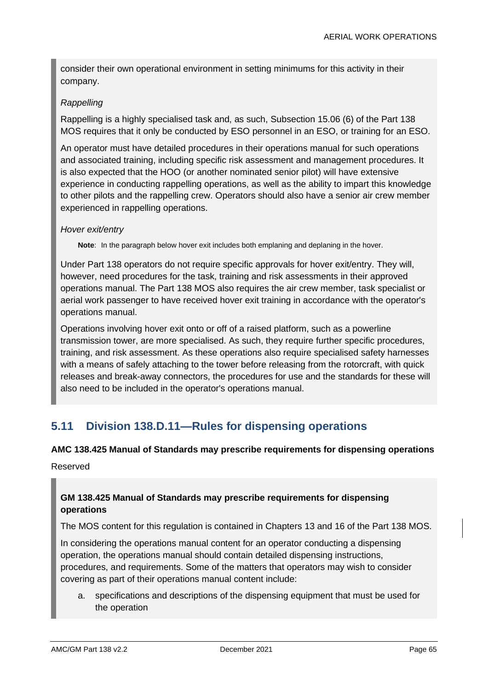consider their own operational environment in setting minimums for this activity in their company.

# *Rappelling*

Rappelling is a highly specialised task and, as such, Subsection 15.06 (6) of the Part 138 MOS requires that it only be conducted by ESO personnel in an ESO, or training for an ESO.

An operator must have detailed procedures in their operations manual for such operations and associated training, including specific risk assessment and management procedures. It is also expected that the HOO (or another nominated senior pilot) will have extensive experience in conducting rappelling operations, as well as the ability to impart this knowledge to other pilots and the rappelling crew. Operators should also have a senior air crew member experienced in rappelling operations.

### *Hover exit/entry*

**Note**: In the paragraph below hover exit includes both emplaning and deplaning in the hover.

Under Part 138 operators do not require specific approvals for hover exit/entry. They will, however, need procedures for the task, training and risk assessments in their approved operations manual. The Part 138 MOS also requires the air crew member, task specialist or aerial work passenger to have received hover exit training in accordance with the operator's operations manual.

Operations involving hover exit onto or off of a raised platform, such as a powerline transmission tower, are more specialised. As such, they require further specific procedures, training, and risk assessment. As these operations also require specialised safety harnesses with a means of safely attaching to the tower before releasing from the rotorcraft, with quick releases and break-away connectors, the procedures for use and the standards for these will also need to be included in the operator's operations manual.

# **5.11 Division 138.D.11—Rules for dispensing operations**

#### **AMC 138.425 Manual of Standards may prescribe requirements for dispensing operations**

Reserved

# **GM 138.425 Manual of Standards may prescribe requirements for dispensing operations**

The MOS content for this regulation is contained in Chapters 13 and 16 of the Part 138 MOS.

In considering the operations manual content for an operator conducting a dispensing operation, the operations manual should contain detailed dispensing instructions, procedures, and requirements. Some of the matters that operators may wish to consider covering as part of their operations manual content include:

a. specifications and descriptions of the dispensing equipment that must be used for the operation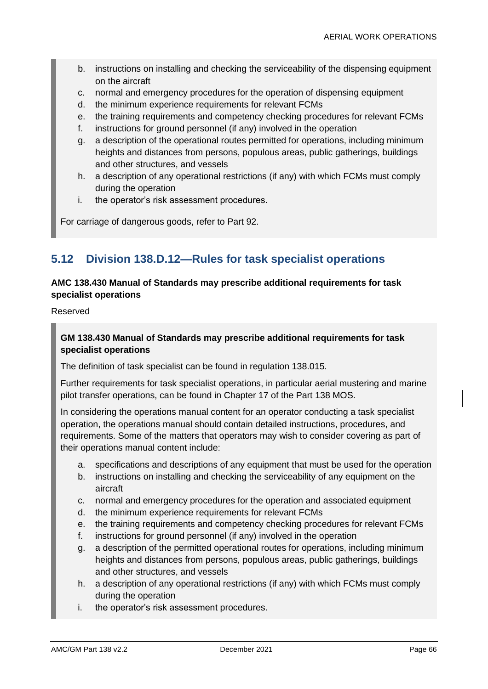- b. instructions on installing and checking the serviceability of the dispensing equipment on the aircraft
- c. normal and emergency procedures for the operation of dispensing equipment
- d. the minimum experience requirements for relevant FCMs
- e. the training requirements and competency checking procedures for relevant FCMs
- f. instructions for ground personnel (if any) involved in the operation
- g. a description of the operational routes permitted for operations, including minimum heights and distances from persons, populous areas, public gatherings, buildings and other structures, and vessels
- h. a description of any operational restrictions (if any) with which FCMs must comply during the operation
- i. the operator's risk assessment procedures.

For carriage of dangerous goods, refer to Part 92.

# **5.12 Division 138.D.12—Rules for task specialist operations**

### **AMC 138.430 Manual of Standards may prescribe additional requirements for task specialist operations**

Reserved

### **GM 138.430 Manual of Standards may prescribe additional requirements for task specialist operations**

The definition of task specialist can be found in regulation 138.015.

Further requirements for task specialist operations, in particular aerial mustering and marine pilot transfer operations, can be found in Chapter 17 of the Part 138 MOS.

In considering the operations manual content for an operator conducting a task specialist operation, the operations manual should contain detailed instructions, procedures, and requirements. Some of the matters that operators may wish to consider covering as part of their operations manual content include:

- a. specifications and descriptions of any equipment that must be used for the operation
- b. instructions on installing and checking the serviceability of any equipment on the aircraft
- c. normal and emergency procedures for the operation and associated equipment
- d. the minimum experience requirements for relevant FCMs
- e. the training requirements and competency checking procedures for relevant FCMs
- f. instructions for ground personnel (if any) involved in the operation
- g. a description of the permitted operational routes for operations, including minimum heights and distances from persons, populous areas, public gatherings, buildings and other structures, and vessels
- h. a description of any operational restrictions (if any) with which FCMs must comply during the operation
- i. the operator's risk assessment procedures.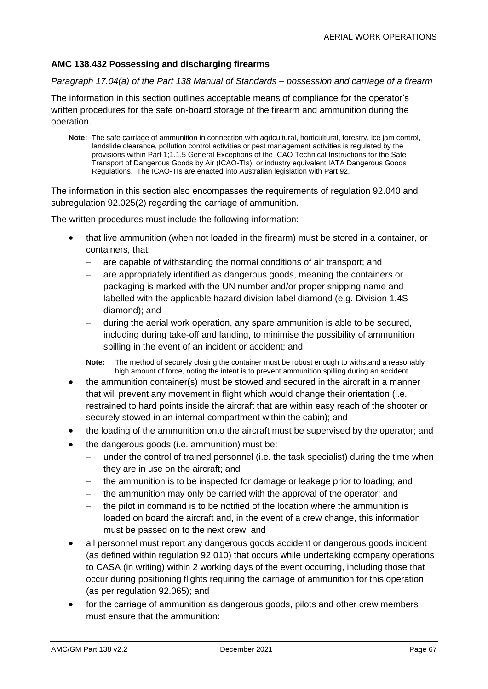# **AMC 138.432 Possessing and discharging firearms**

#### *Paragraph 17.04(a) of the Part 138 Manual of Standards – possession and carriage of a firearm*

The information in this section outlines acceptable means of compliance for the operator's written procedures for the safe on-board storage of the firearm and ammunition during the operation.

**Note:** The safe carriage of ammunition in connection with agricultural, horticultural, forestry, ice jam control, landslide clearance, pollution control activities or pest management activities is regulated by the provisions within Part 1;1.1.5 General Exceptions of the ICAO Technical Instructions for the Safe Transport of Dangerous Goods by Air (ICAO-TIs), or industry equivalent IATA Dangerous Goods Regulations. The ICAO-TIs are enacted into Australian legislation with Part 92.

The information in this section also encompasses the requirements of regulation 92.040 and subregulation 92.025(2) regarding the carriage of ammunition.

The written procedures must include the following information:

- that live ammunition (when not loaded in the firearm) must be stored in a container, or containers, that:
	- are capable of withstanding the normal conditions of air transport; and
	- are appropriately identified as dangerous goods, meaning the containers or packaging is marked with the UN number and/or proper shipping name and labelled with the applicable hazard division label diamond (e.g. Division 1.4S diamond); and
	- − during the aerial work operation, any spare ammunition is able to be secured, including during take-off and landing, to minimise the possibility of ammunition spilling in the event of an incident or accident; and

**Note:** The method of securely closing the container must be robust enough to withstand a reasonably high amount of force, noting the intent is to prevent ammunition spilling during an accident.

- the ammunition container(s) must be stowed and secured in the aircraft in a manner that will prevent any movement in flight which would change their orientation (i.e. restrained to hard points inside the aircraft that are within easy reach of the shooter or securely stowed in an internal compartment within the cabin); and
- the loading of the ammunition onto the aircraft must be supervised by the operator; and
- the dangerous goods (i.e. ammunition) must be:
	- − under the control of trained personnel (i.e. the task specialist) during the time when they are in use on the aircraft; and
	- − the ammunition is to be inspected for damage or leakage prior to loading; and
	- the ammunition may only be carried with the approval of the operator; and
	- the pilot in command is to be notified of the location where the ammunition is loaded on board the aircraft and, in the event of a crew change, this information must be passed on to the next crew; and
- all personnel must report any dangerous goods accident or dangerous goods incident (as defined within regulation 92.010) that occurs while undertaking company operations to CASA (in writing) within 2 working days of the event occurring, including those that occur during positioning flights requiring the carriage of ammunition for this operation (as per regulation 92.065); and
- for the carriage of ammunition as dangerous goods, pilots and other crew members must ensure that the ammunition: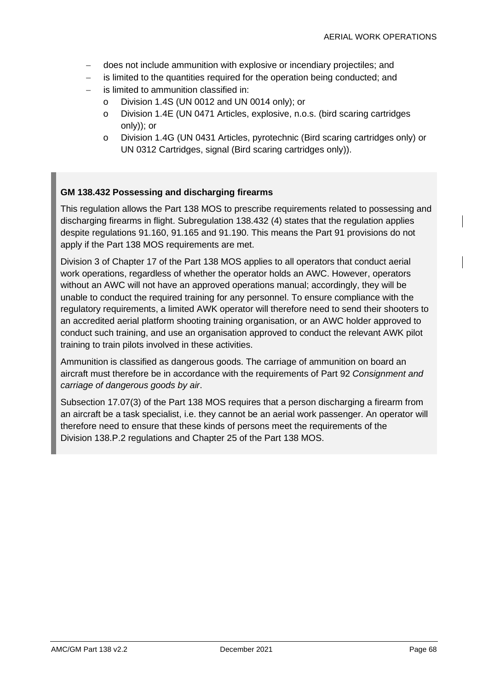- − does not include ammunition with explosive or incendiary projectiles; and
- − is limited to the quantities required for the operation being conducted; and
- is limited to ammunition classified in:
	- o Division 1.4S (UN 0012 and UN 0014 only); or
	- o Division 1.4E (UN 0471 Articles, explosive, n.o.s. (bird scaring cartridges only)); or
	- o Division 1.4G (UN 0431 Articles, pyrotechnic (Bird scaring cartridges only) or UN 0312 Cartridges, signal (Bird scaring cartridges only)).

#### **GM 138.432 Possessing and discharging firearms**

This regulation allows the Part 138 MOS to prescribe requirements related to possessing and discharging firearms in flight. Subregulation 138.432 (4) states that the regulation applies despite regulations 91.160, 91.165 and 91.190. This means the Part 91 provisions do not apply if the Part 138 MOS requirements are met.

Division 3 of Chapter 17 of the Part 138 MOS applies to all operators that conduct aerial work operations, regardless of whether the operator holds an AWC. However, operators without an AWC will not have an approved operations manual; accordingly, they will be unable to conduct the required training for any personnel. To ensure compliance with the regulatory requirements, a limited AWK operator will therefore need to send their shooters to an accredited aerial platform shooting training organisation, or an AWC holder approved to conduct such training, and use an organisation approved to conduct the relevant AWK pilot training to train pilots involved in these activities.

Ammunition is classified as dangerous goods. The carriage of ammunition on board an aircraft must therefore be in accordance with the requirements of Part 92 *Consignment and carriage of dangerous goods by air*.

Subsection 17.07(3) of the Part 138 MOS requires that a person discharging a firearm from an aircraft be a task specialist, i.e. they cannot be an aerial work passenger. An operator will therefore need to ensure that these kinds of persons meet the requirements of the Division 138.P.2 regulations and Chapter 25 of the Part 138 MOS.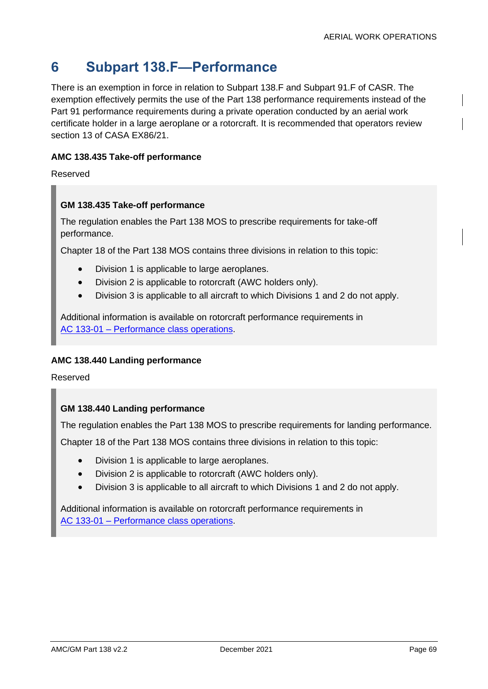# **6 Subpart 138.F—Performance**

There is an exemption in force in relation to Subpart 138.F and Subpart 91.F of CASR. The exemption effectively permits the use of the Part 138 performance requirements instead of the Part 91 performance requirements during a private operation conducted by an aerial work certificate holder in a large aeroplane or a rotorcraft. It is recommended that operators review section 13 of CASA EX86/21.

### **AMC 138.435 Take-off performance**

Reserved

#### **GM 138.435 Take-off performance**

The regulation enables the Part 138 MOS to prescribe requirements for take-off performance.

Chapter 18 of the Part 138 MOS contains three divisions in relation to this topic:

- Division 1 is applicable to large aeroplanes.
- Division 2 is applicable to rotorcraft (AWC holders only).
- Division 3 is applicable to all aircraft to which Divisions 1 and 2 do not apply.

Additional information is available on rotorcraft performance requirements in AC 133-01 – [Performance class operations.](https://www.casa.gov.au/search-centre/advisory-circulars)

#### **AMC 138.440 Landing performance**

Reserved

#### **GM 138.440 Landing performance**

The regulation enables the Part 138 MOS to prescribe requirements for landing performance.

Chapter 18 of the Part 138 MOS contains three divisions in relation to this topic:

- Division 1 is applicable to large aeroplanes.
- Division 2 is applicable to rotorcraft (AWC holders only).
- Division 3 is applicable to all aircraft to which Divisions 1 and 2 do not apply.

Additional information is available on rotorcraft performance requirements in AC 133-01 – [Performance class operations.](https://www.casa.gov.au/search-centre/advisory-circulars)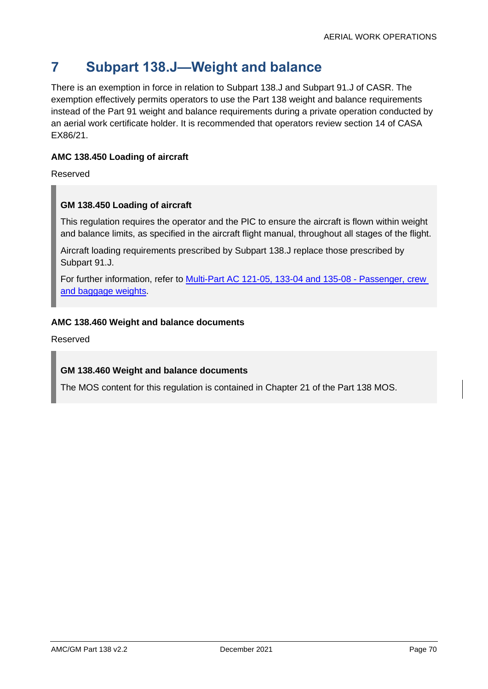# **7 Subpart 138.J—Weight and balance**

There is an exemption in force in relation to Subpart 138.J and Subpart 91.J of CASR. The exemption effectively permits operators to use the Part 138 weight and balance requirements instead of the Part 91 weight and balance requirements during a private operation conducted by an aerial work certificate holder. It is recommended that operators review section 14 of CASA EX86/21.

# **AMC 138.450 Loading of aircraft**

Reserved

# **GM 138.450 Loading of aircraft**

This regulation requires the operator and the PIC to ensure the aircraft is flown within weight and balance limits, as specified in the aircraft flight manual, throughout all stages of the flight.

Aircraft loading requirements prescribed by Subpart 138.J replace those prescribed by Subpart 91.J.

For further information, refer to Multi-Part AC [121-05, 133-04 and 135-08 -](https://www.casa.gov.au/search-centre/advisory-circulars) Passenger, crew [and baggage weights.](https://www.casa.gov.au/search-centre/advisory-circulars)

### **AMC 138.460 Weight and balance documents**

Reserved

# **GM 138.460 Weight and balance documents**

The MOS content for this regulation is contained in Chapter 21 of the Part 138 MOS.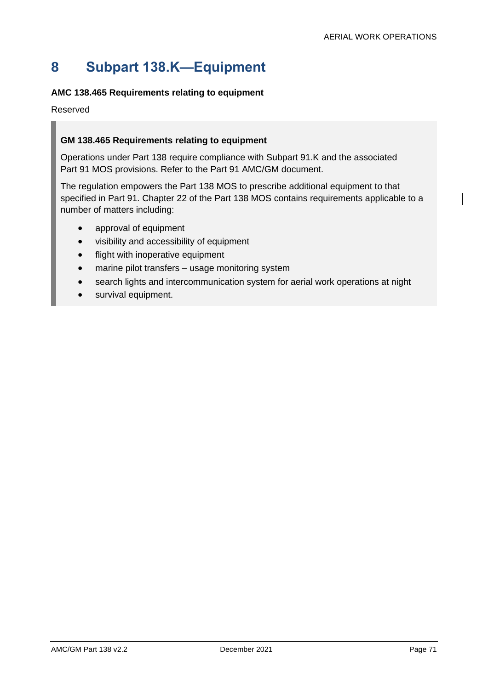# **8 Subpart 138.K—Equipment**

# **AMC 138.465 Requirements relating to equipment**

Reserved

# **GM 138.465 Requirements relating to equipment**

Operations under Part 138 require compliance with Subpart 91.K and the associated Part 91 MOS provisions. Refer to the Part 91 AMC/GM document.

The regulation empowers the Part 138 MOS to prescribe additional equipment to that specified in Part 91. Chapter 22 of the Part 138 MOS contains requirements applicable to a number of matters including:

- approval of equipment
- visibility and accessibility of equipment
- flight with inoperative equipment
- marine pilot transfers usage monitoring system
- search lights and intercommunication system for aerial work operations at night
- survival equipment.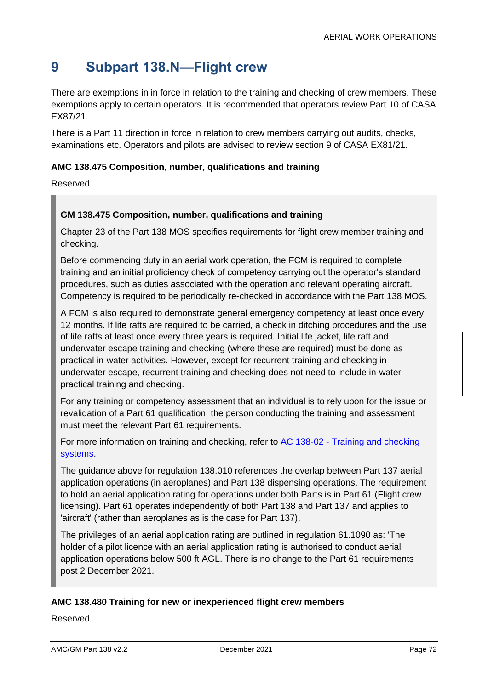## **9 Subpart 138.N—Flight crew**

There are exemptions in in force in relation to the training and checking of crew members. These exemptions apply to certain operators. It is recommended that operators review Part 10 of CASA EX87/21.

There is a Part 11 direction in force in relation to crew members carrying out audits, checks, examinations etc. Operators and pilots are advised to review section 9 of CASA EX81/21.

#### **AMC 138.475 Composition, number, qualifications and training**

Reserved

#### **GM 138.475 Composition, number, qualifications and training**

Chapter 23 of the Part 138 MOS specifies requirements for flight crew member training and checking.

Before commencing duty in an aerial work operation, the FCM is required to complete training and an initial proficiency check of competency carrying out the operator's standard procedures, such as duties associated with the operation and relevant operating aircraft. Competency is required to be periodically re-checked in accordance with the Part 138 MOS.

A FCM is also required to demonstrate general emergency competency at least once every 12 months. If life rafts are required to be carried, a check in ditching procedures and the use of life rafts at least once every three years is required. Initial life jacket, life raft and underwater escape training and checking (where these are required) must be done as practical in-water activities. However, except for recurrent training and checking in underwater escape, recurrent training and checking does not need to include in-water practical training and checking.

For any training or competency assessment that an individual is to rely upon for the issue or revalidation of a Part 61 qualification, the person conducting the training and assessment must meet the relevant Part 61 requirements.

For more information on training and checking, refer to AC 138-02 - [Training and checking](https://www.casa.gov.au/search-centre/advisory-circulars)  [systems.](https://www.casa.gov.au/search-centre/advisory-circulars)

The guidance above for regulation 138.010 references the overlap between Part 137 aerial application operations (in aeroplanes) and Part 138 dispensing operations. The requirement to hold an aerial application rating for operations under both Parts is in Part 61 (Flight crew licensing). Part 61 operates independently of both Part 138 and Part 137 and applies to 'aircraft' (rather than aeroplanes as is the case for Part 137).

The privileges of an aerial application rating are outlined in regulation 61.1090 as: 'The holder of a pilot licence with an aerial application rating is authorised to conduct aerial application operations below 500 ft AGL. There is no change to the Part 61 requirements post 2 December 2021.

#### **AMC 138.480 Training for new or inexperienced flight crew members**

Reserved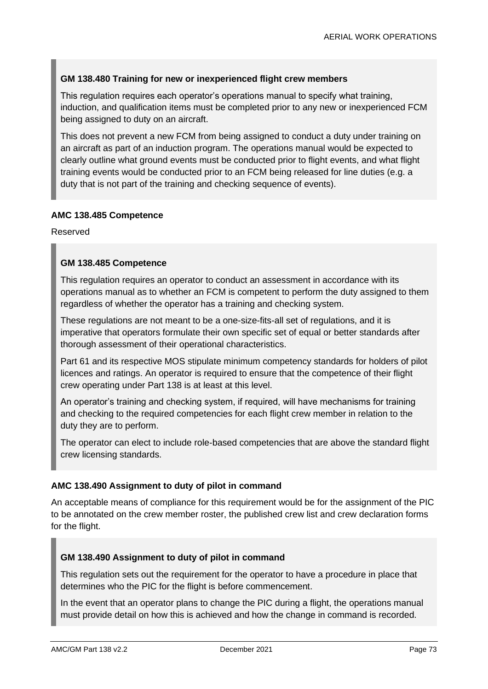#### **GM 138.480 Training for new or inexperienced flight crew members**

This regulation requires each operator's operations manual to specify what training, induction, and qualification items must be completed prior to any new or inexperienced FCM being assigned to duty on an aircraft.

This does not prevent a new FCM from being assigned to conduct a duty under training on an aircraft as part of an induction program. The operations manual would be expected to clearly outline what ground events must be conducted prior to flight events, and what flight training events would be conducted prior to an FCM being released for line duties (e.g. a duty that is not part of the training and checking sequence of events).

#### **AMC 138.485 Competence**

Reserved

#### **GM 138.485 Competence**

This regulation requires an operator to conduct an assessment in accordance with its operations manual as to whether an FCM is competent to perform the duty assigned to them regardless of whether the operator has a training and checking system.

These regulations are not meant to be a one-size-fits-all set of regulations, and it is imperative that operators formulate their own specific set of equal or better standards after thorough assessment of their operational characteristics.

Part 61 and its respective MOS stipulate minimum competency standards for holders of pilot licences and ratings. An operator is required to ensure that the competence of their flight crew operating under Part 138 is at least at this level.

An operator's training and checking system, if required, will have mechanisms for training and checking to the required competencies for each flight crew member in relation to the duty they are to perform.

The operator can elect to include role-based competencies that are above the standard flight crew licensing standards.

#### **AMC 138.490 Assignment to duty of pilot in command**

An acceptable means of compliance for this requirement would be for the assignment of the PIC to be annotated on the crew member roster, the published crew list and crew declaration forms for the flight.

#### **GM 138.490 Assignment to duty of pilot in command**

This regulation sets out the requirement for the operator to have a procedure in place that determines who the PIC for the flight is before commencement.

In the event that an operator plans to change the PIC during a flight, the operations manual must provide detail on how this is achieved and how the change in command is recorded.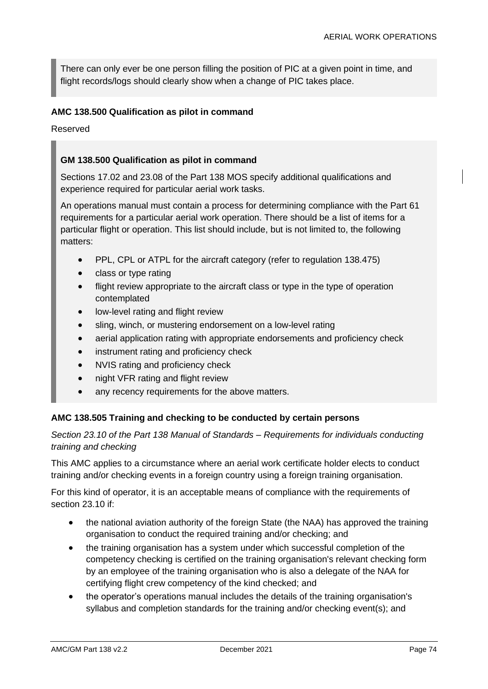There can only ever be one person filling the position of PIC at a given point in time, and flight records/logs should clearly show when a change of PIC takes place.

#### **AMC 138.500 Qualification as pilot in command**

Reserved

#### **GM 138.500 Qualification as pilot in command**

Sections 17.02 and 23.08 of the Part 138 MOS specify additional qualifications and experience required for particular aerial work tasks.

An operations manual must contain a process for determining compliance with the Part 61 requirements for a particular aerial work operation. There should be a list of items for a particular flight or operation. This list should include, but is not limited to, the following matters:

- PPL, CPL or ATPL for the aircraft category (refer to regulation 138.475)
- class or type rating
- flight review appropriate to the aircraft class or type in the type of operation contemplated
- low-level rating and flight review
- sling, winch, or mustering endorsement on a low-level rating
- aerial application rating with appropriate endorsements and proficiency check
- instrument rating and proficiency check
- NVIS rating and proficiency check
- night VFR rating and flight review
- any recency requirements for the above matters.

#### **AMC 138.505 Training and checking to be conducted by certain persons**

*Section 23.10 of the Part 138 Manual of Standards – Requirements for individuals conducting training and checking*

This AMC applies to a circumstance where an aerial work certificate holder elects to conduct training and/or checking events in a foreign country using a foreign training organisation.

For this kind of operator, it is an acceptable means of compliance with the requirements of section 23.10 if:

- the national aviation authority of the foreign State (the NAA) has approved the training organisation to conduct the required training and/or checking; and
- the training organisation has a system under which successful completion of the competency checking is certified on the training organisation's relevant checking form by an employee of the training organisation who is also a delegate of the NAA for certifying flight crew competency of the kind checked; and
- the operator's operations manual includes the details of the training organisation's syllabus and completion standards for the training and/or checking event(s); and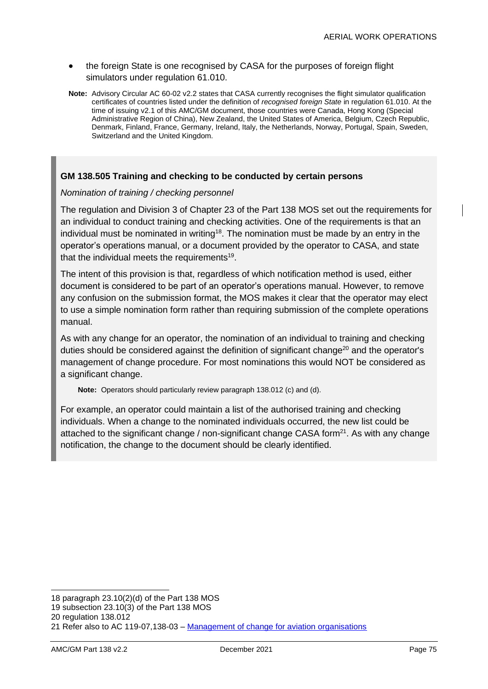- the foreign State is one recognised by CASA for the purposes of foreign flight simulators under regulation 61.010.
- **Note:** Advisory Circular AC 60-02 v2.2 states that CASA currently recognises the flight simulator qualification certificates of countries listed under the definition of *recognised foreign State* in regulation 61.010. At the time of issuing v2.1 of this AMC/GM document, those countries were Canada, Hong Kong (Special Administrative Region of China), New Zealand, the United States of America, Belgium, Czech Republic, Denmark, Finland, France, Germany, Ireland, Italy, the Netherlands, Norway, Portugal, Spain, Sweden, Switzerland and the United Kingdom.

#### **GM 138.505 Training and checking to be conducted by certain persons**

#### *Nomination of training / checking personnel*

The regulation and Division 3 of Chapter 23 of the Part 138 MOS set out the requirements for an individual to conduct training and checking activities. One of the requirements is that an individual must be nominated in writing<sup>18</sup>. The nomination must be made by an entry in the operator's operations manual, or a document provided by the operator to CASA, and state that the individual meets the requirements<sup>19</sup>.

The intent of this provision is that, regardless of which notification method is used, either document is considered to be part of an operator's operations manual. However, to remove any confusion on the submission format, the MOS makes it clear that the operator may elect to use a simple nomination form rather than requiring submission of the complete operations manual.

As with any change for an operator, the nomination of an individual to training and checking duties should be considered against the definition of significant change<sup>20</sup> and the operator's management of change procedure. For most nominations this would NOT be considered as a significant change.

**Note:** Operators should particularly review paragraph 138.012 (c) and (d).

For example, an operator could maintain a list of the authorised training and checking individuals. When a change to the nominated individuals occurred, the new list could be attached to the significant change / non-significant change CASA form<sup>21</sup>. As with any change notification, the change to the document should be clearly identified.

<sup>18</sup> paragraph 23.10(2)(d) of the Part 138 MOS

<sup>19</sup> subsection 23.10(3) of the Part 138 MOS

<sup>20</sup> regulation 138.012

<sup>21</sup> Refer also to AC 119-07,138-03 – [Management of change for aviation organisations](https://www.casa.gov.au/search-centre/advisory-circulars)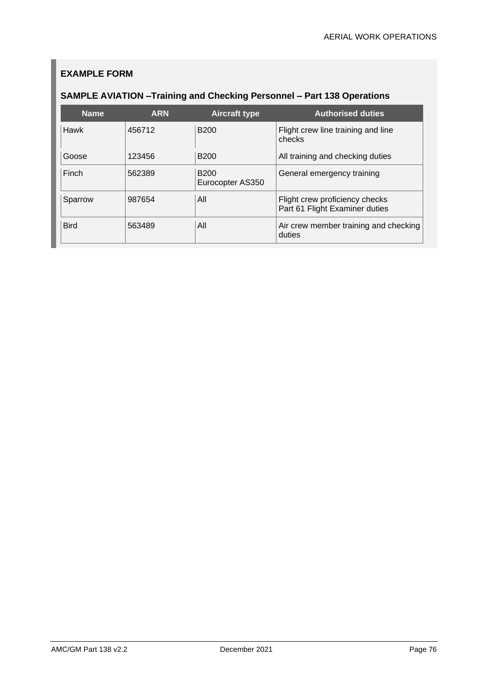## **EXAMPLE FORM**

## **SAMPLE AVIATION –Training and Checking Personnel – Part 138 Operations**

| <b>Name</b> | <b>ARN</b> | <b>Aircraft type</b>            | <b>Authorised duties</b>                                         |
|-------------|------------|---------------------------------|------------------------------------------------------------------|
| <b>Hawk</b> | 456712     | <b>B200</b>                     | Flight crew line training and line<br>checks                     |
| Goose       | 123456     | <b>B200</b>                     | All training and checking duties                                 |
| Finch       | 562389     | <b>B200</b><br>Eurocopter AS350 | General emergency training                                       |
| Sparrow     | 987654     | All                             | Flight crew proficiency checks<br>Part 61 Flight Examiner duties |
| <b>Bird</b> | 563489     | All                             | Air crew member training and checking<br>duties                  |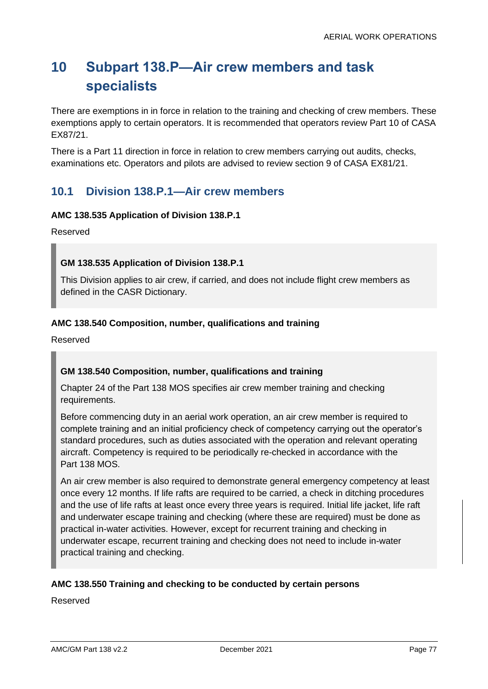# **10 Subpart 138.P—Air crew members and task specialists**

There are exemptions in in force in relation to the training and checking of crew members. These exemptions apply to certain operators. It is recommended that operators review Part 10 of CASA EX87/21.

There is a Part 11 direction in force in relation to crew members carrying out audits, checks, examinations etc. Operators and pilots are advised to review section 9 of CASA EX81/21.

## **10.1 Division 138.P.1—Air crew members**

#### **AMC 138.535 Application of Division 138.P.1**

Reserved

#### **GM 138.535 Application of Division 138.P.1**

This Division applies to air crew, if carried, and does not include flight crew members as defined in the CASR Dictionary.

#### **AMC 138.540 Composition, number, qualifications and training**

Reserved

#### **GM 138.540 Composition, number, qualifications and training**

Chapter 24 of the Part 138 MOS specifies air crew member training and checking requirements.

Before commencing duty in an aerial work operation, an air crew member is required to complete training and an initial proficiency check of competency carrying out the operator's standard procedures, such as duties associated with the operation and relevant operating aircraft. Competency is required to be periodically re-checked in accordance with the Part 138 MOS.

An air crew member is also required to demonstrate general emergency competency at least once every 12 months. If life rafts are required to be carried, a check in ditching procedures and the use of life rafts at least once every three years is required. Initial life jacket, life raft and underwater escape training and checking (where these are required) must be done as practical in-water activities. However, except for recurrent training and checking in underwater escape, recurrent training and checking does not need to include in-water practical training and checking.

#### **AMC 138.550 Training and checking to be conducted by certain persons**

Reserved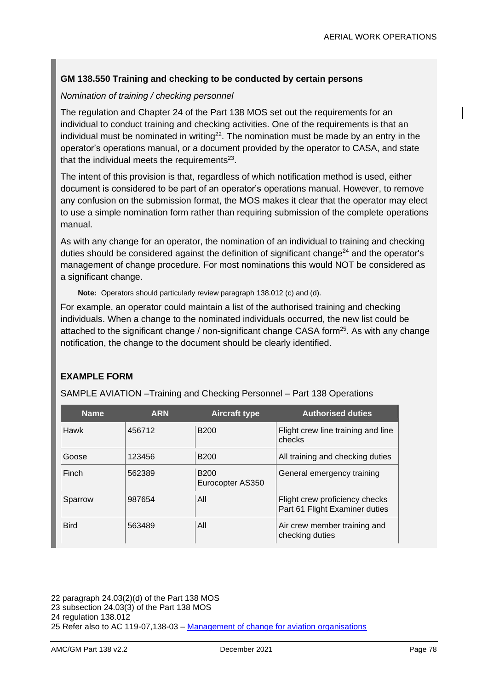#### **GM 138.550 Training and checking to be conducted by certain persons**

#### *Nomination of training / checking personnel*

The regulation and Chapter 24 of the Part 138 MOS set out the requirements for an individual to conduct training and checking activities. One of the requirements is that an individual must be nominated in writing<sup>22</sup>. The nomination must be made by an entry in the operator's operations manual, or a document provided by the operator to CASA, and state that the individual meets the requirements $^{23}$ .

The intent of this provision is that, regardless of which notification method is used, either document is considered to be part of an operator's operations manual. However, to remove any confusion on the submission format, the MOS makes it clear that the operator may elect to use a simple nomination form rather than requiring submission of the complete operations manual.

As with any change for an operator, the nomination of an individual to training and checking duties should be considered against the definition of significant change<sup>24</sup> and the operator's management of change procedure. For most nominations this would NOT be considered as a significant change.

**Note:** Operators should particularly review paragraph 138.012 (c) and (d).

For example, an operator could maintain a list of the authorised training and checking individuals. When a change to the nominated individuals occurred, the new list could be attached to the significant change / non-significant change CASA form<sup>25</sup>. As with any change notification, the change to the document should be clearly identified.

#### **EXAMPLE FORM**

SAMPLE AVIATION –Training and Checking Personnel – Part 138 Operations

| <b>Name</b> | <b>ARN</b> | <b>Aircraft type</b>            | <b>Authorised duties</b>                                         |
|-------------|------------|---------------------------------|------------------------------------------------------------------|
| <b>Hawk</b> | 456712     | <b>B200</b>                     | Flight crew line training and line<br>checks                     |
| Goose       | 123456     | <b>B200</b>                     | All training and checking duties                                 |
| Finch       | 562389     | <b>B200</b><br>Eurocopter AS350 | General emergency training                                       |
| Sparrow     | 987654     | All                             | Flight crew proficiency checks<br>Part 61 Flight Examiner duties |
| <b>Bird</b> | 563489     | All                             | Air crew member training and<br>checking duties                  |

<sup>22</sup> paragraph 24.03(2)(d) of the Part 138 MOS

<sup>23</sup> subsection 24.03(3) of the Part 138 MOS

<sup>24</sup> regulation 138.012

<sup>25</sup> Refer also to AC 119-07,138-03 – [Management of change for aviation organisations](https://www.casa.gov.au/search-centre/advisory-circulars)